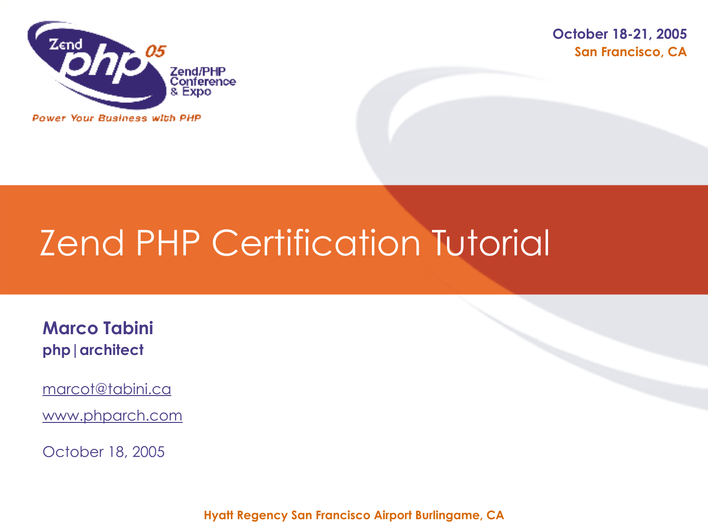

**San Francisco, CA October 18-21, 2005**

#### **Power Your Business with PHP**

# Zend PHP Certification Tutorial

**Marco Tabini php|architect**

marcot@tabini.ca

www.phparch.com

October 18, 2005

**Hyatt Regency San Francisco Airport Burlingame, CA**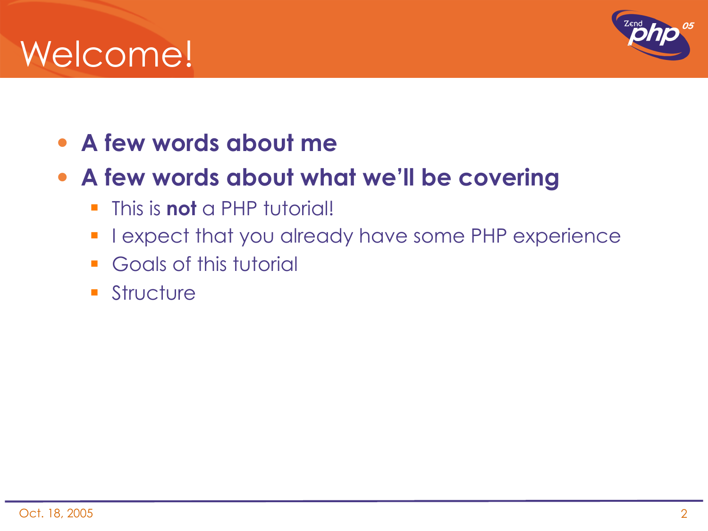## Welcome!



#### • **A few words about me**

#### • **A few words about what we'll be covering**

- **This is not** a PHP tutorial!
- **I** lexpect that you already have some PHP experience
- **Goals of this tutorial**
- **Structure**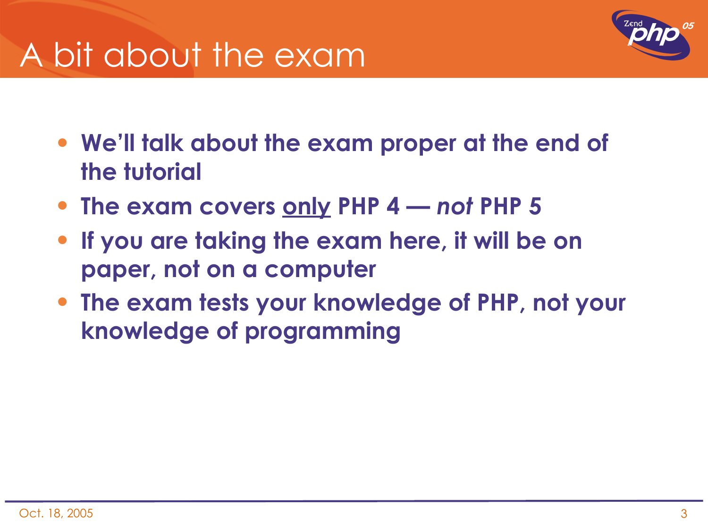### A bit about the exam



- **We'll talk about the exam proper at the end of the tutorial**
- **The exam covers only PHP 4** *not* **PHP 5**
- **If you are taking the exam here, it will be on paper, not on a computer**
- **The exam tests your knowledge of PHP, not your knowledge of programming**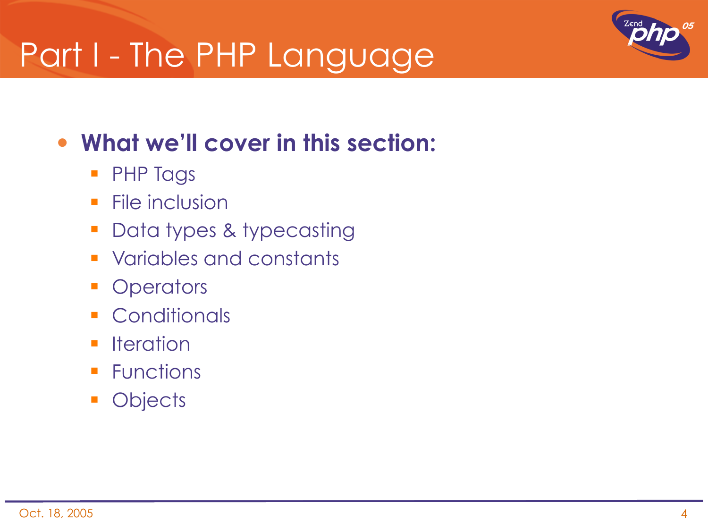### Part I - The PHP Language



- **PHP Tags**
- $\blacksquare$  File inclusion
- **Data types & typecasting**
- **Variables and constants**
- **Operators**
- **Conditionals**
- **I** Iteration
- **Functions**
- **Objects**

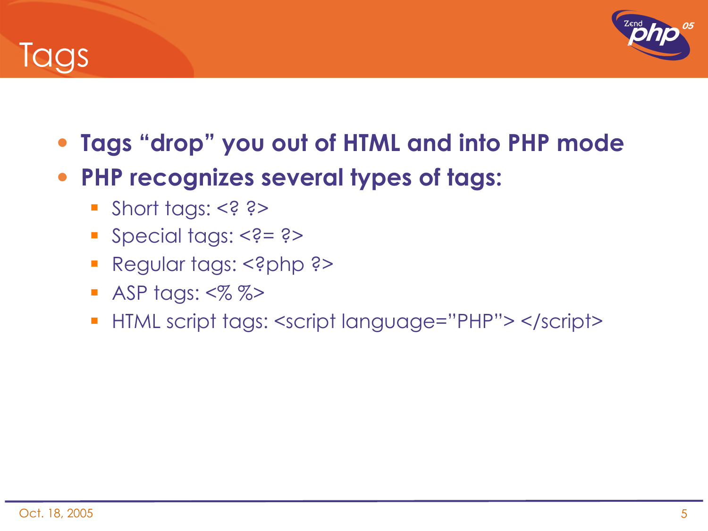

**Tags** 

- **Tags "drop" you out of HTML and into PHP mode**
- **PHP recognizes several types of tags:**
	- Short tags: <? ?>
	- Special tags: <?= ?>
	- **Regular tags: <?php ?>**
	- **ASP tags:**  $\ll 2$  $\%$  $\gg$
	- HTML script tags: <script language="PHP"> </script>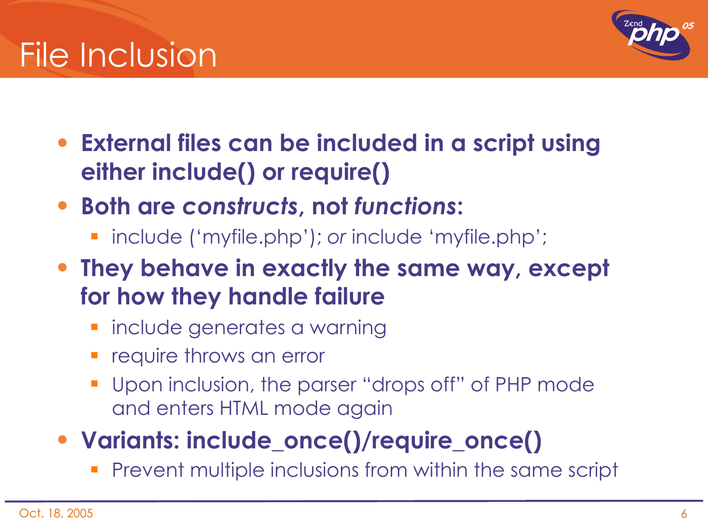

- **External files can be included in a script using either include() or require()**
- **Both are** *constructs***, not** *functions***:**
	- include ('myfile.php'); *or* include 'myfile.php';
- **They behave in exactly the same way, except for how they handle failure**
	- **·** include generates a warning
	- **F** require throws an error
	- **Upon inclusion, the parser "drops off" of PHP mode** and enters HTML mode again
- **Variants: include\_once()/require\_once()**
	- Prevent multiple inclusions from within the same script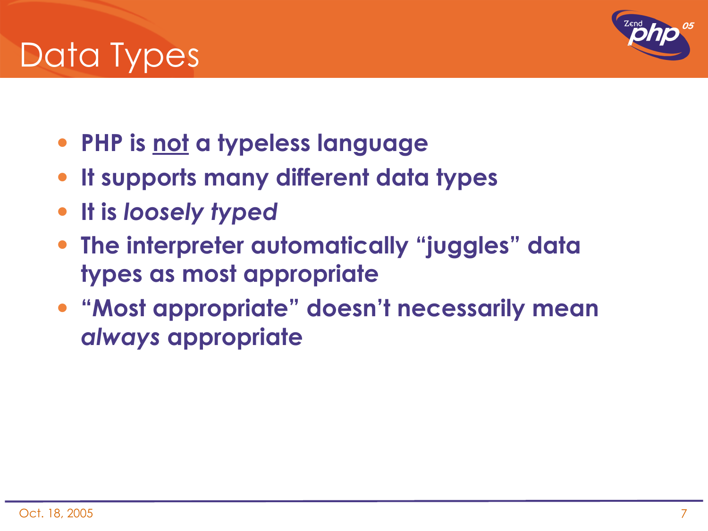### Data Types

- **PHP is not a typeless language**
- **It supports many different data types**
- **It is** *loosely typed*
- **The interpreter automatically "juggles" data types as most appropriate**
- **"Most appropriate" doesn't necessarily mean**  *always* **appropriate**

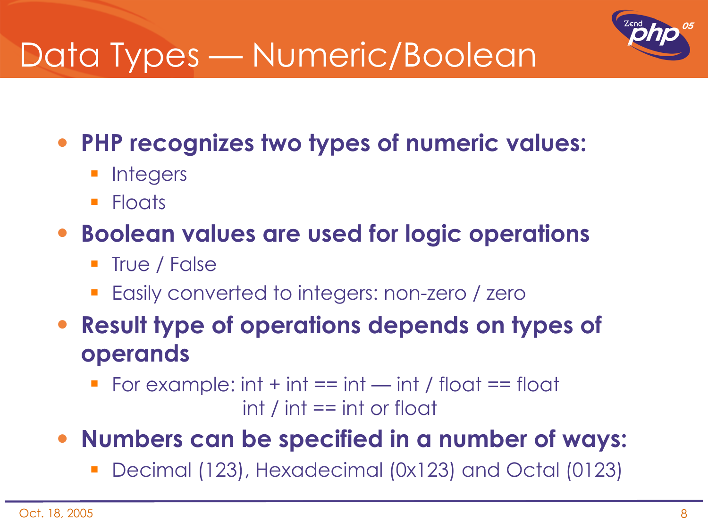

• **PHP recognizes two types of numeric values:**

- **Integers**
- **Floats**

#### • **Boolean values are used for logic operations**

- True / False
- Easily converted to integers: non-zero / zero
- **Result type of operations depends on types of operands**
	- For example:  $int + int == int int / float == float$  $int / int == int or float$
- **Numbers can be specified in a number of ways:**
	- Decimal (123), Hexadecimal (0x123) and Octal (0123)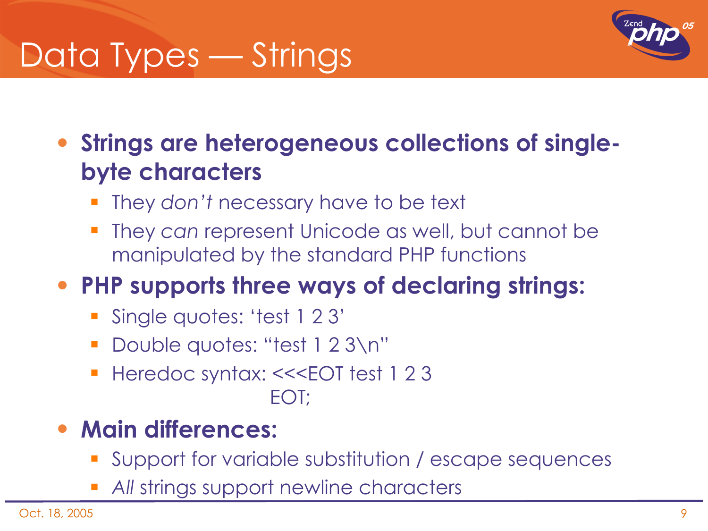# Data Types — Strings



#### • **Strings are heterogeneous collections of singlebyte characters**

- They *don't* necessary have to be text
- They *can* represent Unicode as well, but cannot be manipulated by the standard PHP functions

#### • **PHP supports three ways of declaring strings:**

- Single quotes: 'test 1 2 3'
- Double quotes: "test 1 2 3\n"
- Heredoc syntax: <<<EOT test 1 2 3 EOT;

#### • **Main differences:**

- Support for variable substitution / escape sequences
- *All* strings support newline characters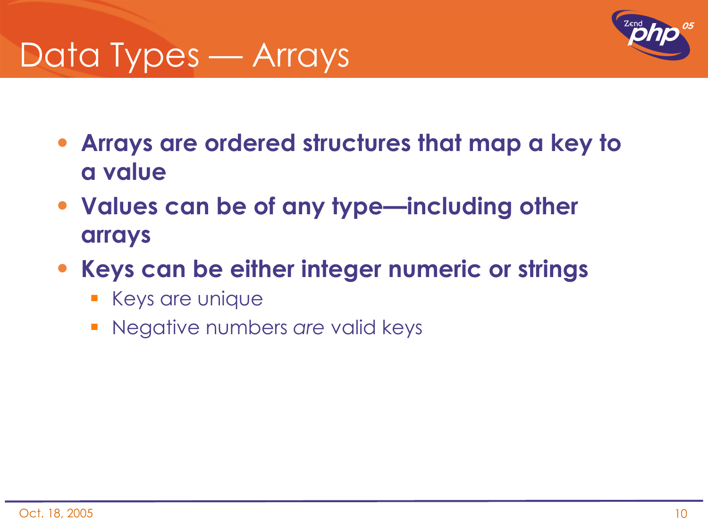### Data Types — Arrays



- **Arrays are ordered structures that map a key to a value**
- **Values can be of any type—including other arrays**
- **Keys can be either integer numeric or strings**
	- **Keys are unique**
	- Negative numbers *are* valid keys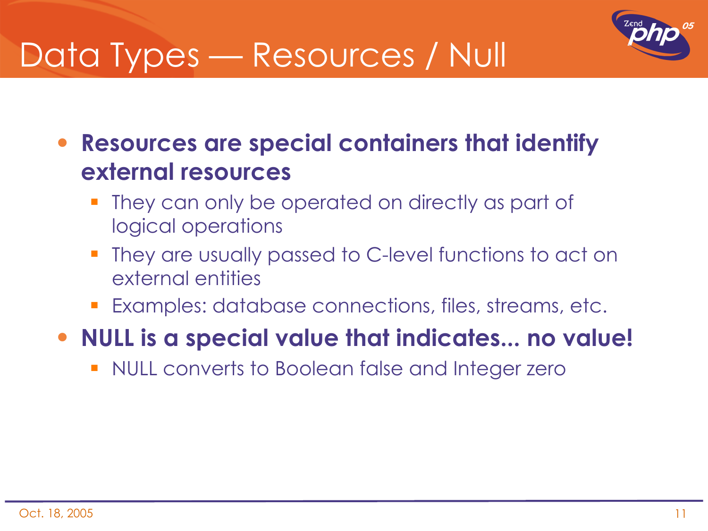### Data Types — Resources / Null



• **Resources are special containers that identify external resources**

- They can only be operated on directly as part of logical operations
- They are usually passed to C-level functions to act on external entities
- Examples: database connections, files, streams, etc.

#### • **NULL is a special value that indicates... no value!**

NULL converts to Boolean false and Integer zero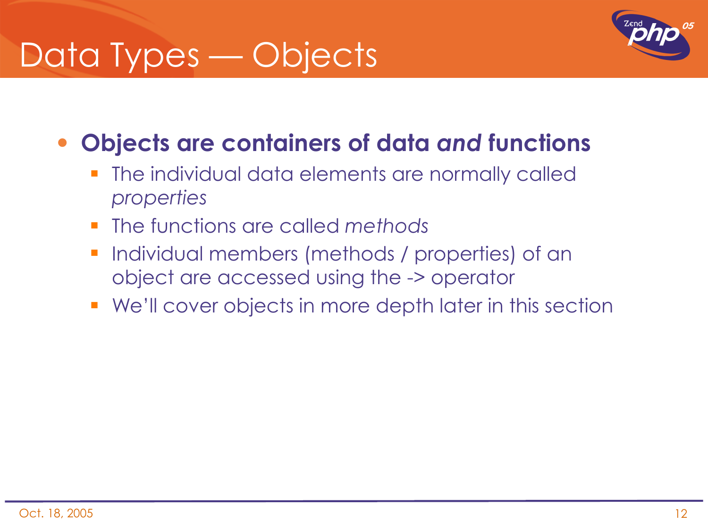# Data Types — Objects



#### • **Objects are containers of data** *and* **functions**

- **The individual data elements are normally called** *properties*
- The functions are called *methods*
- **Individual members (methods / properties) of an** object are accessed using the -> operator
- We'll cover objects in more depth later in this section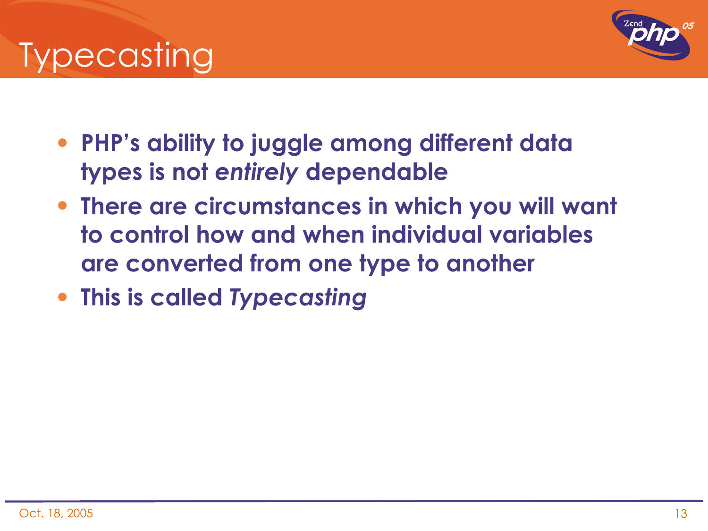



- **PHP's ability to juggle among different data types is not** *entirely* **dependable**
- **There are circumstances in which you will want to control how and when individual variables are converted from one type to another**
- **This is called** *Typecasting*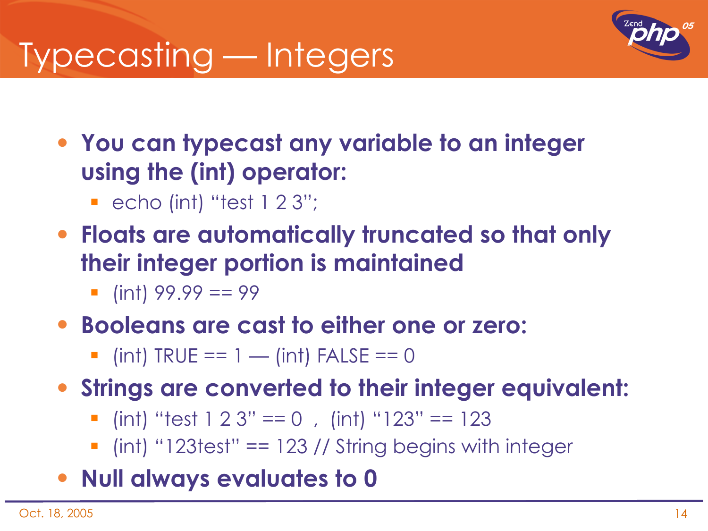## Typecasting — Integers



• **You can typecast any variable to an integer using the (int) operator:**

- $\blacksquare$  echo (int) "test 1 2 3";
- **Floats are automatically truncated so that only their integer portion is maintained**
	- $\blacksquare$  (int) 99.99 == 99

#### • **Booleans are cast to either one or zero:**

 $\blacksquare$  (int) TRUE == 1 — (int) FALSE == 0

#### • **Strings are converted to their integer equivalent:**

- $\blacksquare$  (int) "test 1 2 3" == 0, (int) "123" == 123
- $\blacksquare$  (int) "123test" == 123 // String begins with integer
- **Null always evaluates to 0**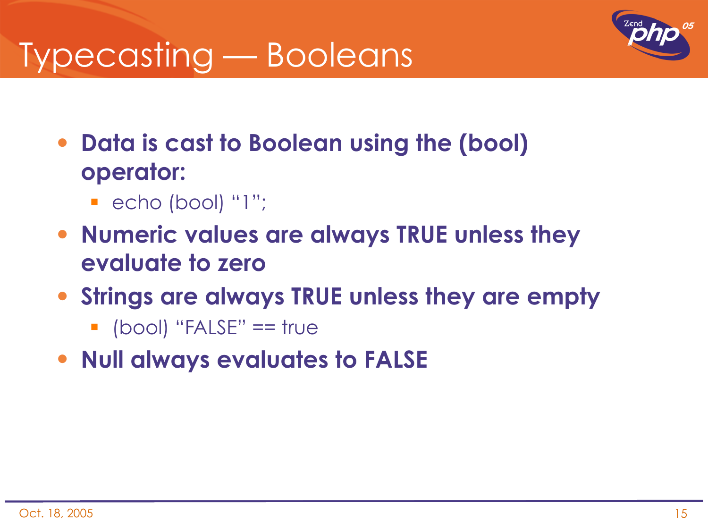### Typecasting — Booleans



- **Data is cast to Boolean using the (bool) operator:**
	- $\blacksquare$  echo (bool) "1";
- **Numeric values are always TRUE unless they evaluate to zero**
- **Strings are always TRUE unless they are empty**
	- $\blacksquare$  (bool) "FALSE"  $==$  true
- **Null always evaluates to FALSE**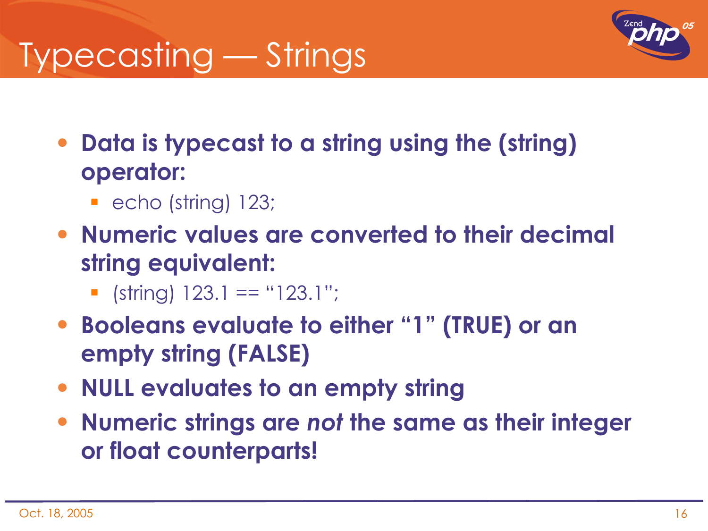# Typecasting — Strings



- **Data is typecast to a string using the (string) operator:**
	- **echo (string) 123;**
- **Numeric values are converted to their decimal string equivalent:**
	- $\blacksquare$  (string) 123.1 == "123.1";
- **Booleans evaluate to either "1" (TRUE) or an empty string (FALSE)**
- **NULL evaluates to an empty string**
- **Numeric strings are** *not* **the same as their integer or float counterparts!**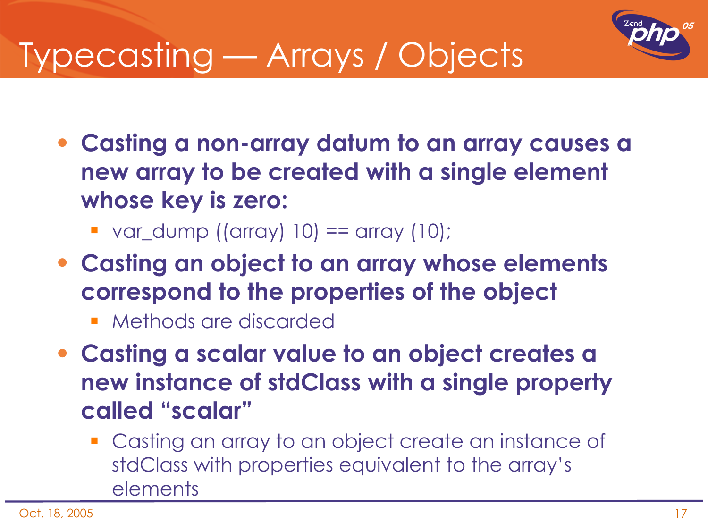

# Typecasting — Arrays / Objects

- **Casting a non-array datum to an array causes a new array to be created with a single element whose key is zero:**
	- var\_dump ((array)  $10$ ) == array ( $10$ );
- **Casting an object to an array whose elements correspond to the properties of the object**
	- Methods are discarded
- **Casting a scalar value to an object creates a new instance of stdClass with a single property called "scalar"**
	- **Casting an array to an object create an instance of** stdClass with properties equivalent to the array's elements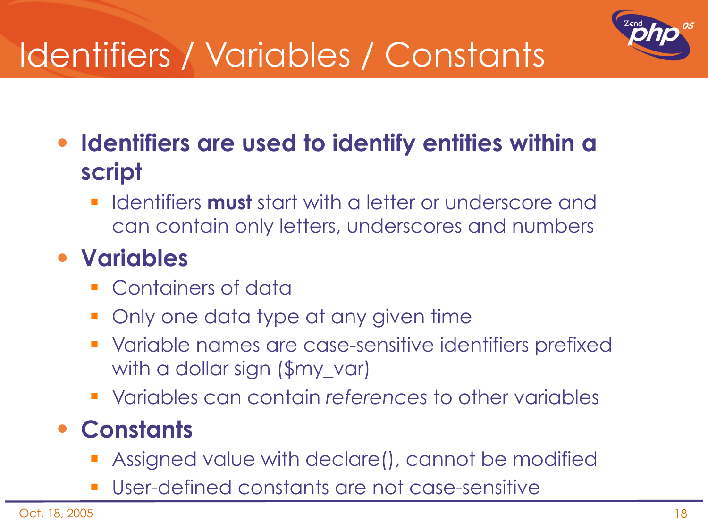# Identifiers / Variables / Constants



• **Identifiers are used to identify entities within a script**

**If all identifiers must** start with a letter or underscore and can contain only letters, underscores and numbers

#### • **Variables**

- **Containers of data**
- Only one data type at any given time
- **•** Variable names are case-sensitive identifiers prefixed with a dollar sign (\$my\_var)
- Variables can contain *references* to other variables

#### • **Constants**

- Assigned value with declare(), cannot be modified
- User-defined constants are not case-sensitive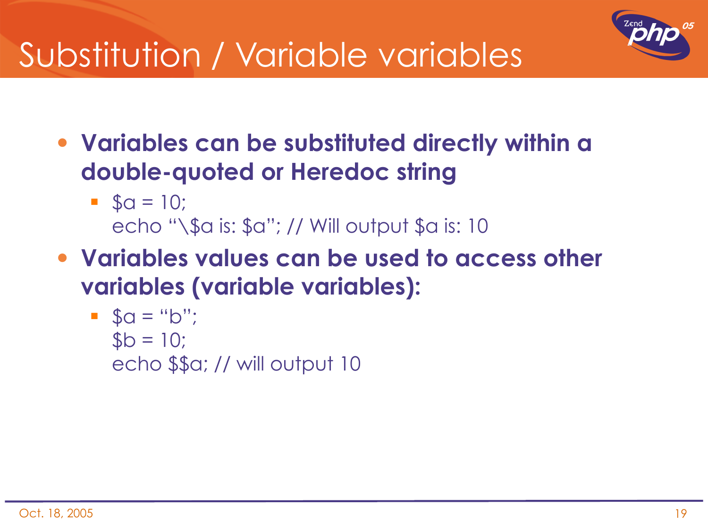

# Substitution / Variable variables

- **Variables can be substituted directly within a double-quoted or Heredoc string**
	- $\bullet$  \$a = 10; echo "\\$a is: \$a"; // Will output \$a is: 10
- **Variables values can be used to access other variables (variable variables):**

\n- $$
$a = "b";
$$
\n- $$b = 10;$
\n- $$ch = 10;$
\n- $$ch = 10$
\n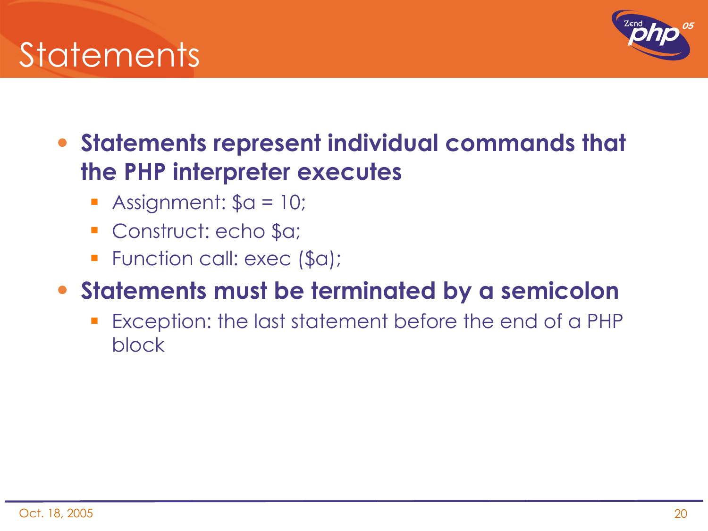

• **Statements represent individual commands that the PHP interpreter executes**

- Assignment:  $a = 10$ ;
- Construct: echo \$a;
- **F** Function call: exec (\$a);

#### • **Statements must be terminated by a semicolon**

 Exception: the last statement before the end of a PHP block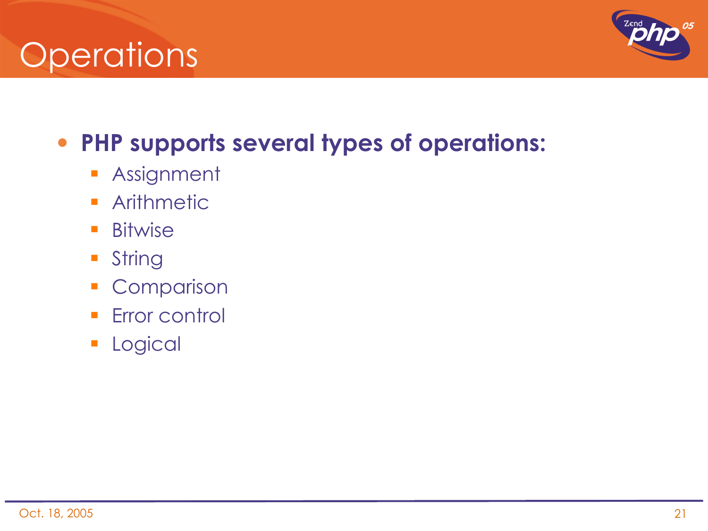### **Operations**



### • **PHP supports several types of operations:**

- **Assignment**
- **Arithmetic**
- **Bitwise**
- **String**
- **Comparison**
- **Error control**
- **Logical**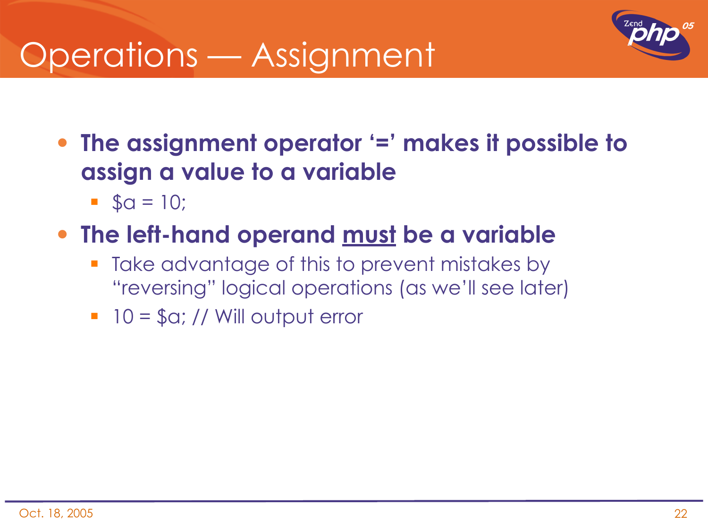### Operations — Assignment



• **The assignment operator '=' makes it possible to assign a value to a variable**

 $\bullet$  \$a = 10;

#### • **The left-hand operand must be a variable**

- Take advantage of this to prevent mistakes by "reversing" logical operations (as we'll see later)
- $10 = \text{So}; // Will output error$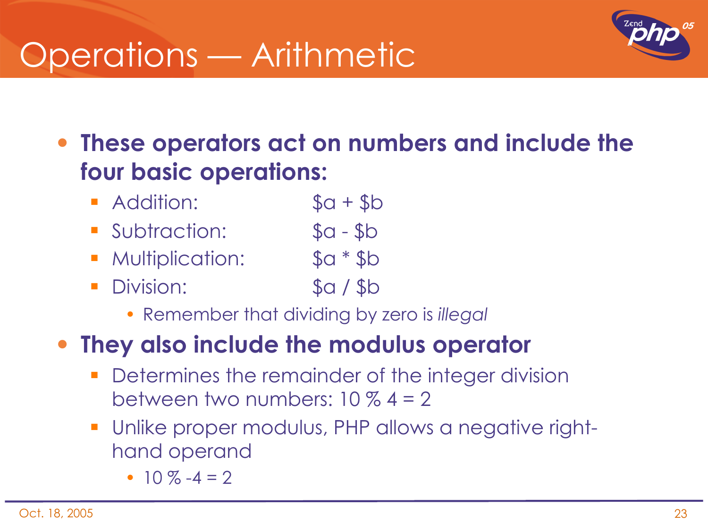### Operations — Arithmetic



• **These operators act on numbers and include the four basic operations:**

- **Addition:** \$a + \$b
- Subtraction: \$a \$b
- Multiplication: \$a \* \$b
- Division: \$a / \$b
	- Remember that dividing by zero is *illegal*

#### • **They also include the modulus operator**

- Determines the remainder of the integer division between two numbers:  $10\%4 = 2$
- Unlike proper modulus, PHP allows a negative righthand operand
	- 10 %  $-4 = 2$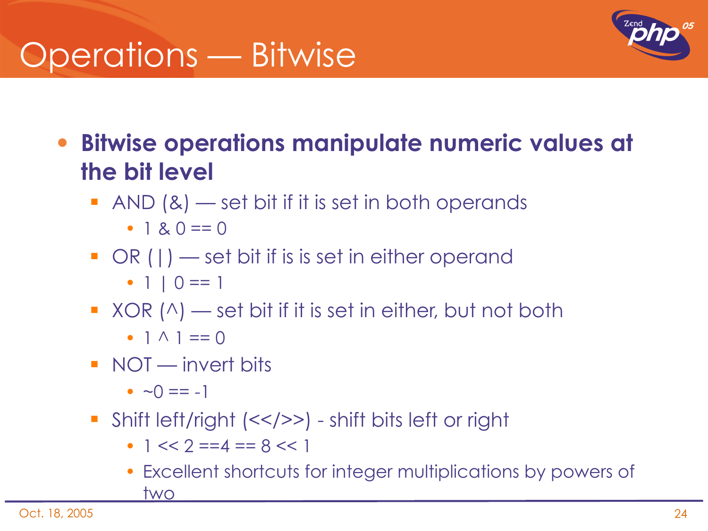### Operations — Bitwise



• **Bitwise operations manipulate numeric values at the bit level**

 $\blacksquare$  AND  $(8)$  — set bit if it is set in both operands

• 1 &  $0 == 0$ 

 $\blacksquare$  OR ( | ) — set bit if is is set in either operand

• 1 |  $0 == 1$ 

- $\blacksquare$  XOR ( $\land$ ) set bit if it is set in either, but not both
	- $1 \wedge 1 == 0$
- **NOT** invert bits

•  $\sim$  0 = = -1

- Shift left/right (<</>>) shift bits left or right
	- $1 \leq 2 == 4 == 8 \leq 1$
	- Excellent shortcuts for integer multiplications by powers of two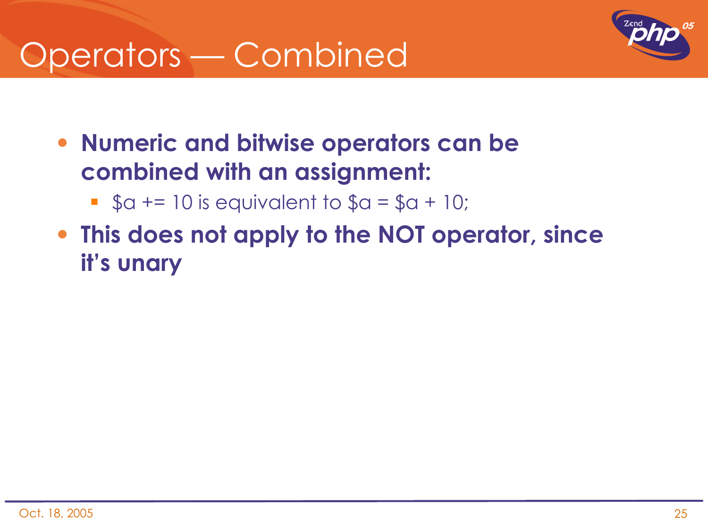### Operators — Combined



- **Numeric and bitwise operators can be combined with an assignment:**
	- $\bullet$  \$a += 10 is equivalent to \$a = \$a + 10;
- **This does not apply to the NOT operator, since it's unary**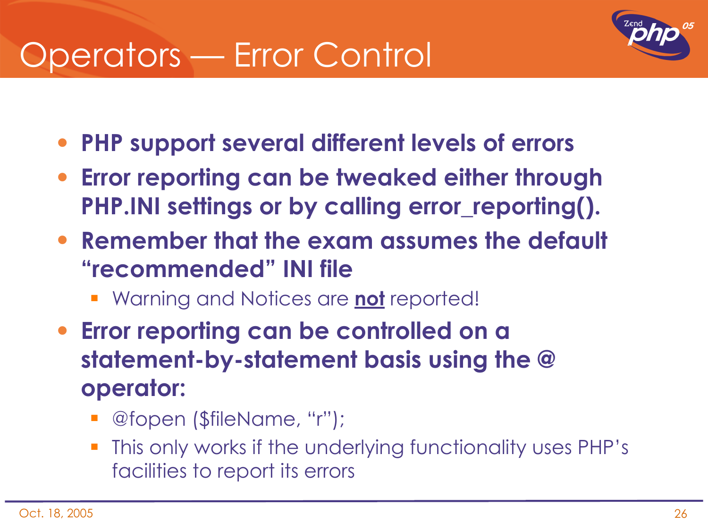### Operators — Error Control



- **PHP support several different levels of errors**
- **Error reporting can be tweaked either through PHP.INI settings or by calling error\_reporting().**
- **Remember that the exam assumes the default "recommended" INI file**
	- Warning and Notices are **not** reported!
- **Error reporting can be controlled on a statement-by-statement basis using the @ operator:**
	- @fopen (\$fileName, "r");
	- This only works if the underlying functionality uses PHP's facilities to report its errors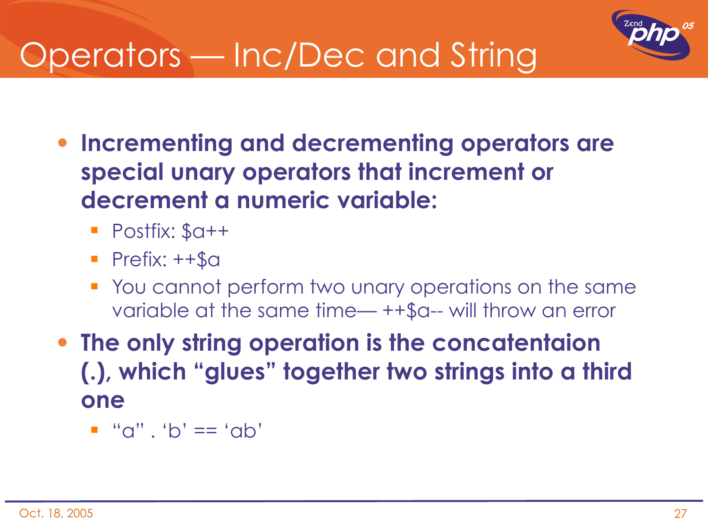

## Operators — Inc/Dec and String

- **Incrementing and decrementing operators are special unary operators that increment or decrement a numeric variable:**
	- Postfix: \$a++
	- $\blacksquare$  Prefix:  $++$ \$a
	- You cannot perform two unary operations on the same variable at the same time— ++\$a-- will throw an error
- **The only string operation is the concatentaion (.), which "glues" together two strings into a third one**
	- $\blacksquare$  "a" . 'b' == 'ab'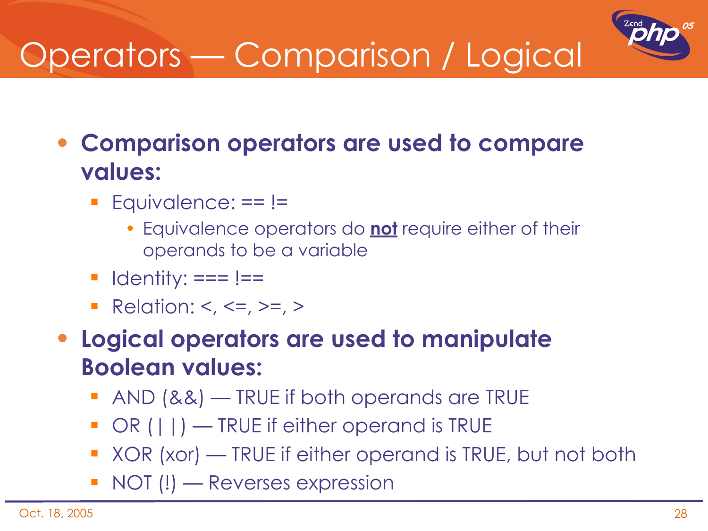# Operators — Comparison / Logical



• **Comparison operators are used to compare values:**

- $\blacksquare$  Equivalence:  $==$  !=
	- Equivalence operators do **not** require either of their operands to be a variable
- $\blacksquare$  Identity:  $==$  !==
- Relation: <, <=, >=, >

• **Logical operators are used to manipulate Boolean values:**

- AND (&&) TRUE if both operands are TRUE
- OR (||) TRUE if either operand is TRUE
- XOR (xor) TRUE if either operand is TRUE, but not both
- **NOT (!) Reverses expression**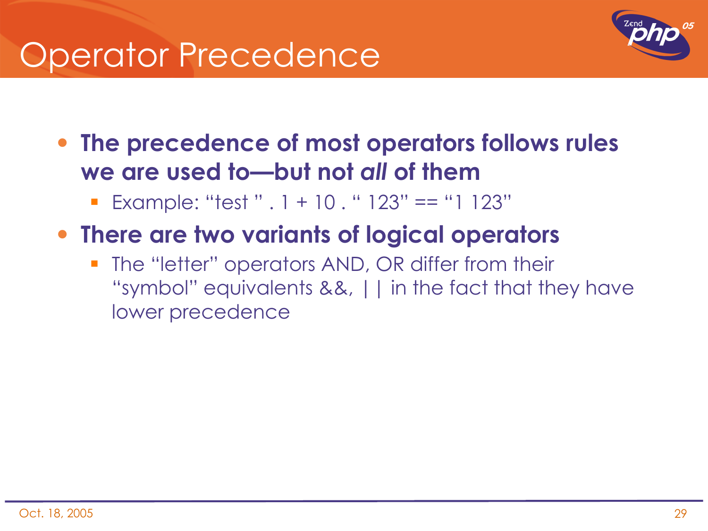### Operator Precedence



- **The precedence of most operators follows rules we are used to—but not** *all* **of them**
	- Example: "test "  $. 1 + 10$  . "  $123" == "1 123"$
- **There are two variants of logical operators**
	- The "letter" operators AND, OR differ from their "symbol" equivalents &&, || in the fact that they have lower precedence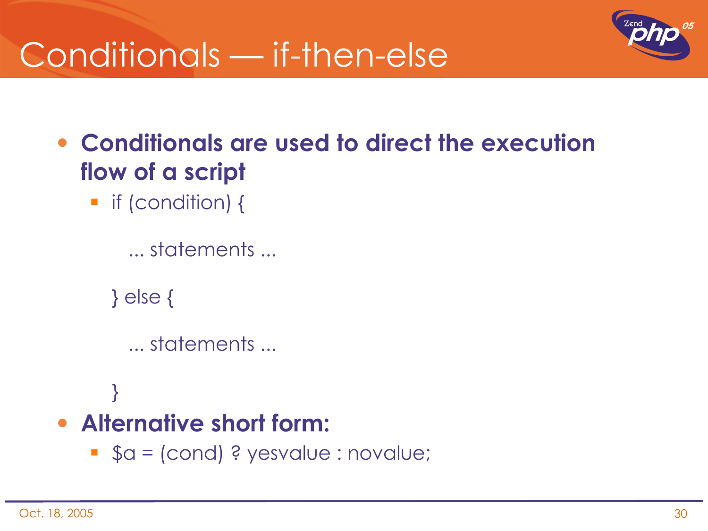### Conditionals — if-then-else



- **Conditionals are used to direct the execution flow of a script**
	- **•** if (condition) {

```
 ... statements ...
```
} else {

}

```
 ... statements ...
```

```
• Alternative short form:
```
\$a = (cond) ? yesvalue : novalue;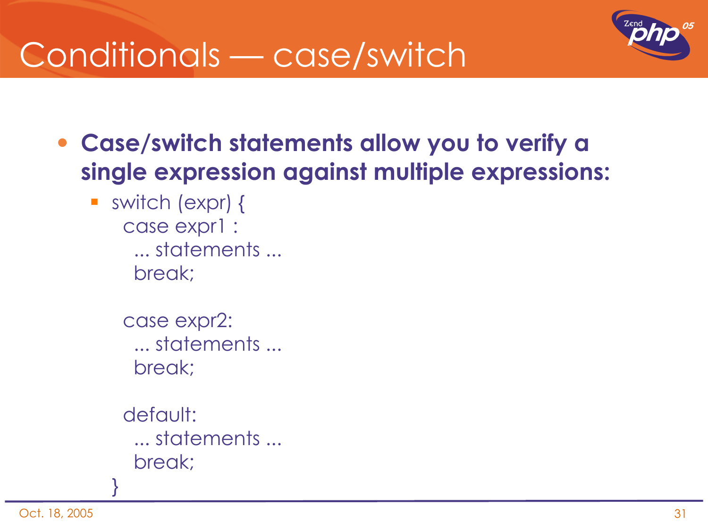

### Conditionals — case/switch

- **Case/switch statements allow you to verify a single expression against multiple expressions:**
	- switch (expr) { case expr1 : ... statements ... break;
		- case expr2: ... statements ... break;
		- default: ... statements ... break;

}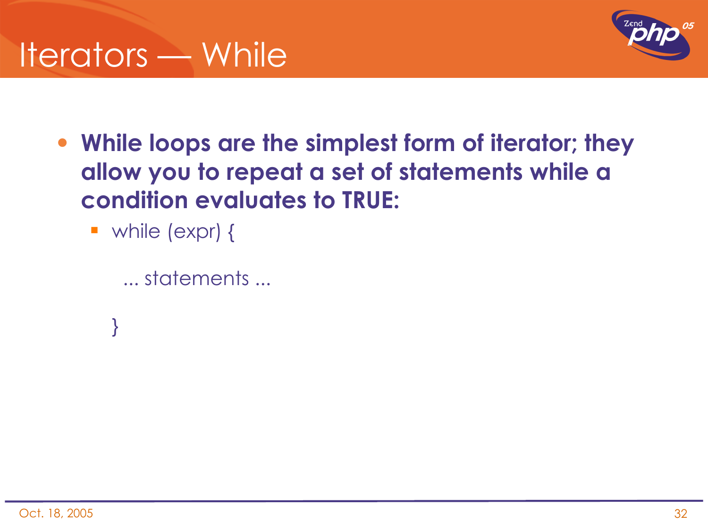

- **While loops are the simplest form of iterator; they allow you to repeat a set of statements while a condition evaluates to TRUE:**
	- while (expr) {

}

```
 ... statements ...
```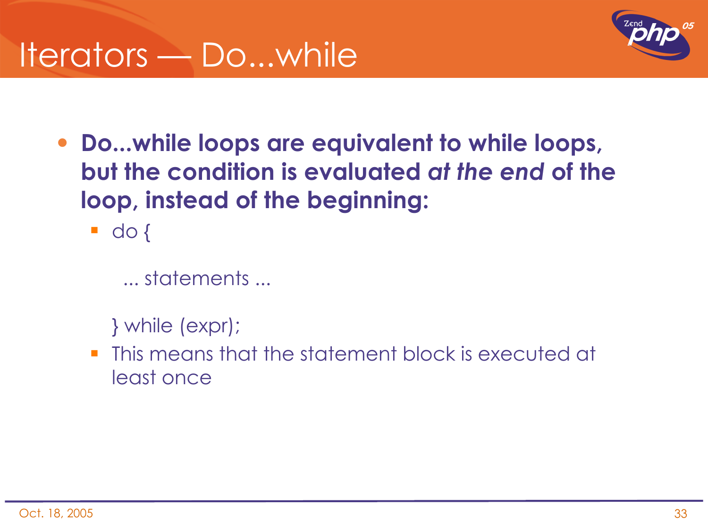

- **Do...while loops are equivalent to while loops, but the condition is evaluated** *at the end* **of the loop, instead of the beginning:**
	- $\blacksquare$  do {

... statements ...

} while (expr);

**This means that the statement block is executed at** least once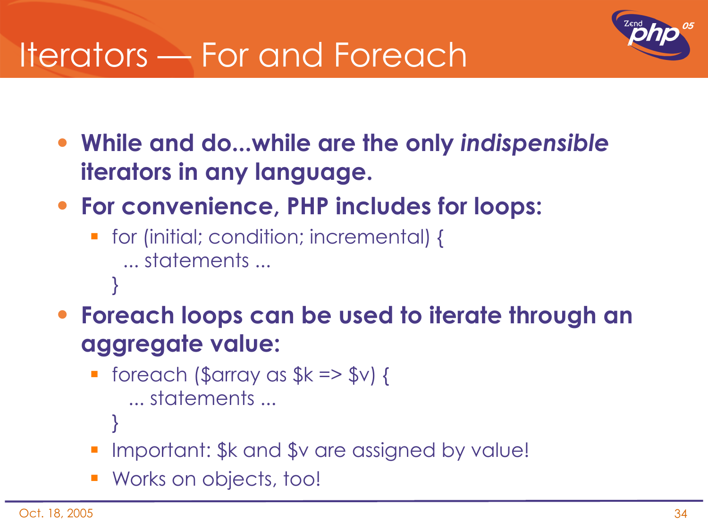### Iterators — For and Foreach



- **While and do...while are the only** *indispensible* **iterators in any language.**
- **For convenience, PHP includes for loops:**
	- for (initial; condition; incremental) { ... statements ... }
- **Foreach loops can be used to iterate through an aggregate value:**
	- $\blacksquare$  foreach (\$array as \$k => \$v) { ... statements ...
		- }
	- Important: \$k and \$v are assigned by value!
	- **Works on objects, too!**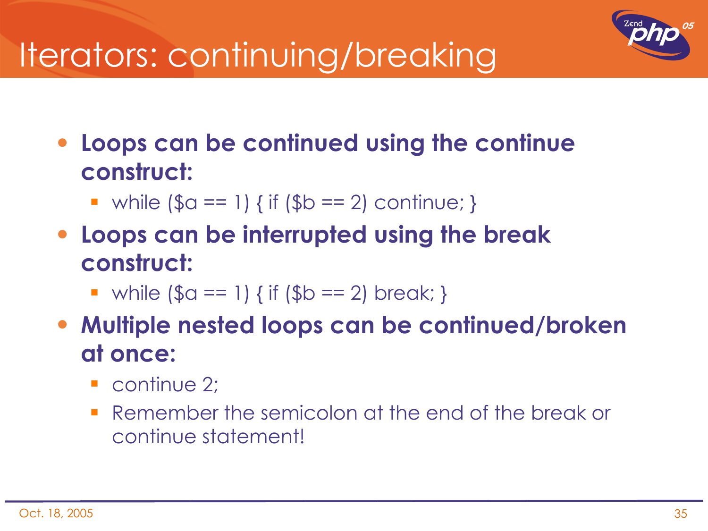## Iterators: continuing/breaking

• **Loops can be continued using the continue construct:**

- while  $(\$a == 1)$  { if  $(\$b == 2)$  continue; }
- **Loops can be interrupted using the break construct:**
	- while  $(\$a == 1)$  { if  $(\$b == 2)$  break; }
- **Multiple nested loops can be continued/broken at once:**
	- continue 2;
	- **Remember the semicolon at the end of the break or** continue statement!

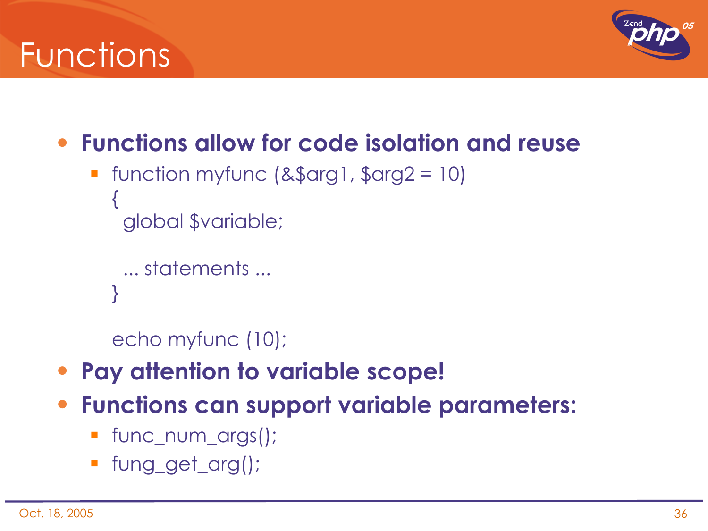### Functions



- **Functions allow for code isolation and reuse**
	- function myfunc (&\$arg1, \$arg2 = 10) { global \$variable;

```
 ... statements ...
}
```
echo myfunc (10);

- **Pay attention to variable scope!**
- **Functions can support variable parameters:**
	- func\_num\_args();
	- fung\_get\_arg();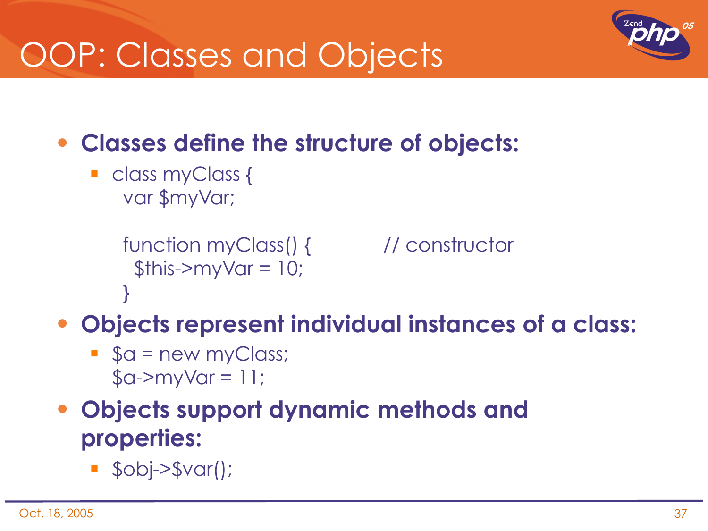## OOP: Classes and Objects



- **Classes define the structure of objects:**
	- class myClass { var \$myVar;

```
 function myClass() { // constructor
 $this->myVar = 10;
 }
```
- **Objects represent individual instances of a class:**
	- $\bullet$  \$a = new myClass;  $\text{\$a->myVar} = 11;$
- **Objects support dynamic methods and properties:**
	- $s$  \$obj->\$var();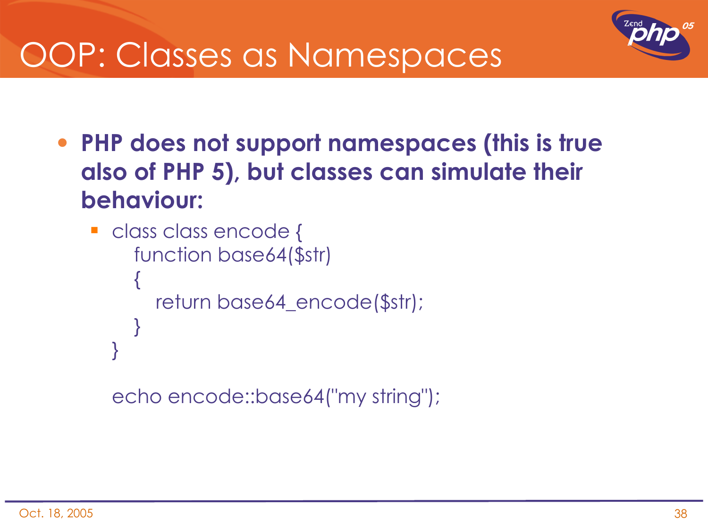

### OOP: Classes as Namespaces

• **PHP does not support namespaces (this is true also of PHP 5), but classes can simulate their behaviour:**

```
class class encode {
         function base64($str)
   \{        return base64_encode($str);
         }
   }
```
echo encode::base64("my string");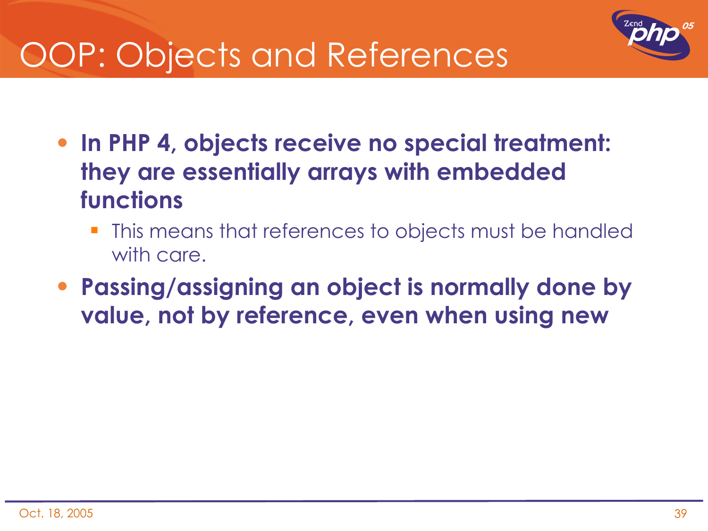

## OOP: Objects and References

- **In PHP 4, objects receive no special treatment: they are essentially arrays with embedded functions**
	- This means that references to objects must be handled with care.
- **Passing/assigning an object is normally done by value, not by reference, even when using new**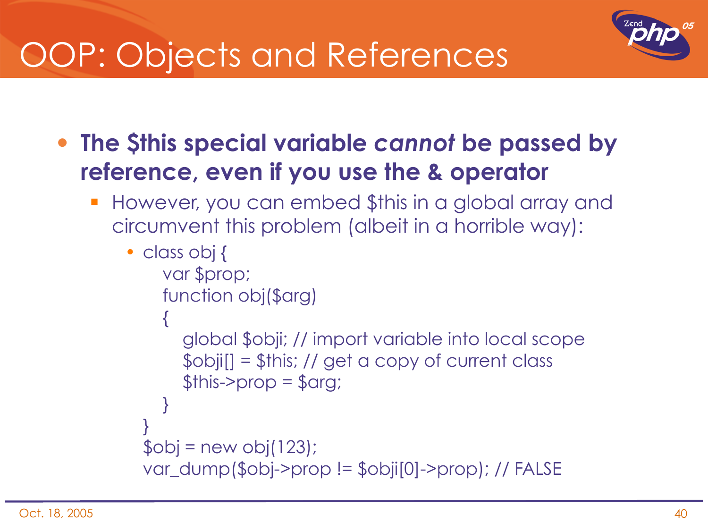

## OOP: Objects and References

- **The \$this special variable** *cannot* **be passed by reference, even if you use the & operator**
	- However, you can embed \$this in a global array and circumvent this problem (albeit in a horrible way):

```
• class obj {
     var $prop;
        function obj($arg)
  \{        global $obji; // import variable into local scope
       \deltaobji[] = \deltathis; // get a copy of current class
       $this ->prop = $arg;    }
  }
  $obj = new obj(123);var_dump($obj->prop != $obji[0]->prop); // FALSE
```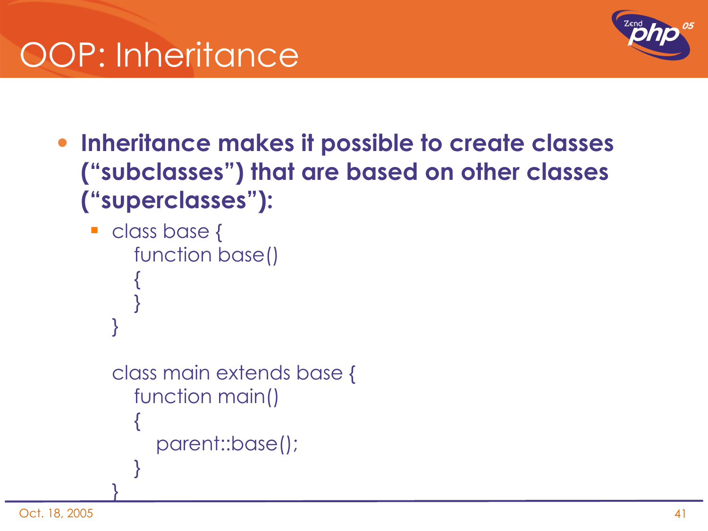

- **Inheritance makes it possible to create classes ("subclasses") that are based on other classes ("superclasses"):**
	- class base { function base()  $\{$

}

}

}

```
class main extends base {
      function main()
\{        parent::base();
    }
```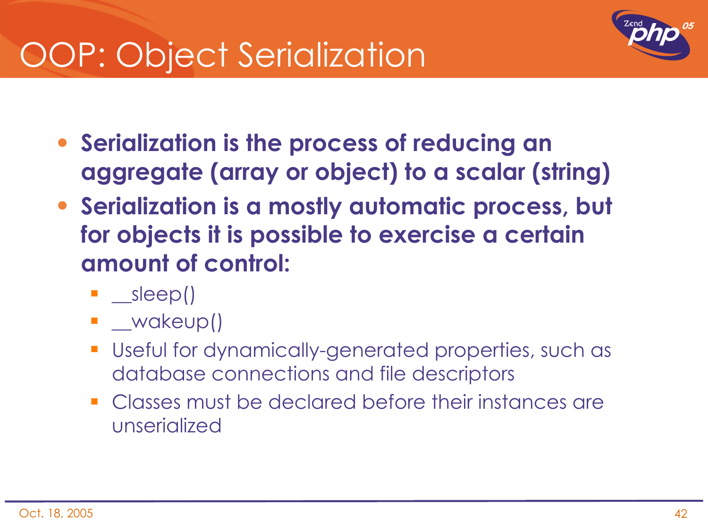## OOP: Object Serialization



- **Serialization is the process of reducing an aggregate (array or object) to a scalar (string)**
- **Serialization is a mostly automatic process, but for objects it is possible to exercise a certain amount of control:**
	- $\blacksquare$  \_\_sleep()
	- **L** wakeup()
	- Useful for dynamically-generated properties, such as database connections and file descriptors
	- **Classes must be declared before their instances are** unserialized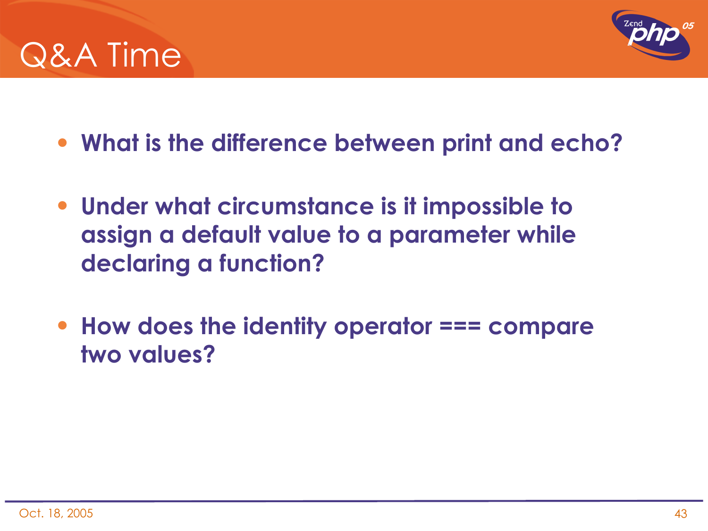



- **What is the difference between print and echo?**
- **Under what circumstance is it impossible to assign a default value to a parameter while declaring a function?**
- **How does the identity operator === compare two values?**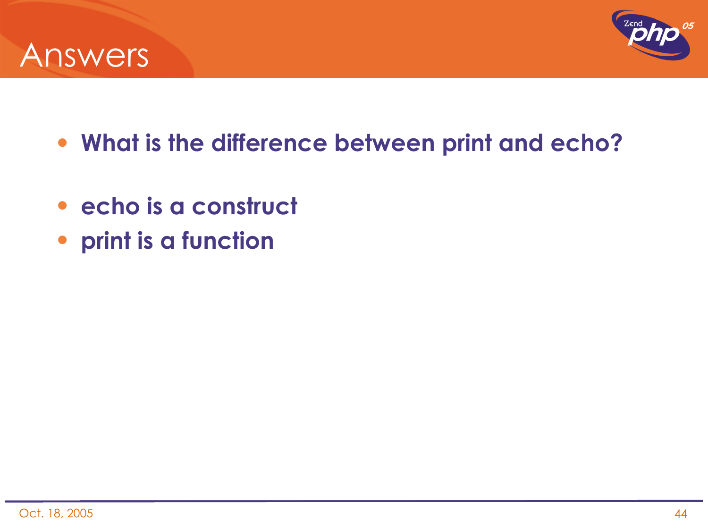



- **What is the difference between print and echo?**
- **echo is a construct**
- **print is a function**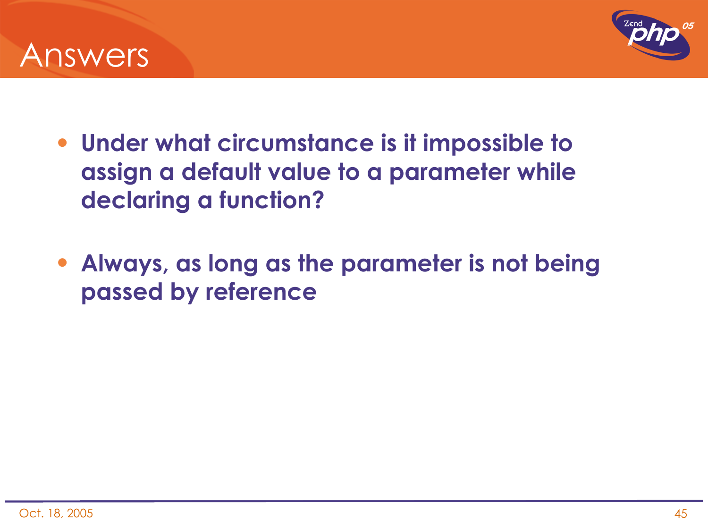



- **Under what circumstance is it impossible to assign a default value to a parameter while declaring a function?**
- **Always, as long as the parameter is not being passed by reference**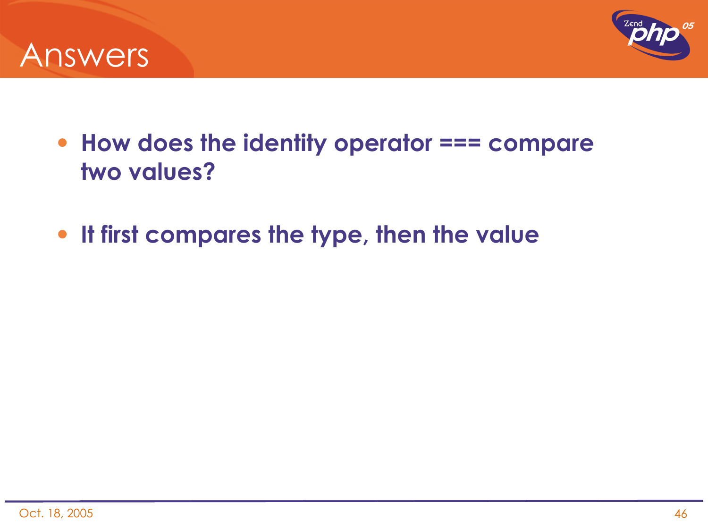



- **How does the identity operator === compare two values?**
- **It first compares the type, then the value**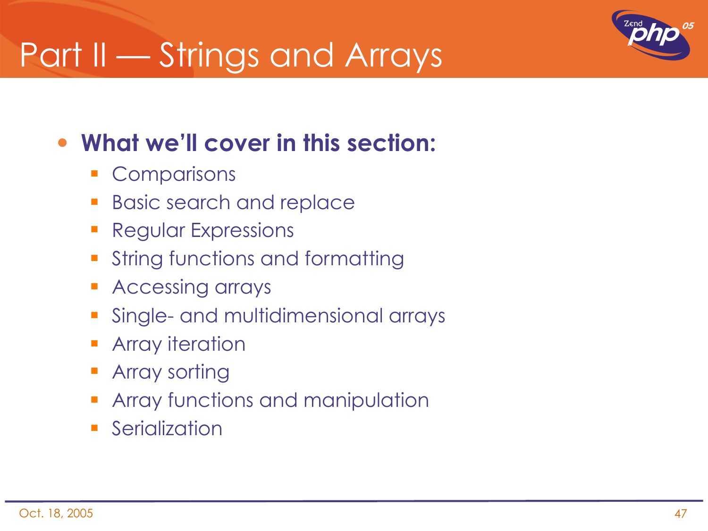## Part II — Strings and Arrays



### • **What we'll cover in this section:**

- **Comparisons**
- **Basic search and replace**
- **Regular Expressions**
- **String functions and formatting**
- **Accessing arrays**
- **Single- and multidimensional arrays**
- **Array iteration**
- Array sorting
- Array functions and manipulation
- **Serialization**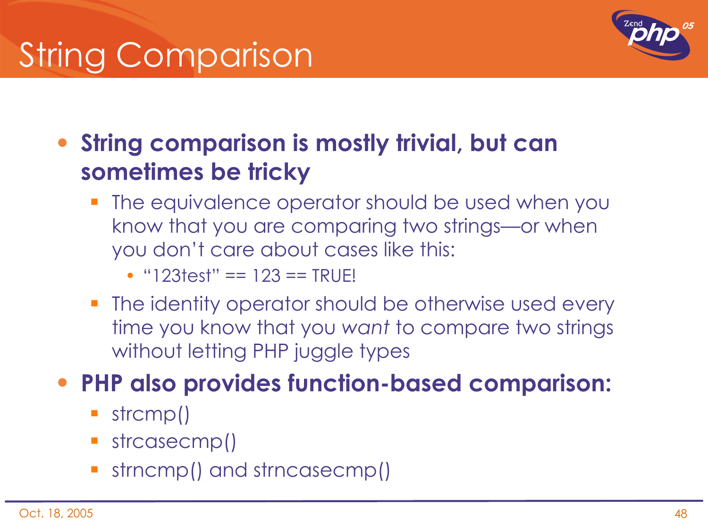# String Comparison



• **String comparison is mostly trivial, but can sometimes be tricky**

 The equivalence operator should be used when you know that you are comparing two strings—or when you don't care about cases like this:

• "123test" == 123 == TRUE!

**The identity operator should be otherwise used every** time you know that you *want* to compare two strings without letting PHP juggle types

#### • **PHP also provides function-based comparison:**

- strcmp()
- strcasecmp()
- strncmp() and strncasecmp()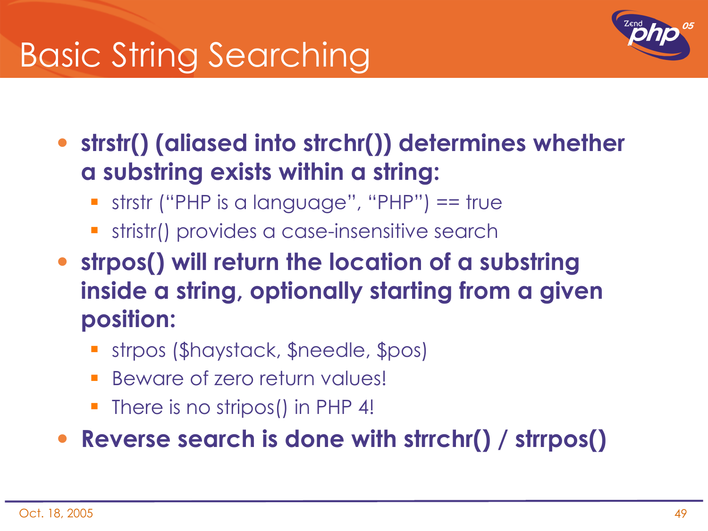## Basic String Searching



• **strstr() (aliased into strchr()) determines whether a substring exists within a string:**

- strstr ("PHP is a language", "PHP") == true
- stristr() provides a case-insensitive search
- **strpos() will return the location of a substring inside a string, optionally starting from a given position:**
	- strpos (\$haystack, \$needle, \$pos)
	- Beware of zero return values!
	- There is no stripos() in PHP 4!

• **Reverse search is done with strrchr() / strrpos()**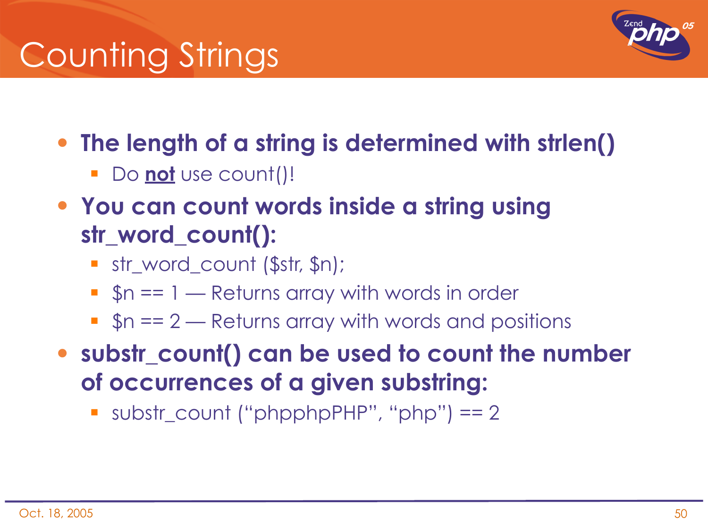## Counting Strings



- **The length of a string is determined with strlen()**
	- **Do not** use count()!
- **You can count words inside a string using str\_word\_count():**
	- str\_word\_count (\$str, \$n);
	- $\bullet$  \$n == 1 Returns array with words in order
	- $s_n = 2$  Returns array with words and positions

• **substr\_count() can be used to count the number of occurrences of a given substring:**

substr\_count ("phpphpPHP", "php") == 2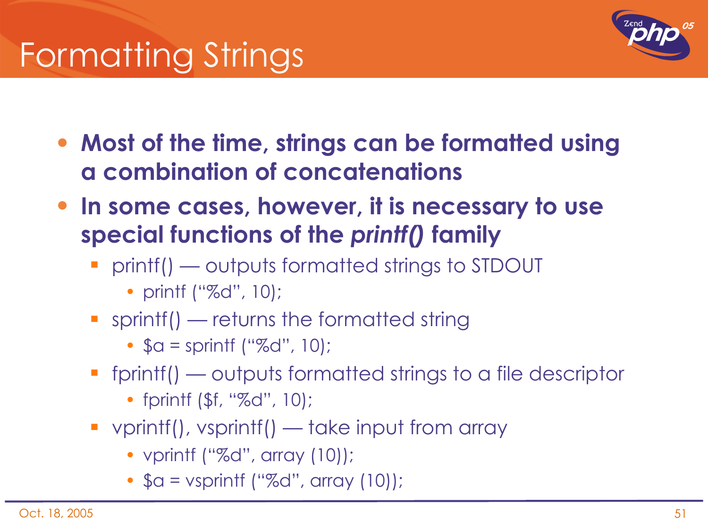

- **Most of the time, strings can be formatted using a combination of concatenations**
- **In some cases, however, it is necessary to use special functions of the** *printf()* **family**
	- **Perinter 1 II Follow ST DOUT Printf() outputs formatted strings to STDOUT** 
		- printf ("%d", 10);
	- **Sprintf() returns the formatted string** 
		- $a =$  sprintf ("%d", 10);
	- fprintf() outputs formatted strings to a file descriptor
		- fprintf (\$f, "%d", 10);
	- vprintf(), vsprintf() take input from array
		- vprintf ("%d", array (10));
		- $a = v$ sprintf ("%d", array (10));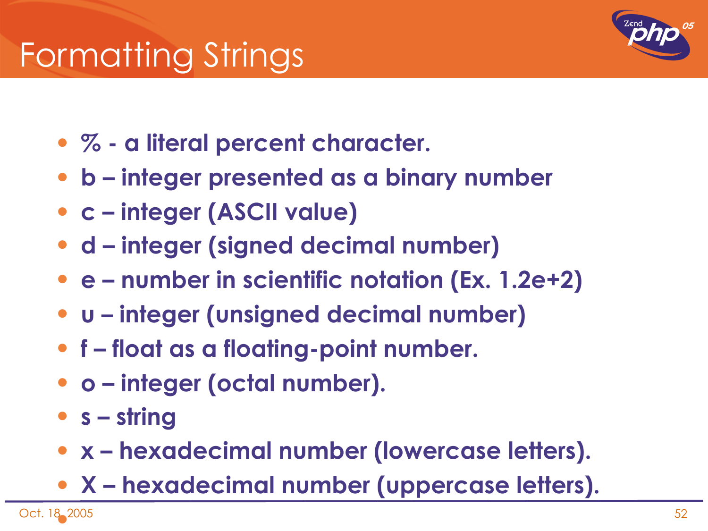

- **% a literal percent character.**
- **b integer presented as a binary number**
- **c integer (ASCII value)**
- **d integer (signed decimal number)**
- **e number in scientific notation (Ex. 1.2e+2)**
- **u integer (unsigned decimal number)**
- **f float as a floating-point number.**
- **o integer (octal number).**
- **s string**
- **x hexadecimal number (lowercase letters).**
- **X hexadecimal number (uppercase letters).**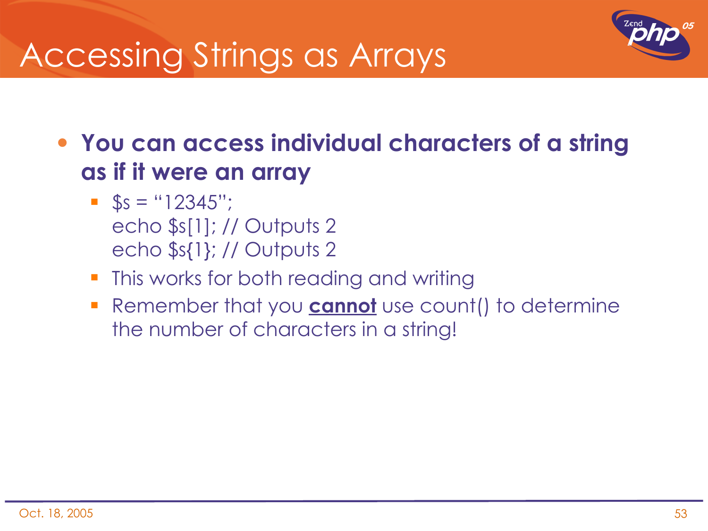### Accessing Strings as Arrays



- **You can access individual characters of a string as if it were an array**
	- $\bullet$  \$s = "12345"; echo \$s[1]; // Outputs 2 echo \$s{1}; // Outputs 2
	- **This works for both reading and writing**
	- Remember that you **cannot** use count() to determine the number of characters in a string!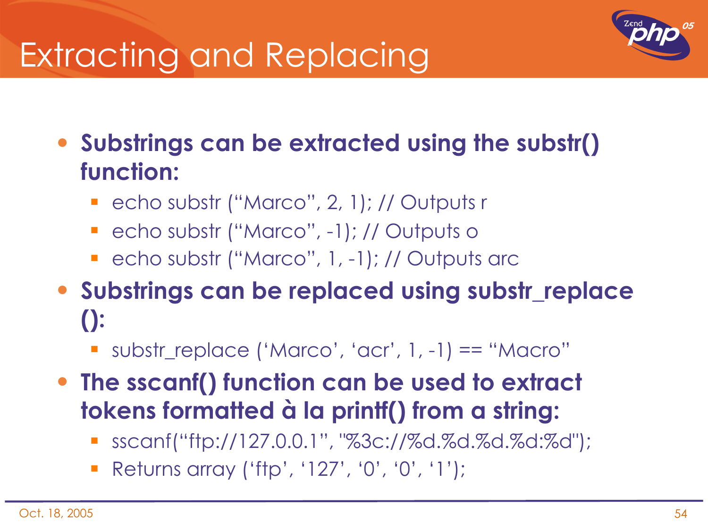## Extracting and Replacing



• **Substrings can be extracted using the substr() function:**

- echo substr ("Marco", 2, 1); // Outputs r
- echo substr ("Marco", -1); // Outputs o
- **-** echo substr ("Marco", 1, -1); // Outputs arc
- **Substrings can be replaced using substr\_replace ():**
	- substr\_replace ('Marco', 'acr', 1, -1) == "Macro"
- **The sscanf() function can be used to extract tokens formatted à la printf() from a string:**
	- sscanf("ftp://127.0.0.1", "%3c://%d.%d.%d.%d:%d");
	- Returns array ('ftp', '127', '0', '0', '1');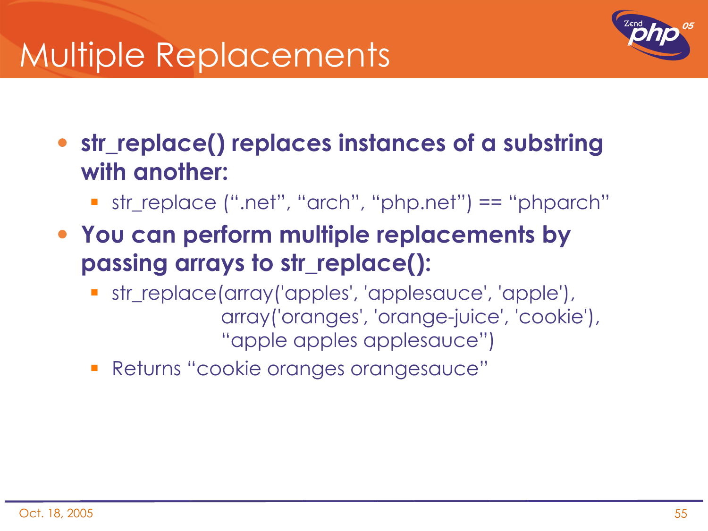### Multiple Replacements



- **str\_replace() replaces instances of a substring with another:**
	- str\_replace (".net", "arch", "php.net") == "phparch"
- **You can perform multiple replacements by passing arrays to str\_replace():**
	- str\_replace(array('apples', 'applesauce', 'apple'), array('oranges', 'orange-juice', 'cookie'), "apple apples applesauce")
	- Returns "cookie oranges orangesauce"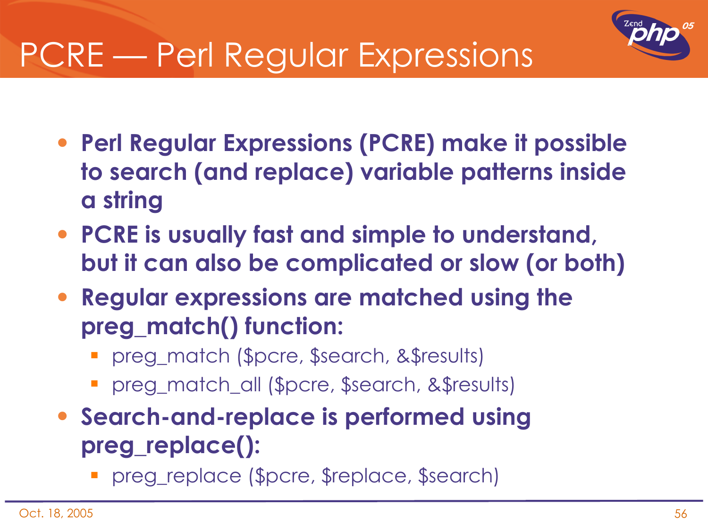

## PCRE — Perl Regular Expressions

- **Perl Regular Expressions (PCRE) make it possible to search (and replace) variable patterns inside a string**
- **PCRE is usually fast and simple to understand, but it can also be complicated or slow (or both)**
- **Regular expressions are matched using the preg\_match() function:**
	- preg\_match (\$pcre, \$search, &\$results)
	- preg\_match\_all (\$pcre, \$search, &\$results)
- **Search-and-replace is performed using preg\_replace():**
	- preg\_replace (\$pcre, \$replace, \$search)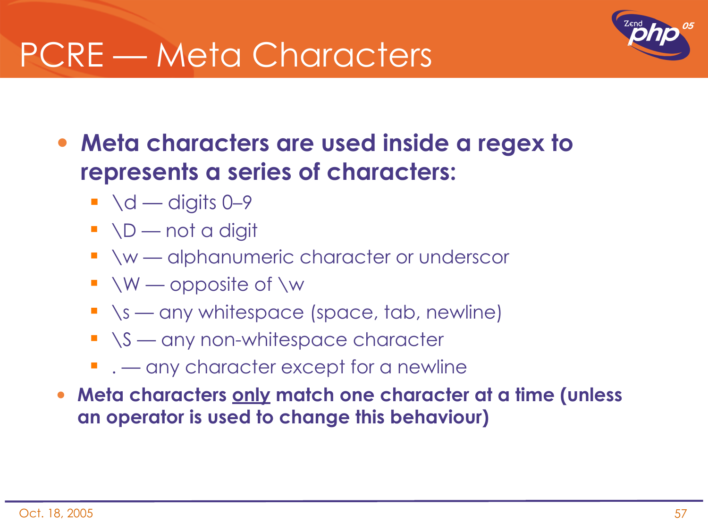### PCRE — Meta Characters



• **Meta characters are used inside a regex to represents a series of characters:**

- $\blacksquare$  \d digits 0–9
- $\blacksquare$   $\lozenge$   $D$  not a digit
- **Notal America in Americ character or underscor**
- $\blacksquare$  \W opposite of \w
- $\blacksquare$   $\simeq$  any whitespace (space, tab, newline)
- $\blacksquare$   $\S$  any non-whitespace character
- $\blacksquare$  . any character except for a newline
- **Meta characters only match one character at a time (unless an operator is used to change this behaviour)**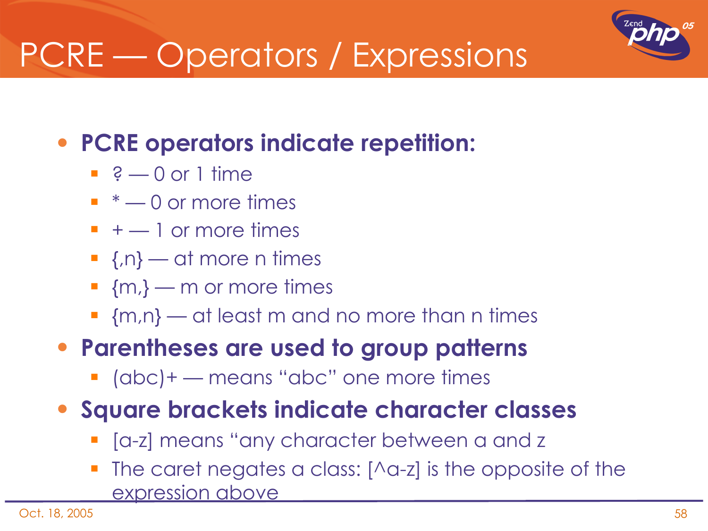## PCRE — Operators / Expressions

#### • **PCRE operators indicate repetition:**

- $\therefore$  ?  $-0$  or 1 time
- $\bullet$   $*$   $\text{—}$  0 or more times
- $+ 1$  or more times
- $\blacksquare$  {,n} at more n times
- $\blacksquare$  {m, } m or more times
- $m,n$   $\rightarrow$  at least m and no more than n times

#### • **Parentheses are used to group patterns**

- (abc)+ means "abc" one more times
- **Square brackets indicate character classes**
	- **-** [a-z] means "any character between a and z
	- The caret negates a class:  $[\triangle a-z]$  is the opposite of the expression above

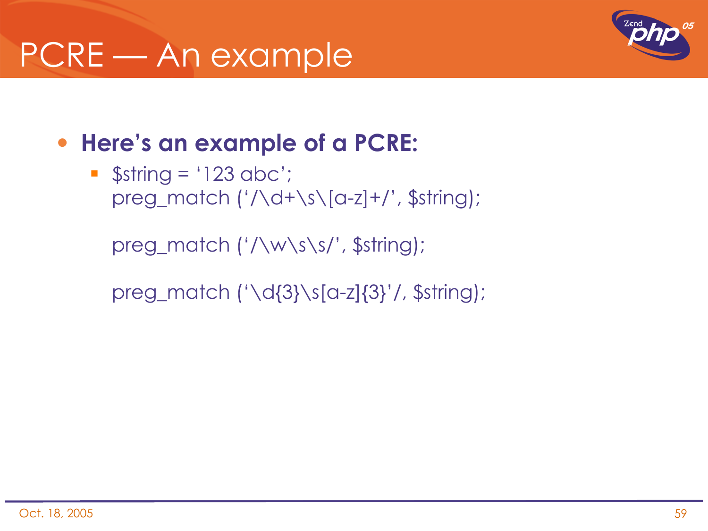## PCRE — An example



#### • **Here's an example of a PCRE:**

 $\bullet$  \$string = '123 abc'; preg\_match ('/\d+\s\[a-z]+/', \$string);

preg\_match ('/\w\s\s/', \$string);

preg\_match ('\d{3}\s[a-z]{3}'/, \$string);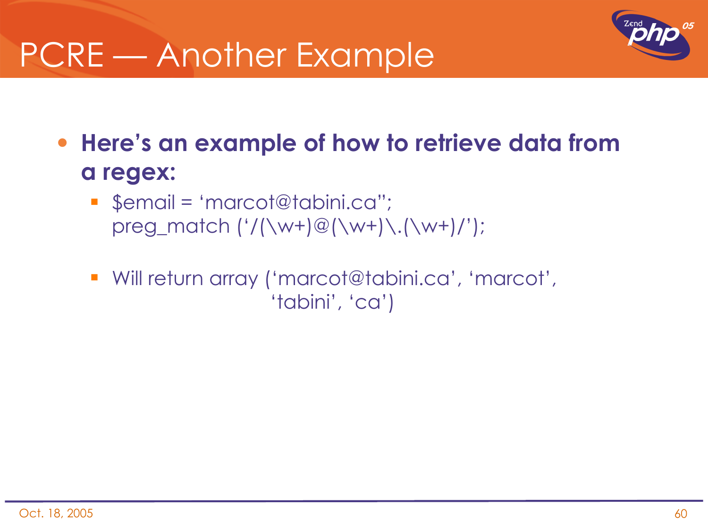### PCRE — Another Example



- **Here's an example of how to retrieve data from a regex:**
	- \$email = 'marcot@tabini.ca"; preg\_match  $('/(\w+)@(\w+)\ldots(\w+)/')$ ;
	- Will return array ('marcot@tabini.ca', 'marcot', 'tabini', 'ca')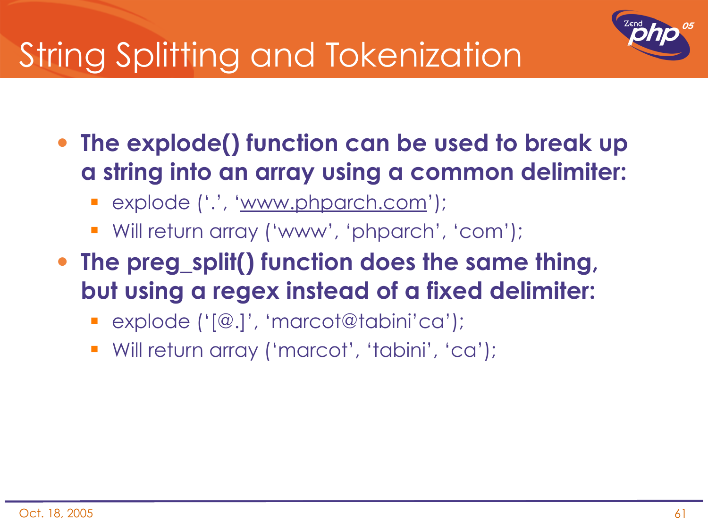

## String Splitting and Tokenization

- **The explode() function can be used to break up a string into an array using a common delimiter:**
	- explode ('.', 'www.phparch.com');
	- Will return array ('www', 'phparch', 'com');
- **The preg\_split() function does the same thing, but using a regex instead of a fixed delimiter:**
	- explode ('[@.]', 'marcot@tabini'ca');
	- Will return array ('marcot', 'tabini', 'ca');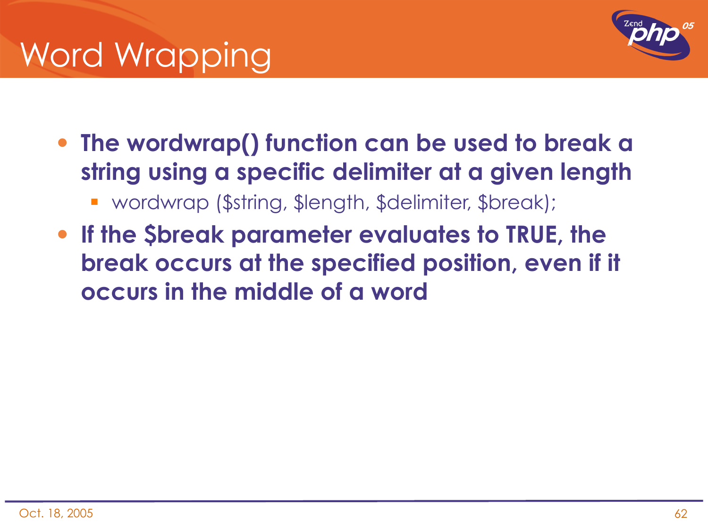## Word Wrapping



- **The wordwrap() function can be used to break a string using a specific delimiter at a given length**
	- wordwrap (\$string, \$length, \$delimiter, \$break);
- **If the \$break parameter evaluates to TRUE, the break occurs at the specified position, even if it occurs in the middle of a word**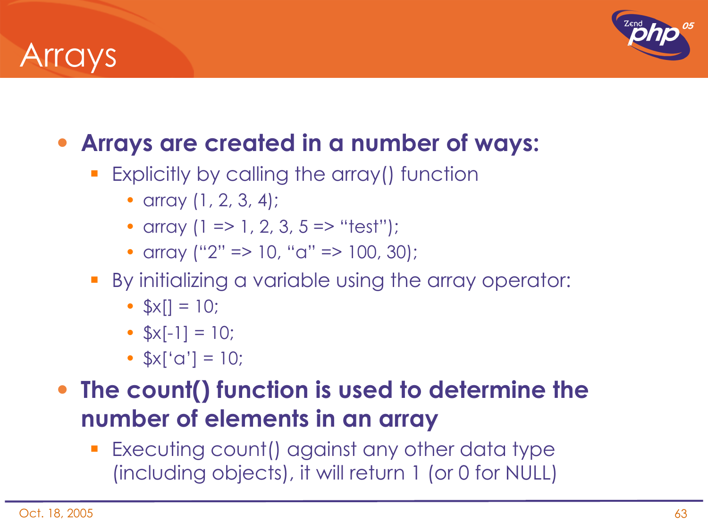### **Arrays**



#### • **Arrays are created in a number of ways:**

- **Explicitly by calling the array() function** 
	- array (1, 2, 3, 4);
	- array  $(1 \Rightarrow 1, 2, 3, 5 \Rightarrow$  "test");
	- array ("2" => 10, "a" => 100, 30);
- By initializing a variable using the array operator:
	- $\frac{1}{2}x[1] = 10$ ;
	- $$x[-1] = 10;$
	- $x'[a'] = 10;$

#### • **The count() function is used to determine the number of elements in an array**

 Executing count() against any other data type (including objects), it will return 1 (or 0 for NULL)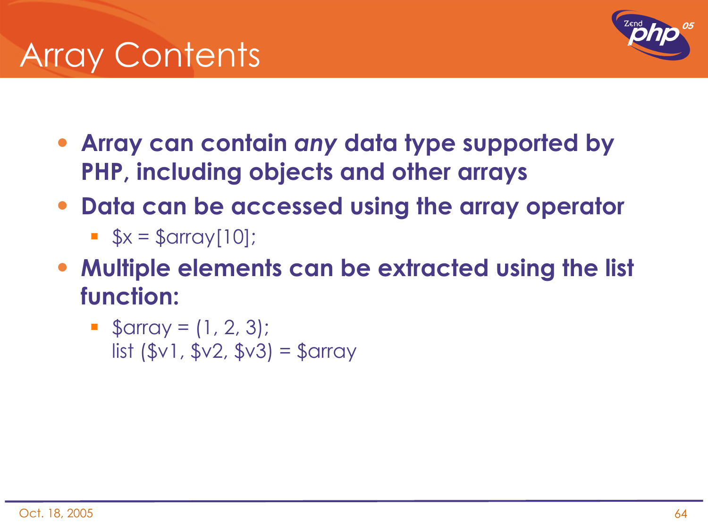## Array Contents



- **Array can contain** *any* **data type supported by PHP, including objects and other arrays**
- **Data can be accessed using the array operator**
	- $\bullet$  \$x = \$array[10];
- **Multiple elements can be extracted using the list function:**
	- $\bullet$  \$array =  $(1, 2, 3)$ ; list (\$v1, \$v2, \$v3) = \$array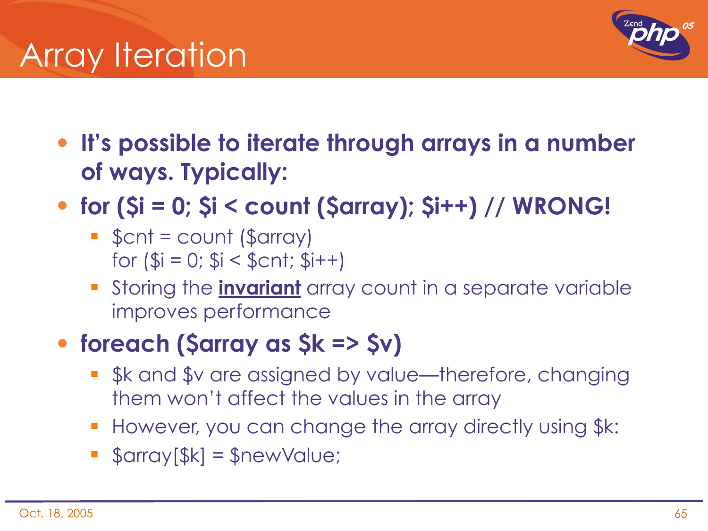### **Array Iteration**



- **It's possible to iterate through arrays in a number of ways. Typically:**
- **for (\$i = 0; \$i < count (\$array); \$i++) // WRONG!**
	- $\bullet$  \$cnt = count (\$array) for  $(\$i = 0; \$i < \$cnt; \$i++)$
	- Storing the **invariant** array count in a separate variable improves performance

#### • **foreach (\$array as \$k => \$v)**

- \$k and \$v are assigned by value—therefore, changing them won't affect the values in the array
- **However, you can change the array directly using \$k:**
- $\bullet$  \$array[\$k] = \$newValue;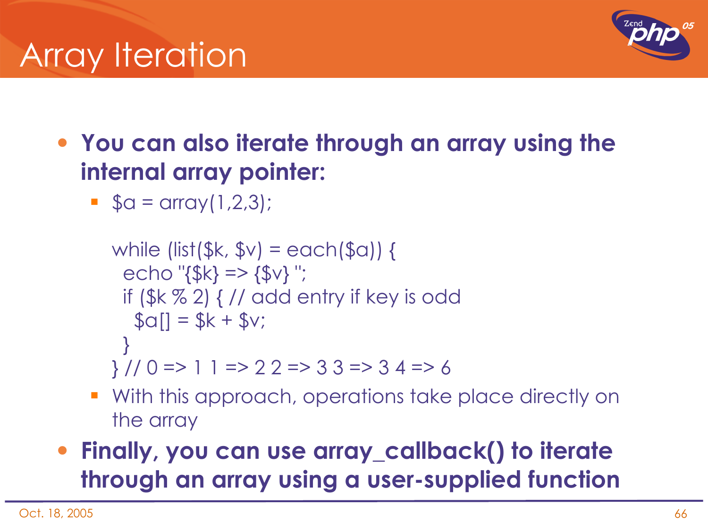## **Array Iteration**



- **You can also iterate through an array using the internal array pointer:**
	- $\bullet$  \$a = array(1,2,3);

```
while (list($k, y = e \cdot \sin(\frac{\pi}{3})) {
 echo "{}_{5k}} => {}_{5k}} ";
   if ($k % 2) { // add entry if key is odd
   \text{$s$}a\text{]} = \text{$s$}k + \text{$s$}v;
  }
} // 0 => 1 1 => 2 2 => 3 3 => 3 4 => 6
```
- With this approach, operations take place directly on the array
- **Finally, you can use array\_callback() to iterate through an array using a user-supplied function**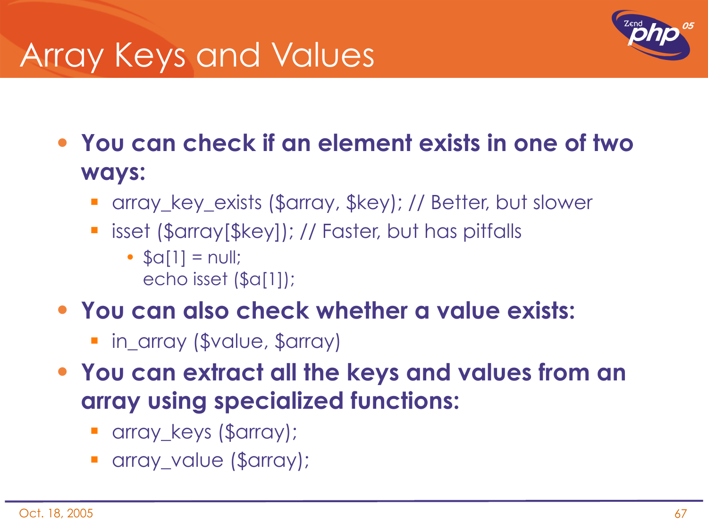## Array Keys and Values



• **You can check if an element exists in one of two ways:**

- array\_key\_exists (\$array, \$key); // Better, but slower
- **E** isset (\$array[\$key]); // Faster, but has pitfalls
	- $\bullet$   $\text{Sc}[1] = \text{null}$ ; echo isset (\$a[1]);
- **You can also check whether a value exists:**
	- **F** in\_array (\$value, \$array)
- **You can extract all the keys and values from an array using specialized functions:**
	- array\_keys (\$array);
	- array\_value (\$array);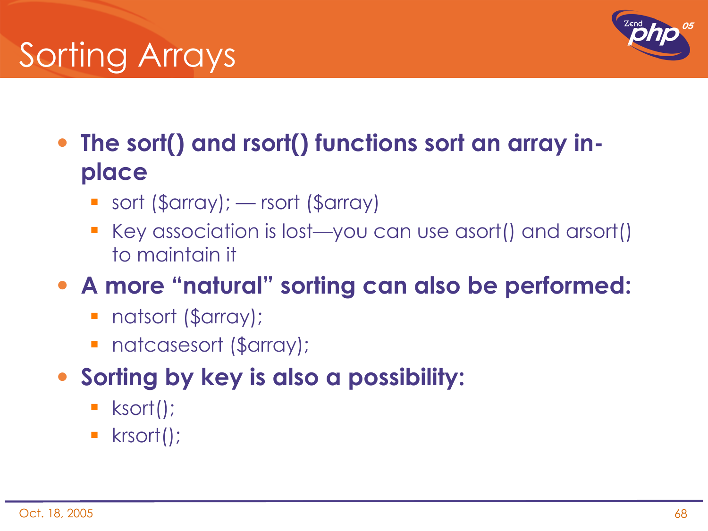# Sorting Arrays



- **The sort() and rsort() functions sort an array inplace**
	- sort (\$array); rsort (\$array)
	- Key association is lost—you can use asort() and arsort() to maintain it
- **A more "natural" sorting can also be performed:**
	- natsort (\$array);
	- **natcasesort (\$array);**
- **Sorting by key is also a possibility:**
	- **ksort()**;
	- krsort();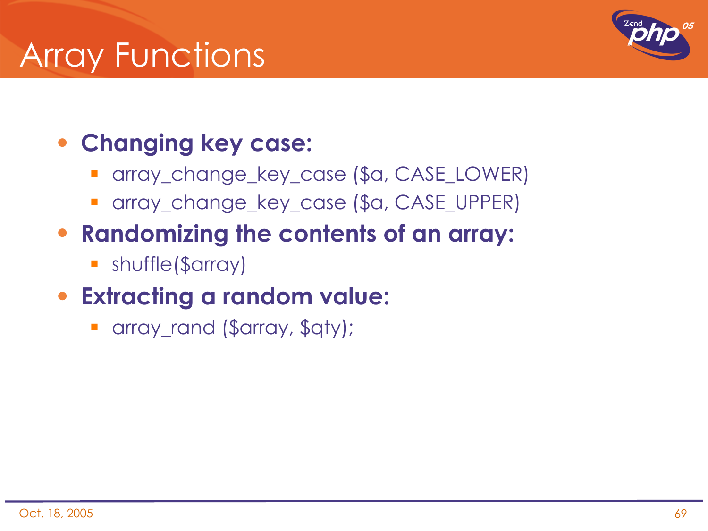### Array Functions



#### • **Changing key case:**

- array\_change\_key\_case (\$a, CASE\_LOWER)
- array\_change\_key\_case (\$a, CASE\_UPPER)
- **Randomizing the contents of an array:**
	- shuffle(\$array)

#### • **Extracting a random value:**

array\_rand (\$array, \$qty);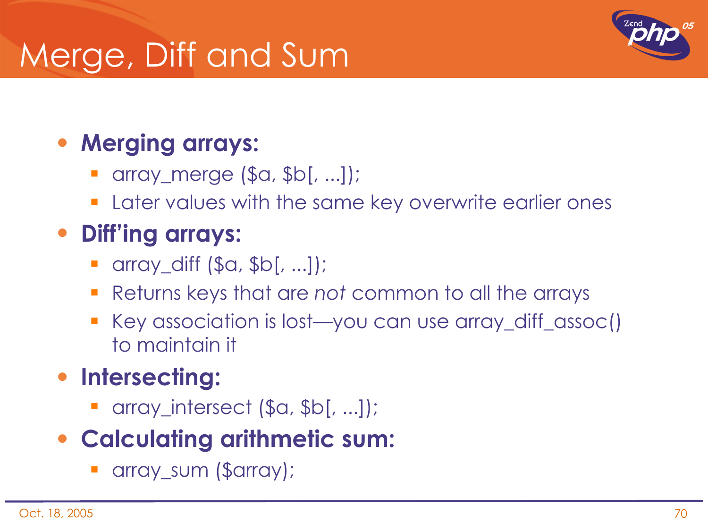## Merge, Diff and Sum



#### • **Merging arrays:**

- array\_merge (\$a, \$b[, ...]);
- **Later values with the same key overwrite earlier ones**

### • **Diff'ing arrays:**

- array\_diff (\$a, \$b[, ...]);
- Returns keys that are *not* common to all the arrays
- Key association is lost—you can use array\_diff\_assoc() to maintain it

#### • **Intersecting:**

array\_intersect (\$a, \$b[, ...]);

#### • **Calculating arithmetic sum:**

array\_sum (\$array);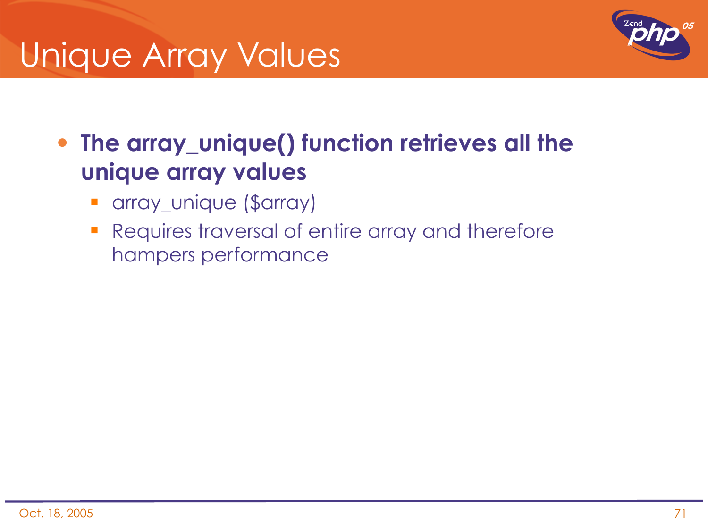### Unique Array Values



• **The array\_unique() function retrieves all the unique array values**

- **•** array\_unique (\$array)
- **Requires traversal of entire array and therefore** hampers performance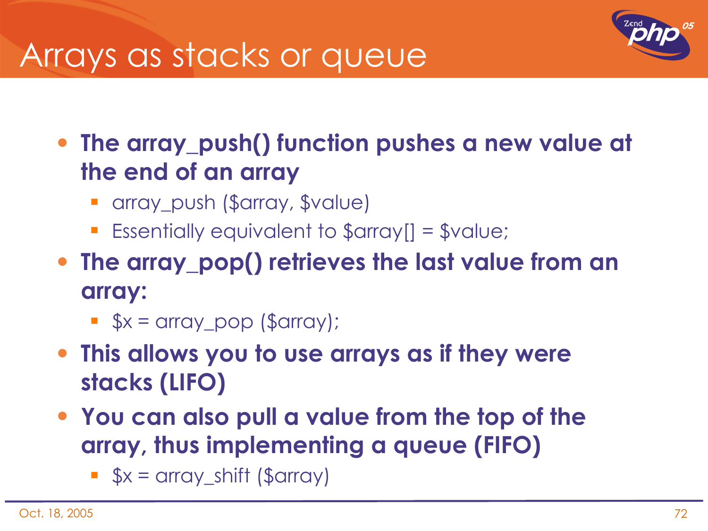### Arrays as stacks or queue



• **The array\_push() function pushes a new value at the end of an array**

- array\_push (\$array, \$value)
- Essentially equivalent to \$array[] = \$value;
- **The array\_pop() retrieves the last value from an array:**
	- $\bullet$   $\frac{1}{2}x = \text{array}$  pop (\$array);
- **This allows you to use arrays as if they were stacks (LIFO)**
- **You can also pull a value from the top of the array, thus implementing a queue (FIFO)**
	- $\bullet$  \$x = array\_shift (\$array)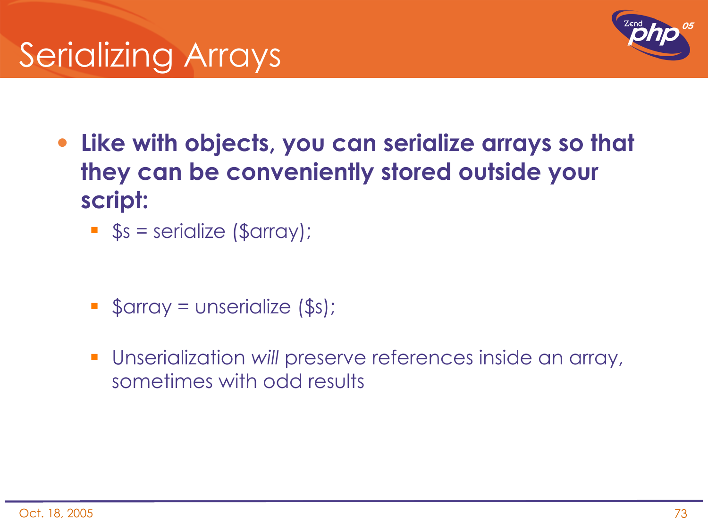

- **Like with objects, you can serialize arrays so that they can be conveniently stored outside your script:**
	- $\bullet$  \$s = serialize (\$array);
	- $\bullet$  \$array = unserialize (\$s);
	- Unserialization *will* preserve references inside an array, sometimes with odd results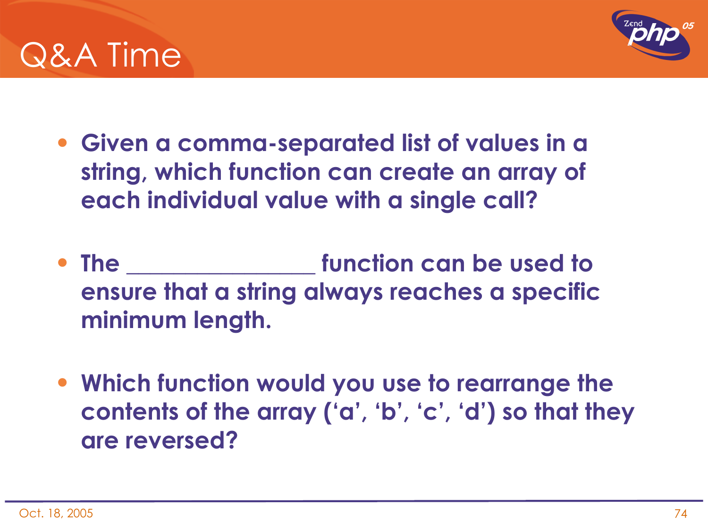



- **Given a comma-separated list of values in a string, which function can create an array of each individual value with a single call?**
- **The \_\_\_\_\_\_\_\_\_\_\_\_\_\_\_\_ function can be used to ensure that a string always reaches a specific minimum length.**
- **Which function would you use to rearrange the contents of the array ('a', 'b', 'c', 'd') so that they are reversed?**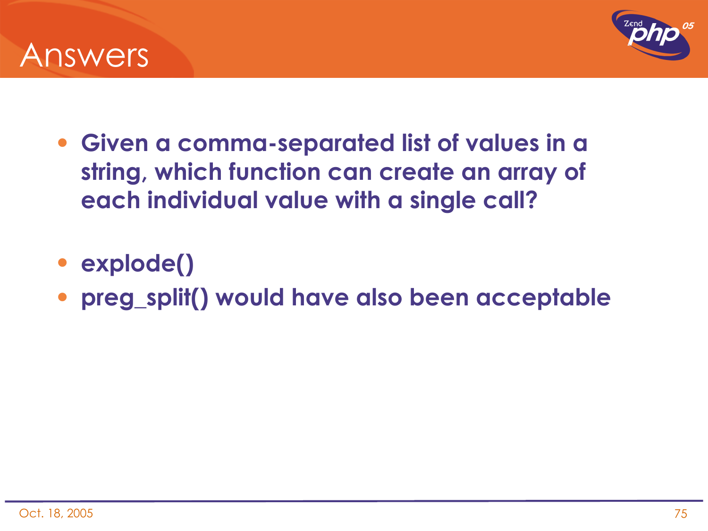



- **Given a comma-separated list of values in a string, which function can create an array of each individual value with a single call?**
- **explode()**
- **preg\_split() would have also been acceptable**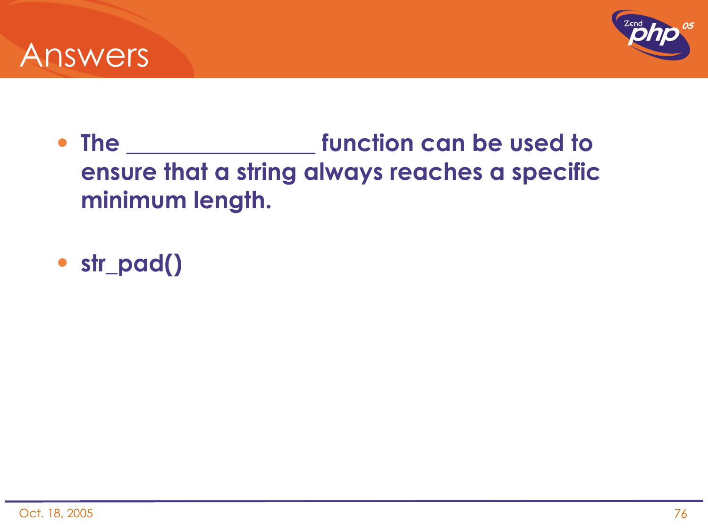



- **The \_\_\_\_\_\_\_\_\_\_\_\_\_\_\_\_ function can be used to ensure that a string always reaches a specific minimum length.**
- **str\_pad()**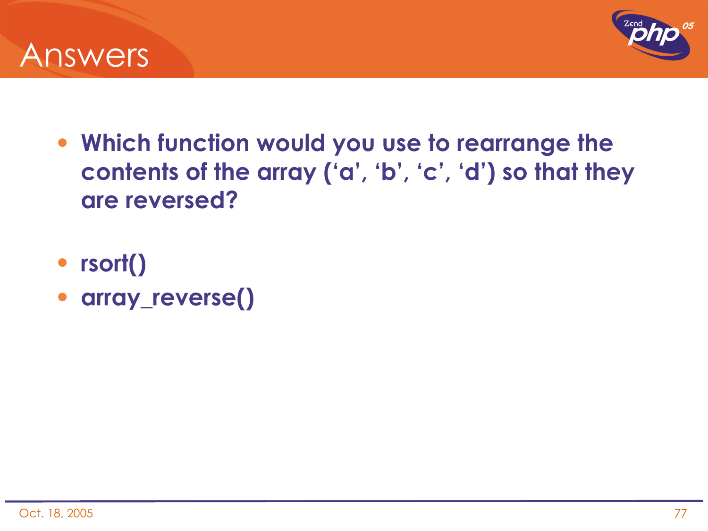



- **Which function would you use to rearrange the contents of the array ('a', 'b', 'c', 'd') so that they are reversed?**
- **rsort()**
- **array\_reverse()**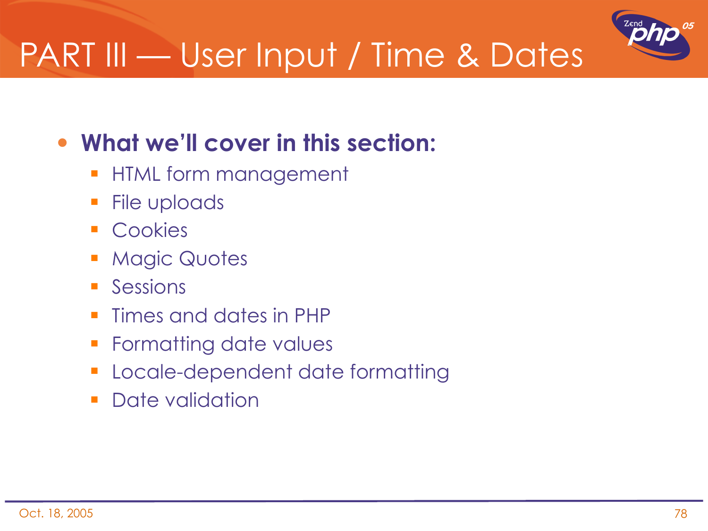

# PART III — User Input / Time & Dates

#### • **What we'll cover in this section:**

- **HTML form management**
- **File uploads**
- **Cookies**
- **Magic Quotes**
- **Sessions**
- **Times and dates in PHP**
- **Formatting date values**
- **Locale-dependent date formatting**
- **Date validation**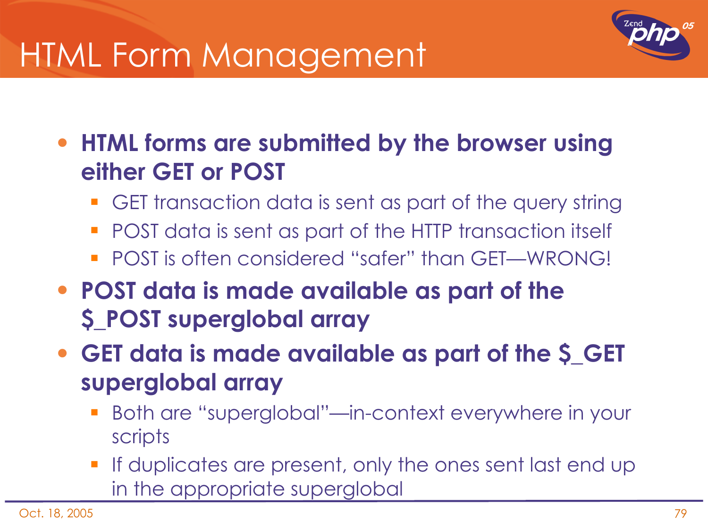### HTML Form Management



• **HTML forms are submitted by the browser using either GET or POST**

- GET transaction data is sent as part of the query string
- **POST** data is sent as part of the HTTP transaction itself
- POST is often considered "safer" than GET—WRONG!
- **POST data is made available as part of the \$\_POST superglobal array**

• **GET data is made available as part of the \$\_GET superglobal array**

- Both are "superglobal"—in-context everywhere in your scripts
- If duplicates are present, only the ones sent last end up in the appropriate superglobal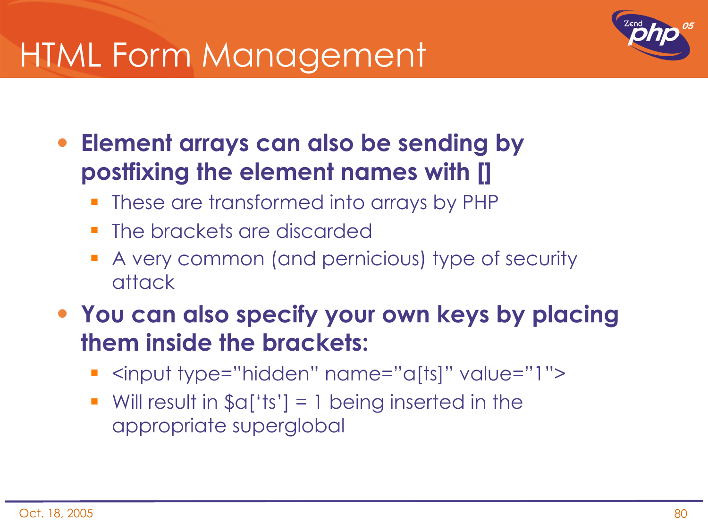### HTML Form Management



- **Element arrays can also be sending by postfixing the element names with []**
	- These are transformed into arrays by PHP
	- The brackets are discarded
	- A very common (and pernicious) type of security attack
- **You can also specify your own keys by placing them inside the brackets:**
	- <input type="hidden" name="a[ts]" value="1">
	- Will result in  $\Im a['ts'] = 1$  being inserted in the appropriate superglobal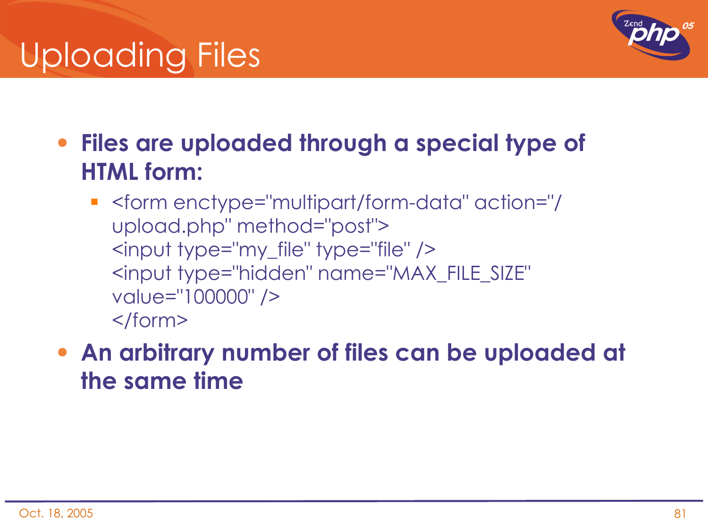# Uploading Files



- **Files are uploaded through a special type of HTML form:**
	- <form enctype="multipart/form-data" action="/ upload.php" method="post"> <input type="my\_file" type="file" /> <input type="hidden" name="MAX\_FILE\_SIZE" value="100000" /> </form>
- **An arbitrary number of files can be uploaded at the same time**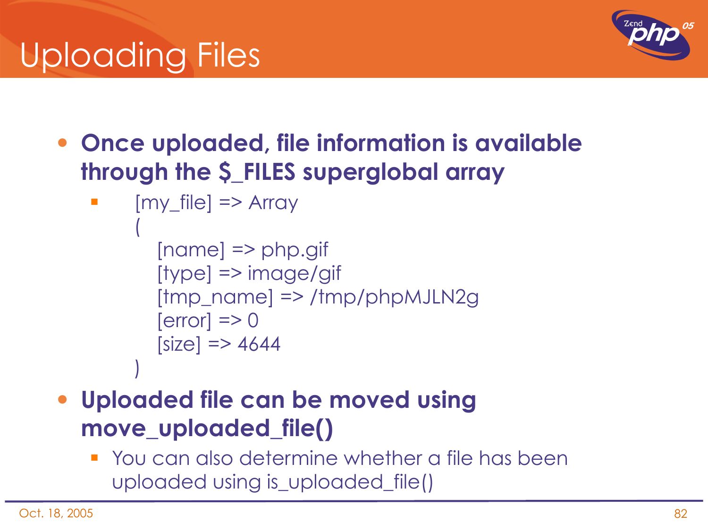# Uploading Files



• **Once uploaded, file information is available through the \$\_FILES superglobal array**

```
[my file] \Rightarrow Array
\overline{\phantom{a}}        [name] => php.gif
               [type] => image/gif
               [tmp_name] => /tmp/phpMJLN2g
       [error] => 0
       [size] \Rightarrow 4644\overline{\phantom{a}}
```
- **Uploaded file can be moved using move\_uploaded\_file()**
	- You can also determine whether a file has been uploaded using is\_uploaded\_file()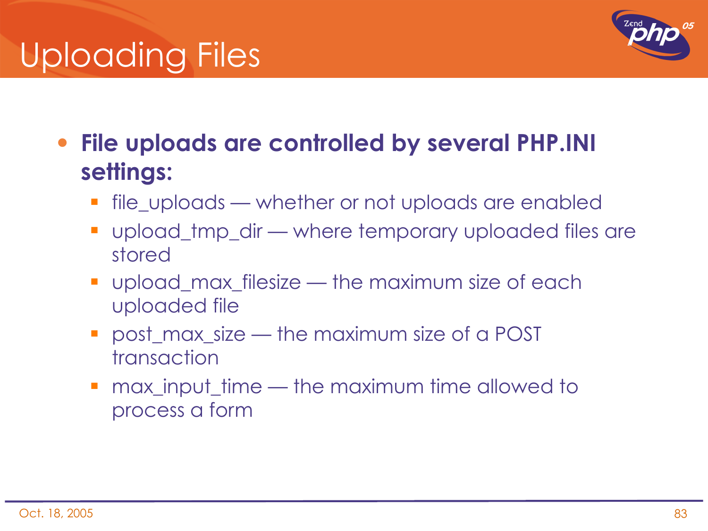# Uploading Files



• **File uploads are controlled by several PHP.INI settings:**

- **file\_uploads whether or not uploads are enabled**
- upload\_tmp\_dir where temporary uploaded files are stored
- upload\_max\_filesize the maximum size of each uploaded file
- **post\_max\_size the maximum size of a POST** transaction
- **nax\_input\_time the maximum time allowed to** process a form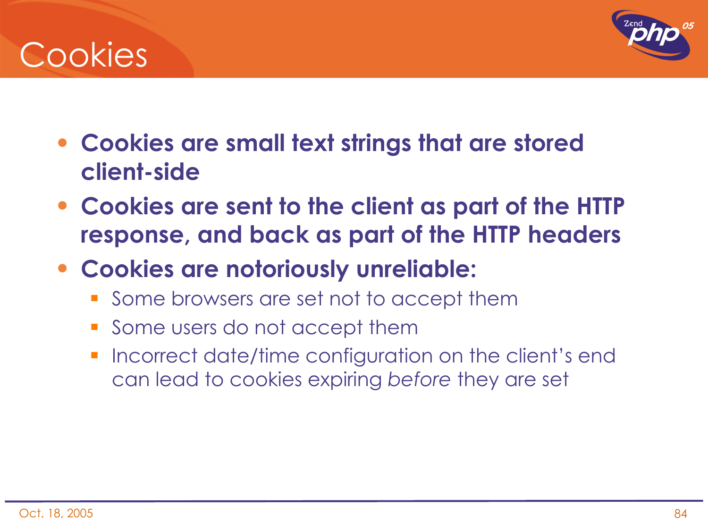### **Cookies**



- **Cookies are small text strings that are stored client-side**
- **Cookies are sent to the client as part of the HTTP response, and back as part of the HTTP headers**
- **Cookies are notoriously unreliable:**
	- **Some browsers are set not to accept them**
	- **Some users do not accept them**
	- Incorrect date/time configuration on the client's end can lead to cookies expiring *before* they are set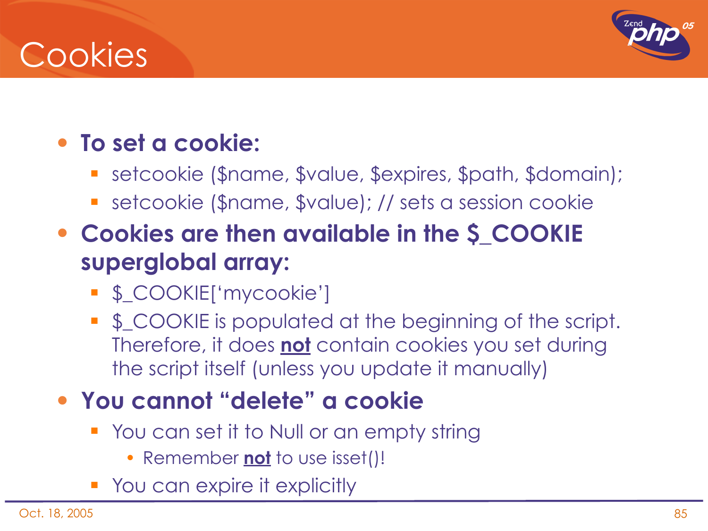### Cookies



#### • **To set a cookie:**

- setcookie (\$name, \$value, \$expires, \$path, \$domain);
- setcookie (\$name, \$value); // sets a session cookie
- **Cookies are then available in the \$\_COOKIE superglobal array:**
	- \$\_COOKIE['mycookie']
	- **S\_COOKIE** is populated at the beginning of the script. Therefore, it does **not** contain cookies you set during the script itself (unless you update it manually)

#### • **You cannot "delete" a cookie**

- **Theory of Strong Strong Strong Strong** You can set it to Null or an empty string
	- Remember **not** to use isset()!
- **You can expire it explicitly**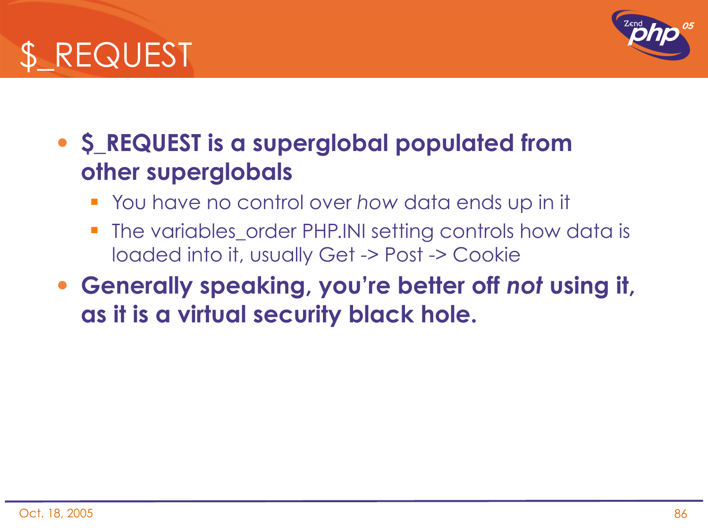



#### • **\$\_REQUEST is a superglobal populated from other superglobals**

- You have no control over *how* data ends up in it
- **The variables\_order PHP.INI setting controls how data is** loaded into it, usually Get -> Post -> Cookie
- **Generally speaking, you're better off** *not* **using it, as it is a virtual security black hole.**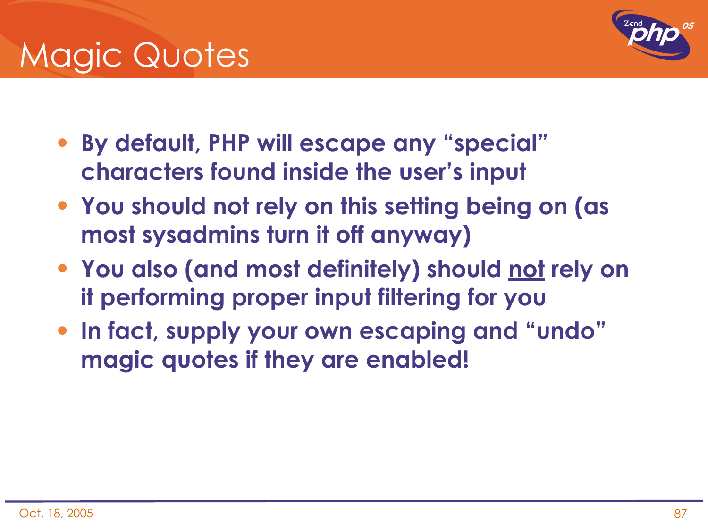

- **By default, PHP will escape any "special" characters found inside the user's input**
- **You should not rely on this setting being on (as most sysadmins turn it off anyway)**
- **You also (and most definitely) should not rely on it performing proper input filtering for you**
- **In fact, supply your own escaping and "undo" magic quotes if they are enabled!**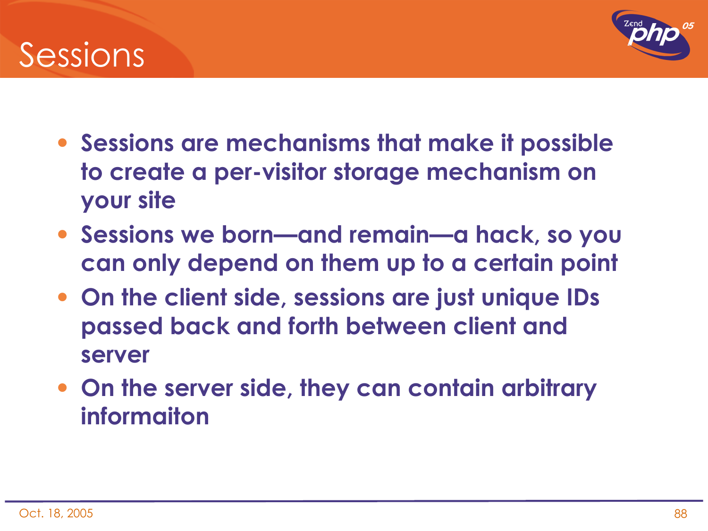



- **Sessions are mechanisms that make it possible to create a per-visitor storage mechanism on your site**
- **Sessions we born—and remain—a hack, so you can only depend on them up to a certain point**
- **On the client side, sessions are just unique IDs passed back and forth between client and server**
- **On the server side, they can contain arbitrary informaiton**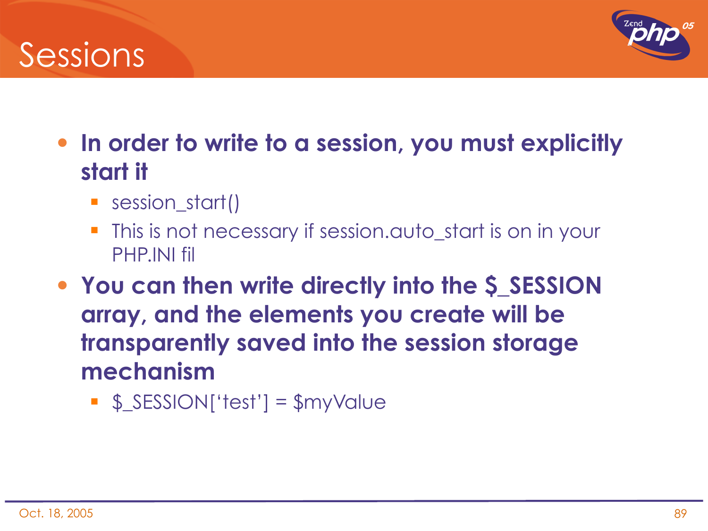### Sessions



- **In order to write to a session, you must explicitly start it**
	- **Session\_start()**
	- This is not necessary if session.auto\_start is on in your PHP.INI fil
- **You can then write directly into the \$\_SESSION array, and the elements you create will be transparently saved into the session storage mechanism**
	- \$\_SESSION['test'] = \$myValue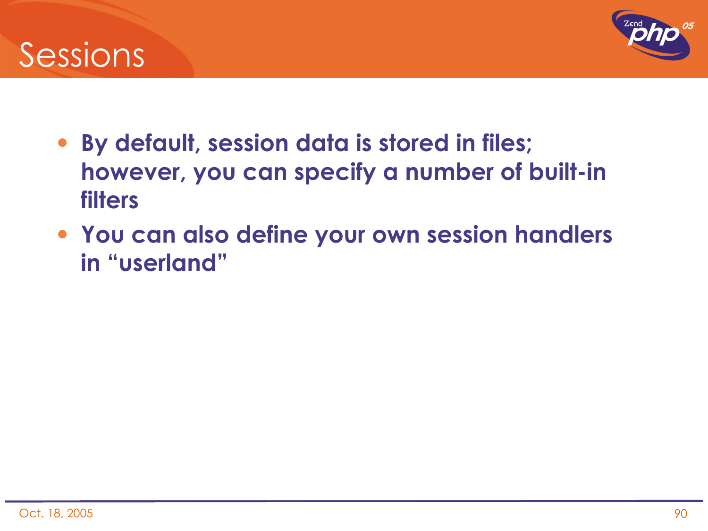### Sessions



- **By default, session data is stored in files; however, you can specify a number of built-in filters**
- **You can also define your own session handlers in "userland"**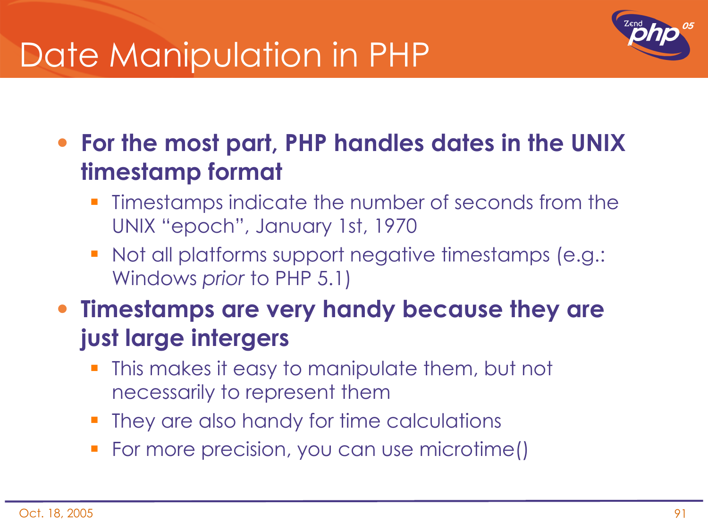### Date Manipulation in PHP



• **For the most part, PHP handles dates in the UNIX timestamp format**

- Timestamps indicate the number of seconds from the UNIX "epoch", January 1st, 1970
- Not all platforms support negative timestamps (e.g.: Windows *prior* to PHP 5.1)
- **Timestamps are very handy because they are just large intergers**
	- This makes it easy to manipulate them, but not necessarily to represent them
	- They are also handy for time calculations
	- For more precision, you can use microtime()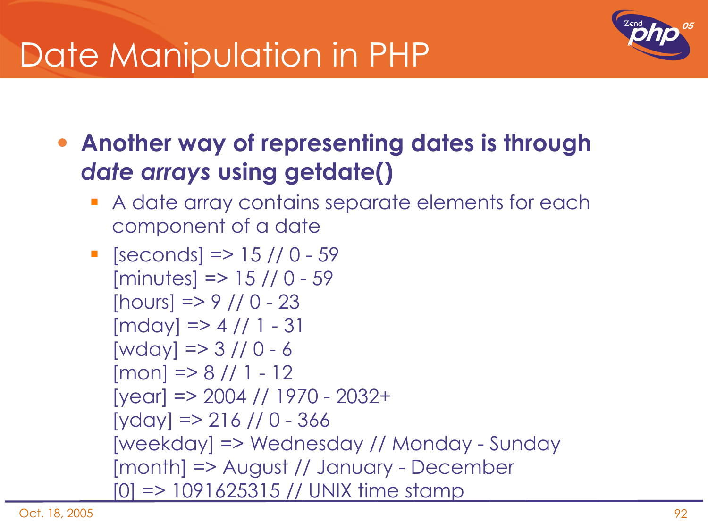### Date Manipulation in PHP



• **Another way of representing dates is through**  *date arrays* **using getdate()**

A date array contains separate elements for each component of a date

```
\blacksquare [seconds] => 15 // 0 - 59
  [minutes] => 15 // 0 - 59
  [hours] => 9 // 0 - 23
  [mday] \Rightarrow 4 // 1 - 31[wday] \Rightarrow 3 // 0 - 6[mon] => 8 // 1 - 12
  [year] => 2004 // 1970 - 2032+
  [yday] = 216 // 0 - 366[weekday] => Wednesday // Monday - Sunday
  [month] => August // January - December
  [0] => 1091625315 // UNIX time stamp
```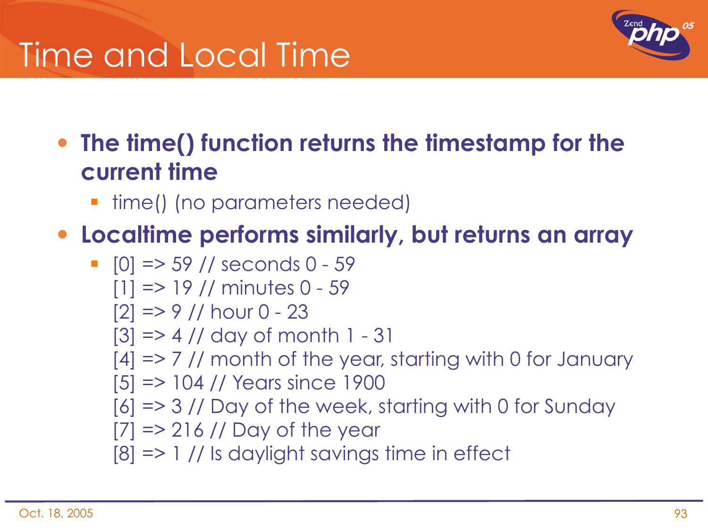## Time and Local Time



• **The time() function returns the timestamp for the current time**

■ time() (no parameters needed)

#### • **Localtime performs similarly, but returns an array**

 [0] => 59 // seconds 0 - 59 [1] => 19 // minutes 0 - 59 [2] => 9 // hour 0 - 23 [3] => 4 // day of month 1 - 31 [4] => 7 // month of the year, starting with 0 for January [5] => 104 // Years since 1900 [6] => 3 // Day of the week, starting with 0 for Sunday [7] => 216 // Day of the year [8] => 1 // Is daylight savings time in effect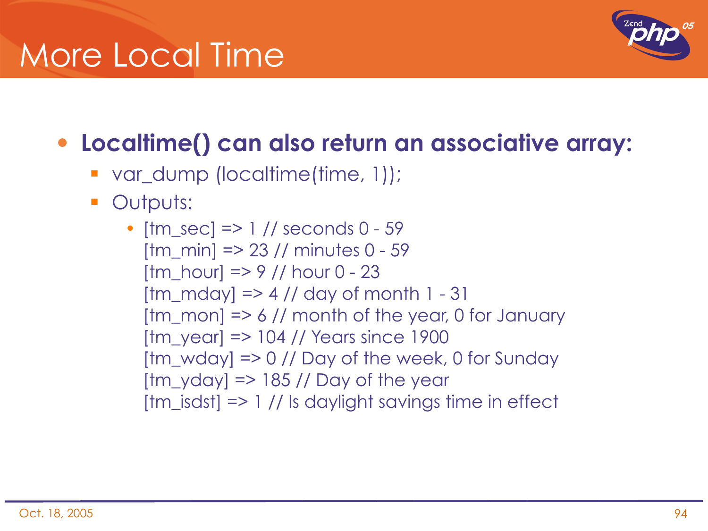### More Local Time



#### • **Localtime() can also return an associative array:**

- var\_dump (localtime(time, 1));
- **Outputs:** 
	- $[tm\_sec] \Rightarrow 1 \frac{\pi}{3}$  seconds 0 59  $[tm \text{min}] = > 23$  // minutes 0 - 59 [tm\_hour] => 9 // hour  $0 - 23$  $[tm_mday] \Rightarrow 4$  // day of month 1 - 31  $[tm\_mon]$  => 6 // month of the year, 0 for January  $[tm \ year]$  => 104 // Years since 1900 [tm\_wday] => 0 // Day of the week, 0 for Sunday  $[tm_yday]$  => 185 // Day of the year  $[tm\_isdst]$  => 1 // Is daylight savings time in effect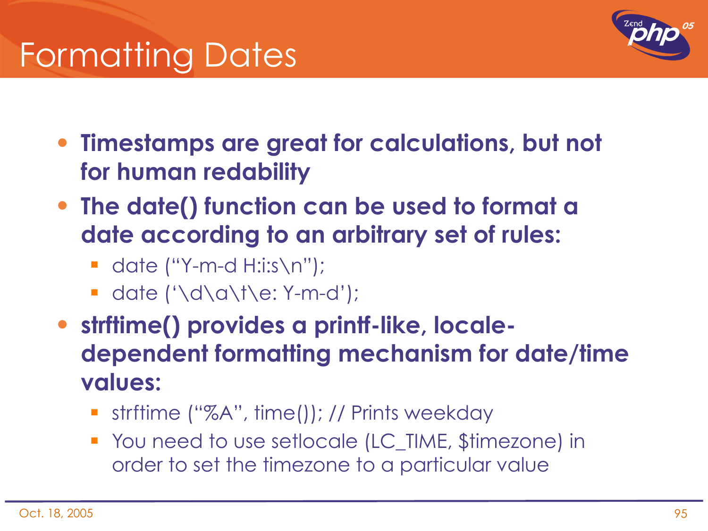



- **Timestamps are great for calculations, but not for human redability**
- **The date() function can be used to format a date according to an arbitrary set of rules:**
	- date ("Y-m-d  $H:is\n\rangle<sub>n</sub>'$ ");
	- date  $(' \d\alpha \t\te: Y-m-d');$
- **strftime() provides a printf-like, localedependent formatting mechanism for date/time values:**
	- strftime ("%A", time()); // Prints weekday
	- You need to use setlocale (LC\_TIME, \$timezone) in order to set the timezone to a particular value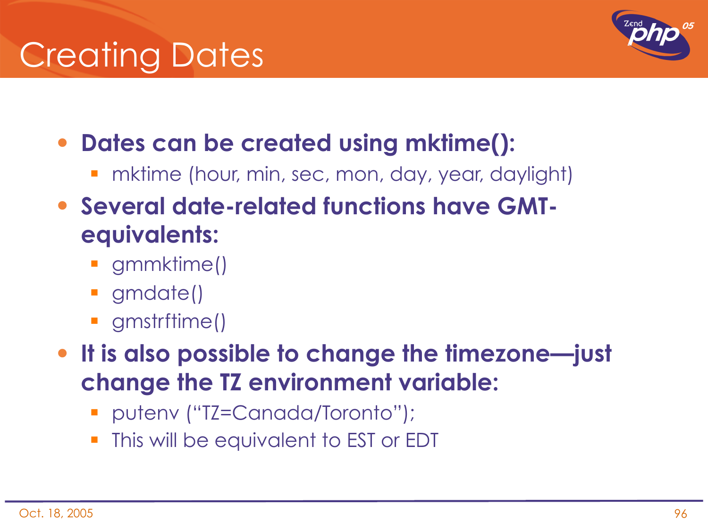

- **Dates can be created using mktime():**
	- **•** mktime (hour, min, sec, mon, day, year, daylight)
- **Several date-related functions have GMTequivalents:**
	- **gmmktime()**
	- gmdate()
	- **gmstrftime()**
- **It is also possible to change the timezone—just change the TZ environment variable:**
	- putenv ("TZ=Canada/Toronto");
	- This will be equivalent to EST or EDT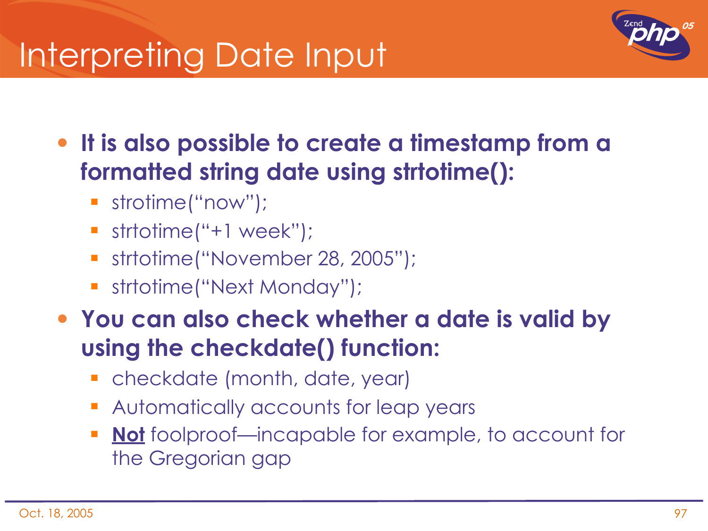## Interpreting Date Input



- **It is also possible to create a timestamp from a formatted string date using strtotime():**
	- strotime("now");
	- strtotime("+1 week");
	- strtotime("November 28, 2005");
	- strtotime("Next Monday");
- **You can also check whether a date is valid by using the checkdate() function:**
	- **•** checkdate (month, date, year)
	- **Automatically accounts for leap years**
	- **Not** foolproof—incapable for example, to account for the Gregorian gap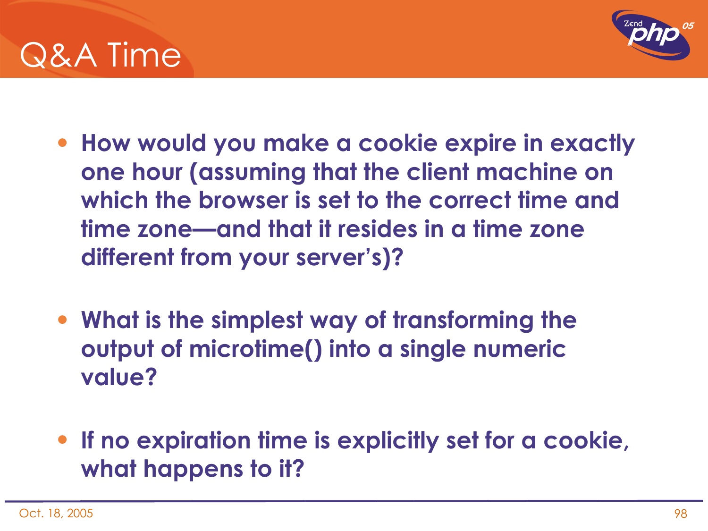



- **How would you make a cookie expire in exactly one hour (assuming that the client machine on which the browser is set to the correct time and time zone—and that it resides in a time zone different from your server's)?**
- **What is the simplest way of transforming the output of microtime() into a single numeric value?**
- **If no expiration time is explicitly set for a cookie, what happens to it?**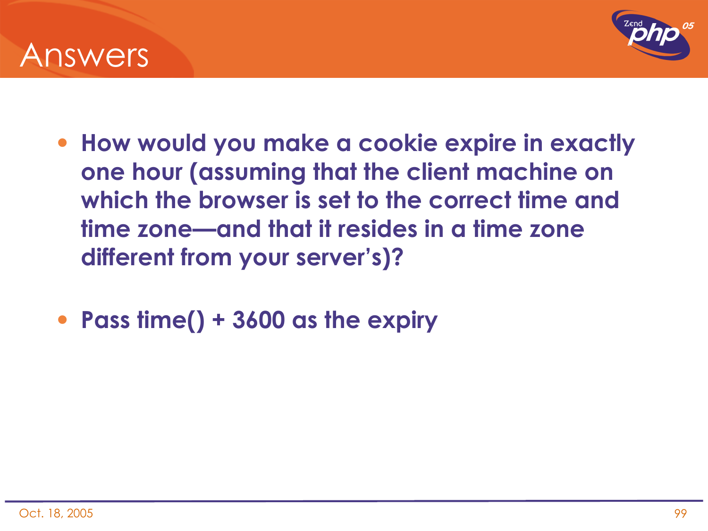



- **How would you make a cookie expire in exactly one hour (assuming that the client machine on which the browser is set to the correct time and time zone—and that it resides in a time zone different from your server's)?**
- **Pass time() + 3600 as the expiry**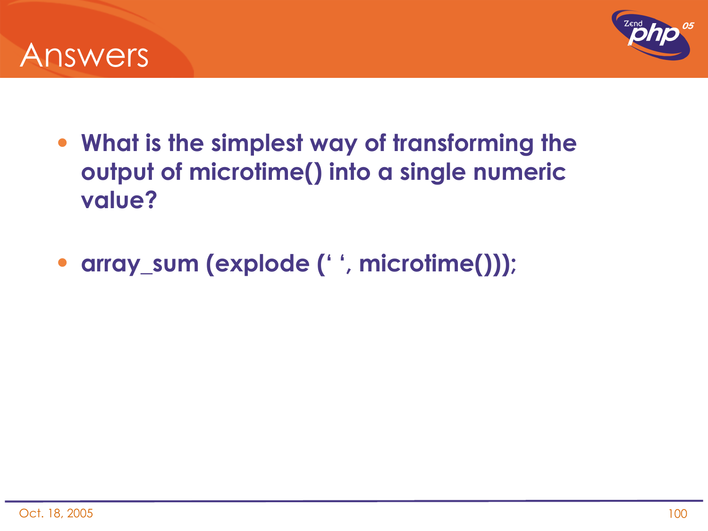



- **What is the simplest way of transforming the output of microtime() into a single numeric value?**
- **array\_sum (explode (' ', microtime()));**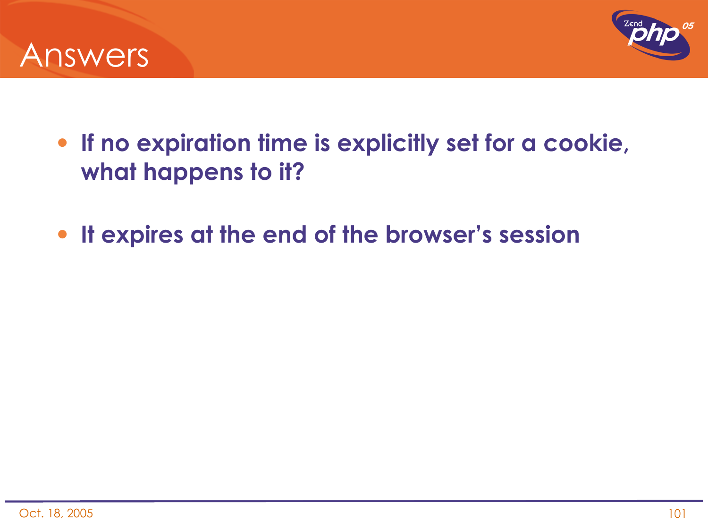



- **If no expiration time is explicitly set for a cookie, what happens to it?**
- **It expires at the end of the browser's session**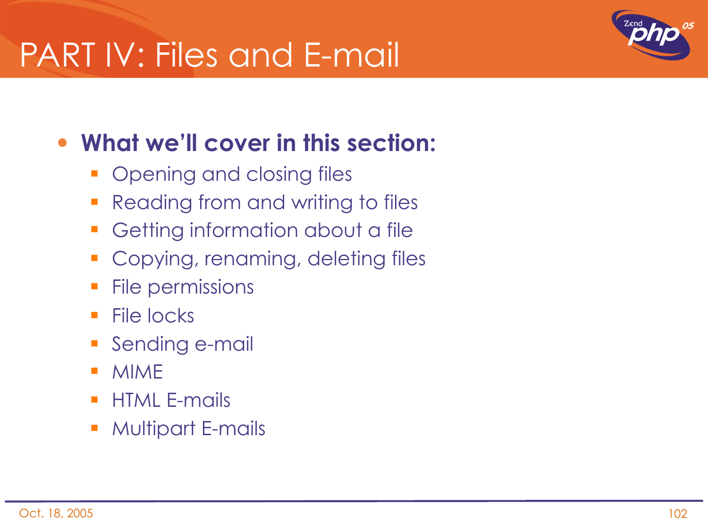### PART IV: Files and E-mail



#### • **What we'll cover in this section:**

- **Opening and closing files**
- **Reading from and writing to files**
- **Getting information about a file**
- **Copying, renaming, deleting files**
- File permissions
- $\blacksquare$  File locks
- **Sending e-mail**
- MIME
- **HTML E-mails**
- **Multipart E-mails**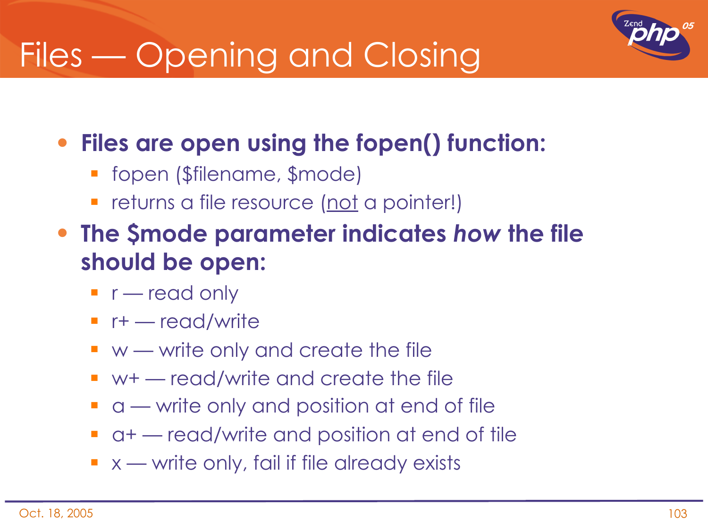## Files — Opening and Closing



#### • **Files are open using the fopen() function:**

- **Filterianame, \$mode)**
- returns a file resource (not a pointer!)
- **The \$mode parameter indicates** *how* **the file should be open:**
	- $\blacksquare$  r read only
	- $r+$  read/write
	- $\blacksquare$  w write only and create the file
	- $\blacksquare$  w+ read/write and create the file
	- **a** a write only and position at end of file
	- a+ read/write and position at end of tile
	- $\bullet$  x write only, fail if file already exists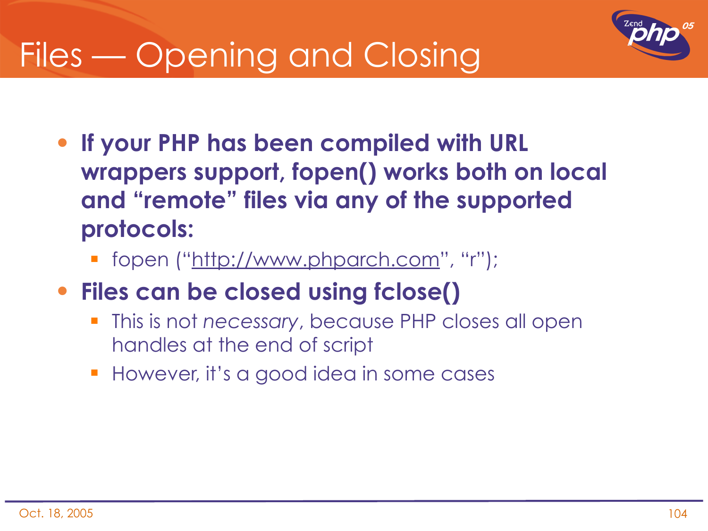## Files — Opening and Closing



- **If your PHP has been compiled with URL wrappers support, fopen() works both on local and "remote" files via any of the supported protocols:**
	- **fopen ("http://www.phparch.com", "r");**
- **Files can be closed using fclose()**
	- This is not *necessary*, because PHP closes all open handles at the end of script
	- **However, it's a good idea in some cases**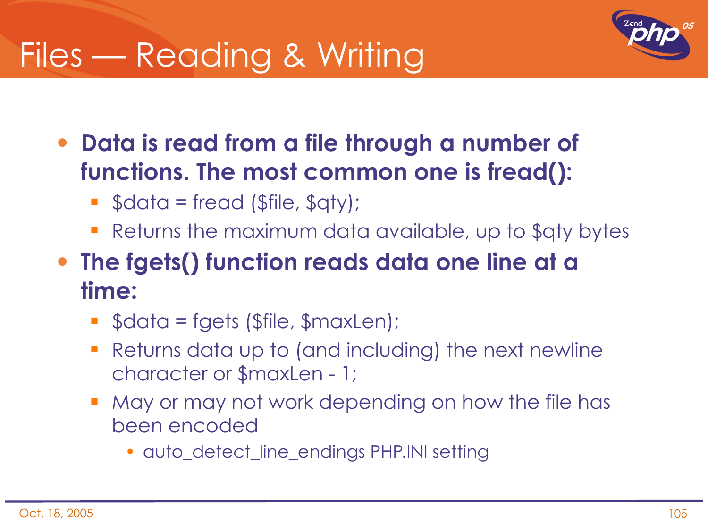### Files — Reading & Writing



- **Data is read from a file through a number of functions. The most common one is fread():**
	- $\bullet$  \$data = fread (\$file, \$qty);
	- Returns the maximum data available, up to \$qty bytes
- **The fgets() function reads data one line at a time:**
	- $\bullet$  \$data = fgets (\$file, \$maxLen);
	- Returns data up to (and including) the next newline character or \$maxLen - 1;
	- May or may not work depending on how the file has been encoded
		- auto detect line endings PHP.INI setting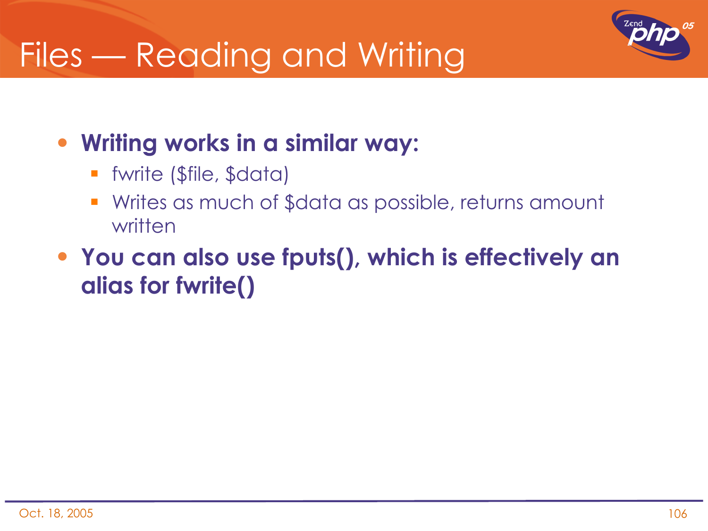### Files — Reading and Writing



#### • **Writing works in a similar way:**

- fwrite (\$file, \$data)
- Writes as much of \$data as possible, returns amount written
- **You can also use fputs(), which is effectively an alias for fwrite()**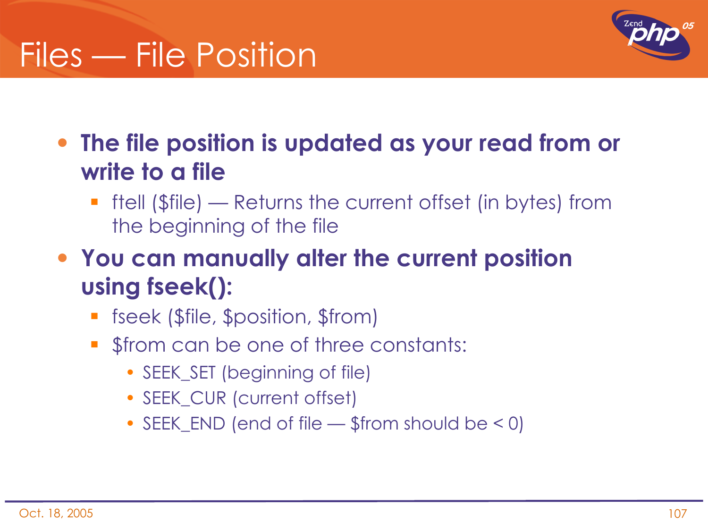### Files — File Position



• **The file position is updated as your read from or write to a file**

- **fiell (\$file) Returns the current offset (in bytes) from** the beginning of the file
- **You can manually alter the current position using fseek():**
	- **Fall fiseek (\$file, \$position, \$from)**
	- **S** from can be one of three constants:
		- SEEK SET (beginning of file)
		- SEEK CUR (current offset)
		- SEEK\_END (end of file \$from should be < 0)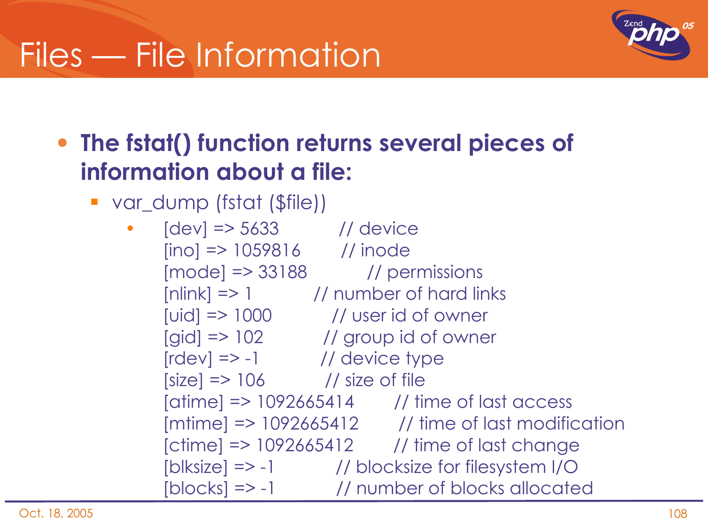

#### • **The fstat() function returns several pieces of information about a file:**

var\_dump (fstat (\$file))

• [dev] => 5633 // device  $[ino] \Rightarrow 1059816$  // inode  $[mode] \Rightarrow 33188$  // permissions  $[nlink]$  => 1  $\qquad$  // number of hard links  $[uid]$  =>  $1000$  // user id of owner [gid] => 102 // group id of owner  $[rdev]$  => -1  $\qquad$  // device type  $[size]$  => 106  $\frac{1}{s}$  // size of file [atime] => 1092665414 // time of last access  $[$ mtime] =>  $1092665412$  // time of last modification [ctime] => 1092665412 // time of last change [blksize] => -1 // blocksize for filesystem I/O [blocks] => -1 // number of blocks allocated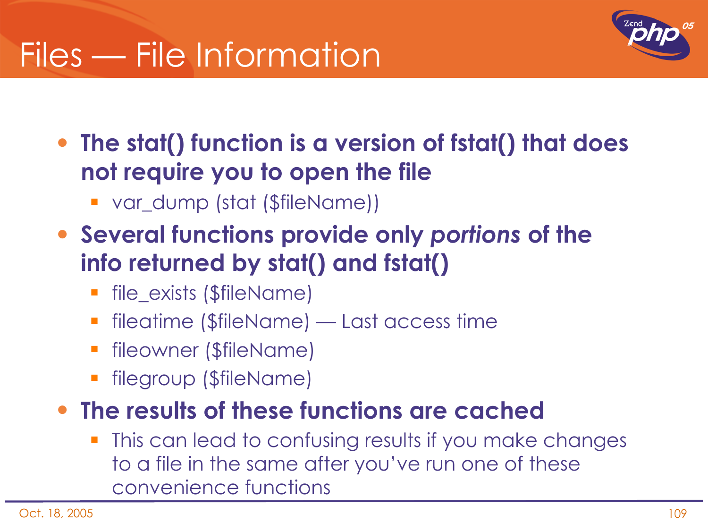

• **The stat() function is a version of fstat() that does not require you to open the file**

- var\_dump (stat (\$fileName))
- **Several functions provide only** *portions* **of the info returned by stat() and fstat()**
	- file\_exists (\$fileName)
	- fileatime (\$fileName) Last access time
	- fileowner (\$fileName)
	- filegroup (\$fileName)

#### • **The results of these functions are cached**

 This can lead to confusing results if you make changes to a file in the same after you've run one of these convenience functions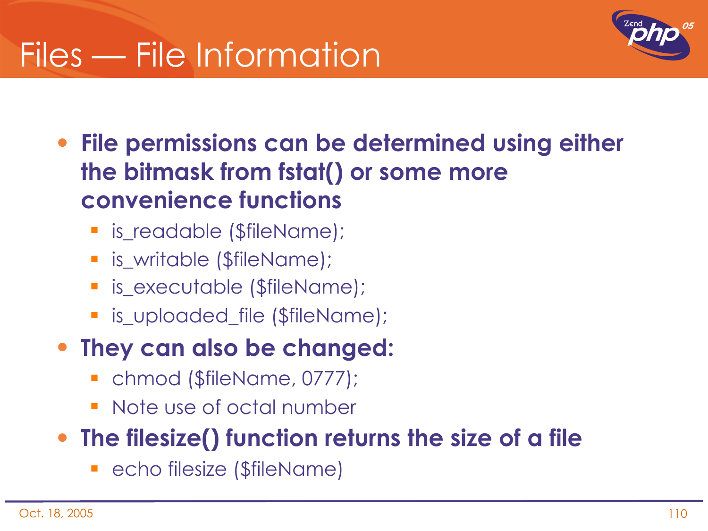

- **File permissions can be determined using either the bitmask from fstat() or some more convenience functions**
	- **E** is\_readable (\$fileName);
	- **E** is\_writable (\$fileName);
	- **E** is\_executable (\$fileName);
	- **E** is uploaded file (\$fileName);
- **They can also be changed:**
	- chmod (\$fileName, 0777);
	- Note use of octal number

#### • **The filesize() function returns the size of a file**

**-** echo filesize (\$fileName)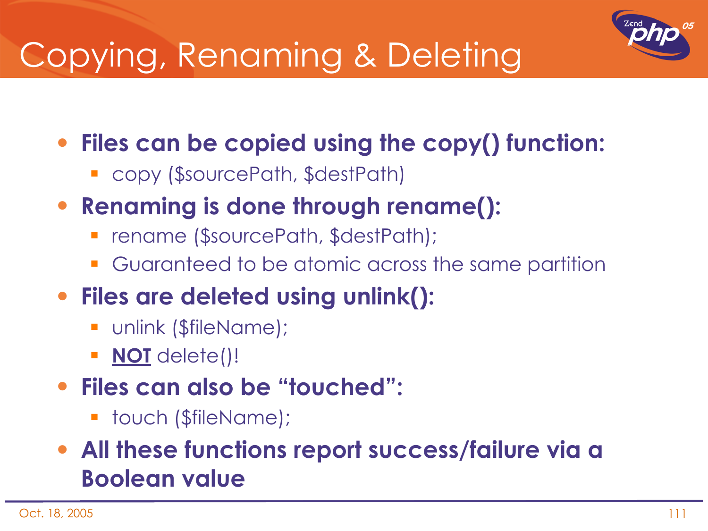

# Copying, Renaming & Deleting

• **Files can be copied using the copy() function:**

- copy (\$sourcePath, \$destPath)
- **Renaming is done through rename():**
	- rename (\$sourcePath, \$destPath);
	- Guaranteed to be atomic across the same partition
- **Files are deleted using unlink():**
	- **unlink (\$fileName);**
	- **NOT** delete()!
- **Files can also be "touched":**
	- **touch (\$fileName);**
- **All these functions report success/failure via a Boolean value**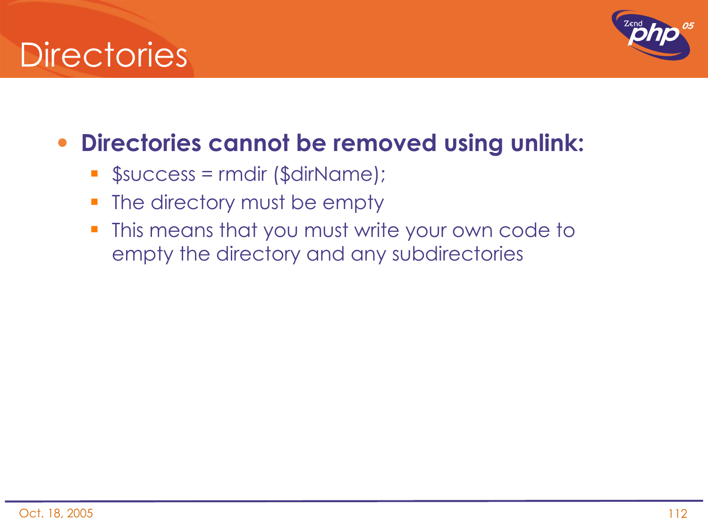## **Directories**



### • **Directories cannot be removed using unlink:**

- \$success = rmdir (\$dirName);
- **The directory must be empty**
- **This means that you must write your own code to** empty the directory and any subdirectories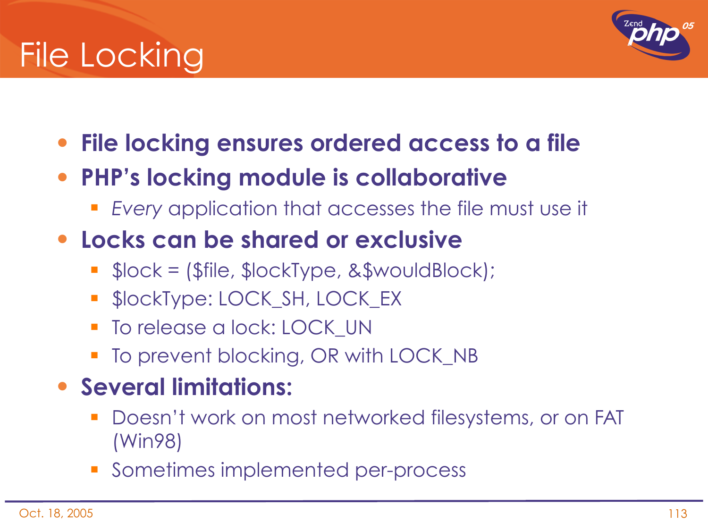# File Locking



- **File locking ensures ordered access to a file**
- **PHP's locking module is collaborative**
	- *Every* application that accesses the file must use it
- **Locks can be shared or exclusive**
	- $\blacksquare$  \$lock = (\$file, \$lockType, &\$wouldBlock);
	- **SlockType: LOCK\_SH, LOCK\_EX**
	- **To release a lock: LOCK UN**
	- To prevent blocking, OR with LOCK\_NB
- **Several limitations:**
	- Doesn't work on most networked filesystems, or on FAT (Win98)
	- **Sometimes implemented per-process**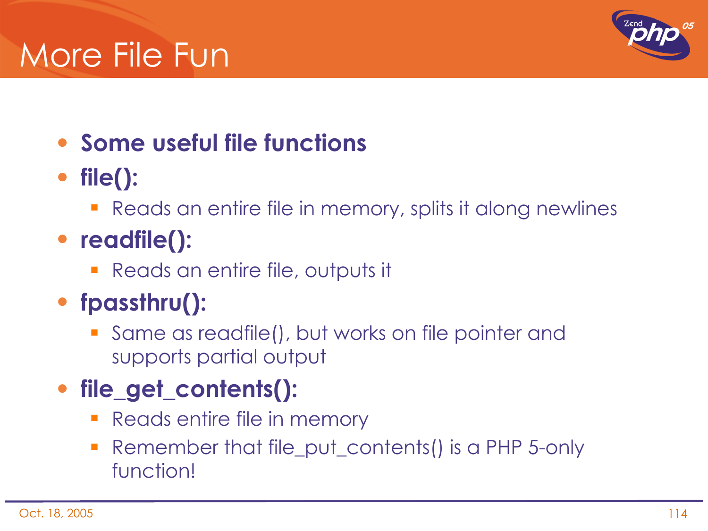## More File Fun



### • **Some useful file functions**

- **file():**
	- **Reads an entire file in memory, splits it along newlines**
- **readfile():**
	- Reads an entire file, outputs it
- **fpassthru():**
	- Same as readfile(), but works on file pointer and supports partial output

### • **file\_get\_contents():**

- Reads entire file in memory
- Remember that file\_put\_contents() is a PHP 5-only function!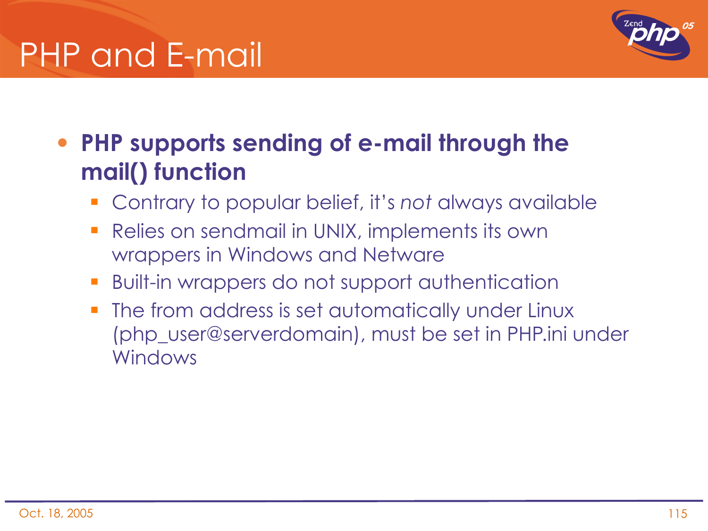## PHP and E-mail



### • **PHP supports sending of e-mail through the mail() function**

- Contrary to popular belief, it's *not* always available
- **Relies on sendmail in UNIX, implements its own** wrappers in Windows and Netware
- Built-in wrappers do not support authentication
- The from address is set automatically under Linux (php\_user@serverdomain), must be set in PHP.ini under Windows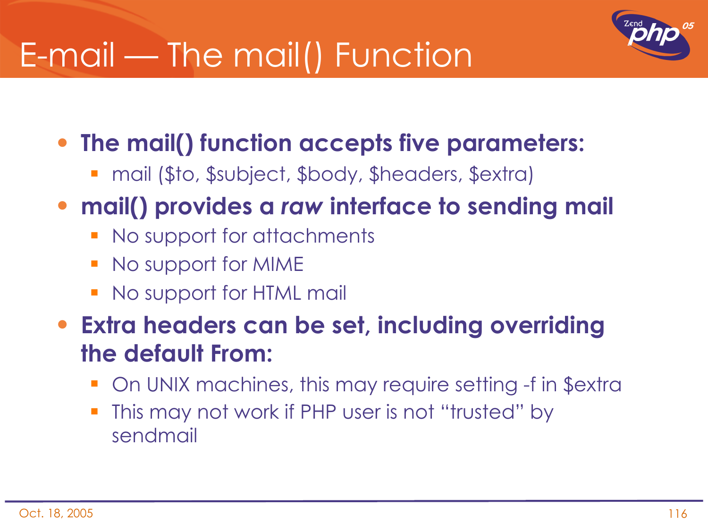# E-mail — The mail() Function



- **The mail() function accepts five parameters:**
	- mail (\$to, \$subject, \$body, \$headers, \$extra)
- **mail() provides a** *raw* **interface to sending mail**
	- No support for attachments
	- No support for MIME
	- **No support for HTML mail**
- **Extra headers can be set, including overriding the default From:**
	- On UNIX machines, this may require setting -f in \$extra
	- This may not work if PHP user is not "trusted" by sendmail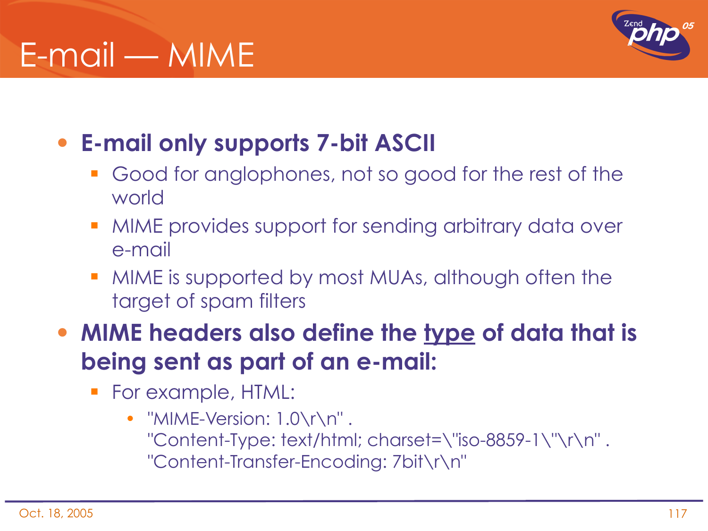# E-mail — MIME



- **E-mail only supports 7-bit ASCII**
	- Good for anglophones, not so good for the rest of the world
	- MIME provides support for sending arbitrary data over e-mail
	- MIME is supported by most MUAs, although often the target of spam filters
- **MIME headers also define the type of data that is being sent as part of an e-mail:**
	- For example, HTML:
		- "MIME-Version: 1.0\r\n". "Content-Type: text/html; charset=\"iso-8859-1\"\r\n" . "Content-Transfer-Encoding: 7bit\r\n"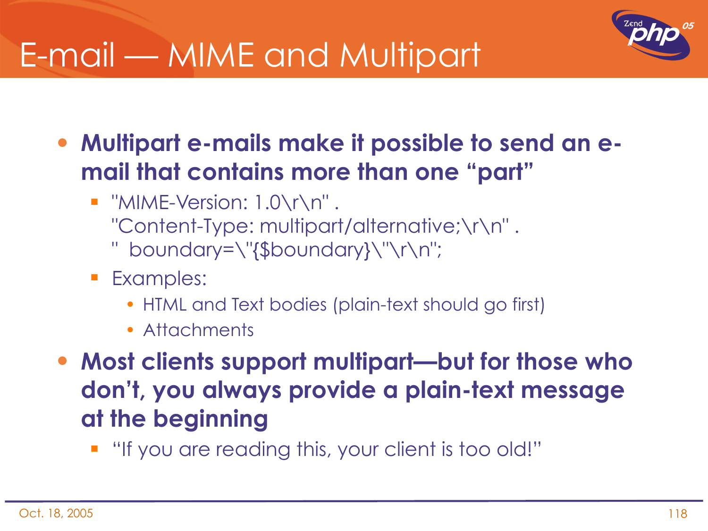# E-mail — MIME and Multipart



• **Multipart e-mails make it possible to send an email that contains more than one "part"**

- $\blacksquare$  "MIME-Version: 1.0\r\n". "Content-Type: multipart/alternative;\r\n" . " boundary=\"{\$boundary}\"\r\n";
- **Examples:** 
	- HTML and Text bodies (plain-text should go first)
	- Attachments
- **Most clients support multipart—but for those who don't, you always provide a plain-text message at the beginning**
	- "If you are reading this, your client is too old!"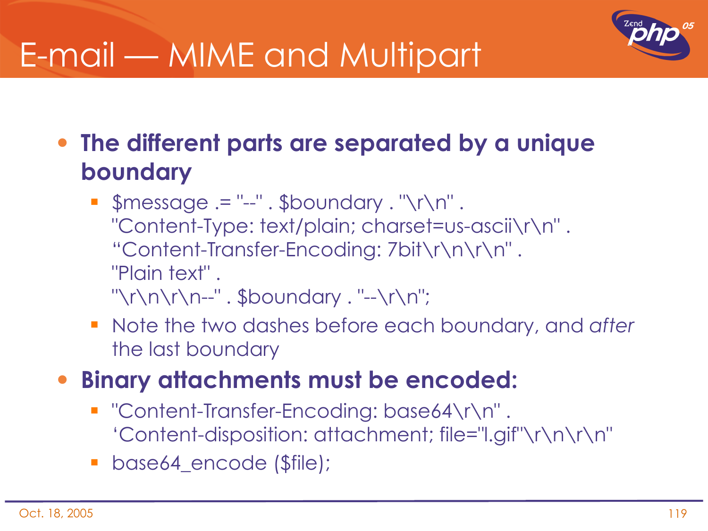

# E-mail — MIME and Multipart

• **The different parts are separated by a unique boundary**

- $\blacksquare$  \$message .= "--" . \$boundary . "\r\n" . "Content-Type: text/plain; charset=us-ascii\r\n" . "Content-Transfer-Encoding: 7bit\r\n\r\n" . "Plain text" . "\r\n\r\n--" . \$boundary . "--\r\n";
- Note the two dashes before each boundary, and *after* the last boundary
- **Binary attachments must be encoded:**
	- "Content-Transfer-Encoding: base64\r\n" . 'Content-disposition: attachment; file="l.gif"\r\n\r\n"
	- **base64\_encode (\$file);**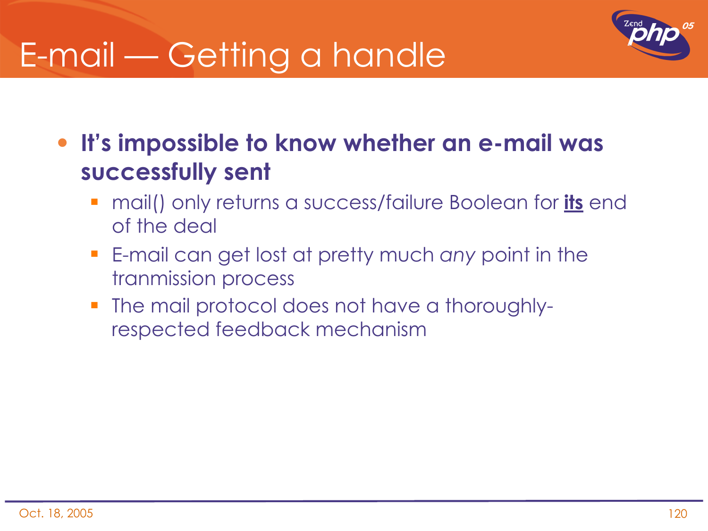# E-mail — Getting a handle



• **It's impossible to know whether an e-mail was successfully sent**

- mail() only returns a success/failure Boolean for **its** end of the deal
- E-mail can get lost at pretty much *any* point in the tranmission process
- The mail protocol does not have a thoroughlyrespected feedback mechanism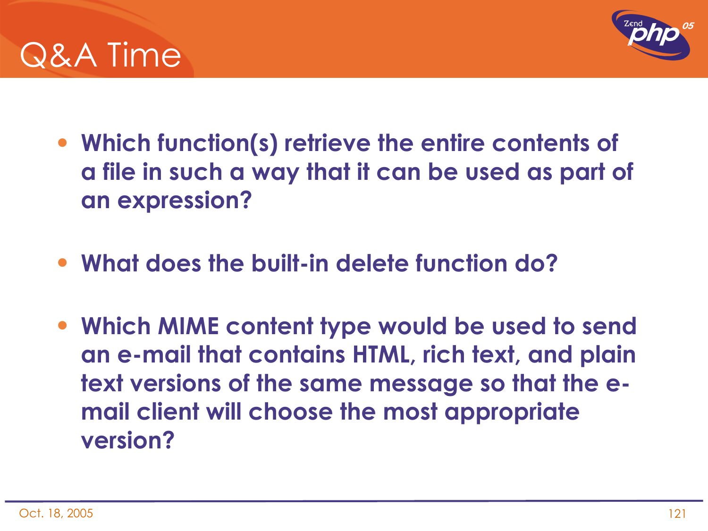



- **Which function(s) retrieve the entire contents of a file in such a way that it can be used as part of an expression?**
- **What does the built-in delete function do?**
- **Which MIME content type would be used to send an e-mail that contains HTML, rich text, and plain text versions of the same message so that the email client will choose the most appropriate version?**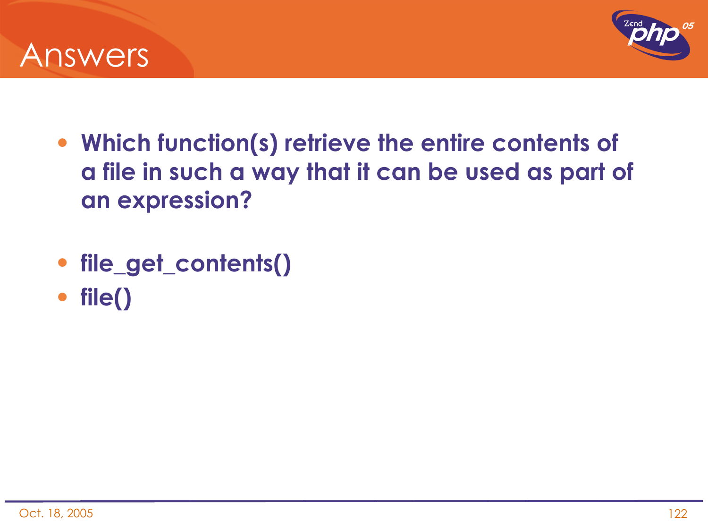



- **Which function(s) retrieve the entire contents of a file in such a way that it can be used as part of an expression?**
- **file\_get\_contents()**
- **file()**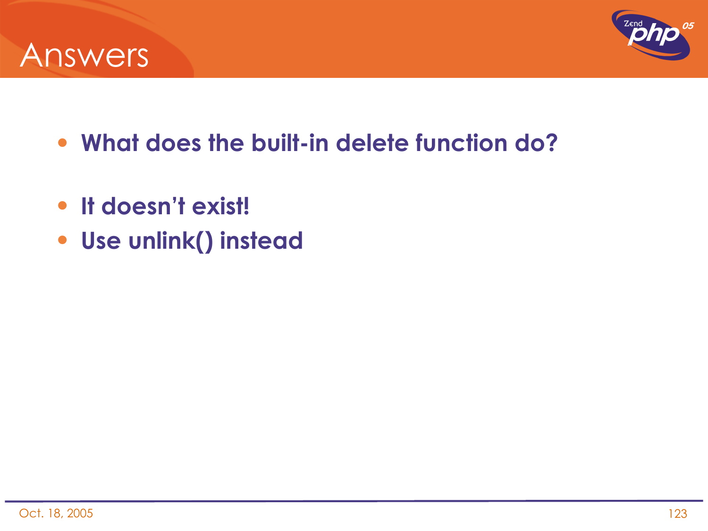



- **What does the built-in delete function do?**
- **It doesn't exist!**
- **Use unlink() instead**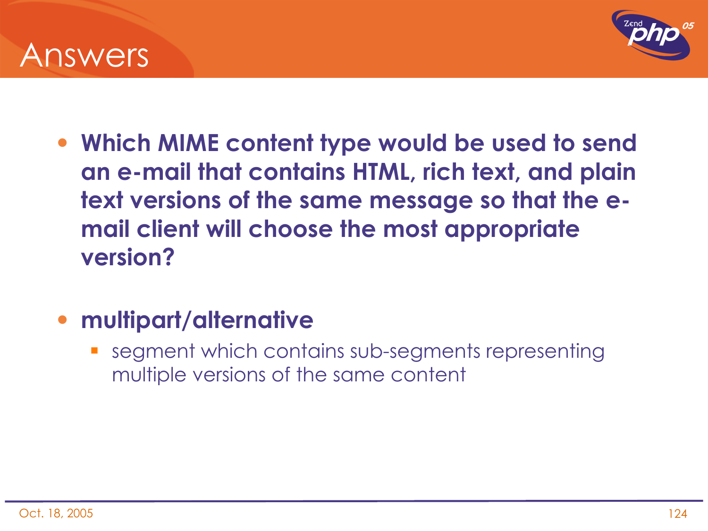



• **Which MIME content type would be used to send an e-mail that contains HTML, rich text, and plain text versions of the same message so that the email client will choose the most appropriate version?**

#### • **multipart/alternative**

 segment which contains sub-segments representing multiple versions of the same content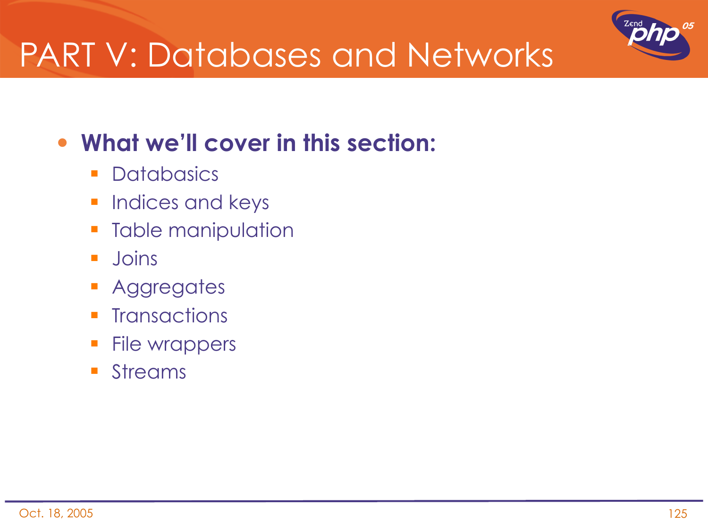

## PART V: Databases and Networks

### • **What we'll cover in this section:**

- **Databasics**
- **Indices and keys**
- **Table manipulation**
- **Joins**
- **Aggregates**
- $\blacksquare$  Transactions
- **File wrappers**
- **Streams**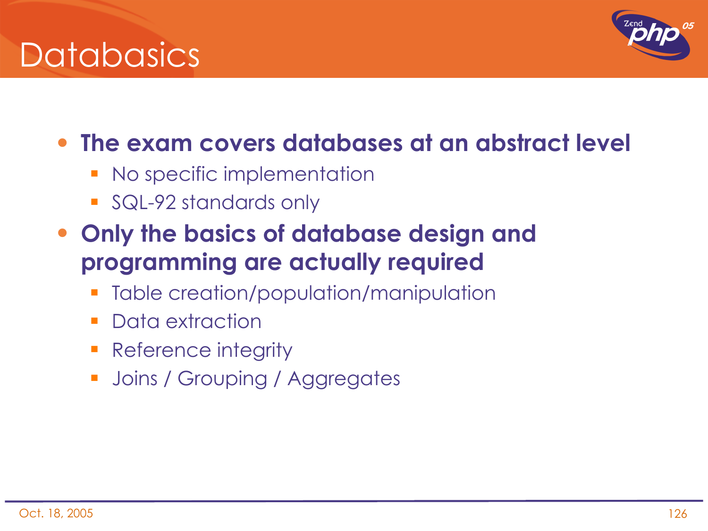



#### • **The exam covers databases at an abstract level**

- No specific implementation
- **SQL-92 standards only**
- **Only the basics of database design and programming are actually required**
	- Table creation/population/manipulation
	- **Data extraction**
	- Reference integrity
	- **Joins / Grouping / Aggregates**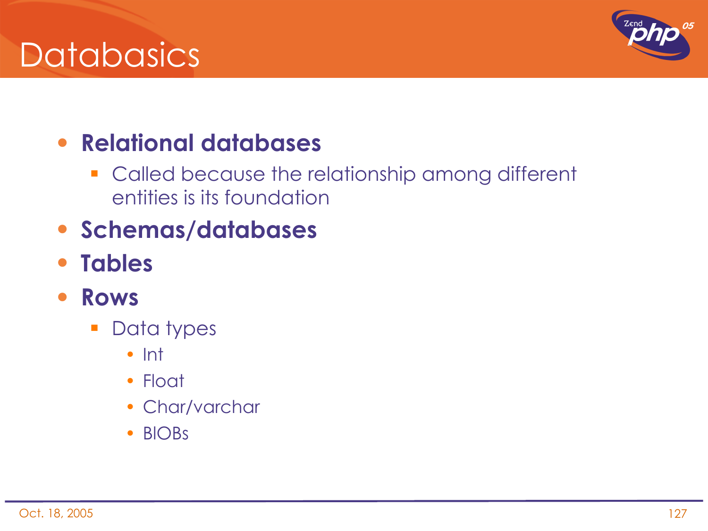## **Databasics**



### • **Relational databases**

- **Called because the relationship among different** entities is its foundation
- **Schemas/databases**
- **Tables**
- **Rows**
	- **Data types** 
		- Int
		- Float
		- Char/varchar
		- BlOBs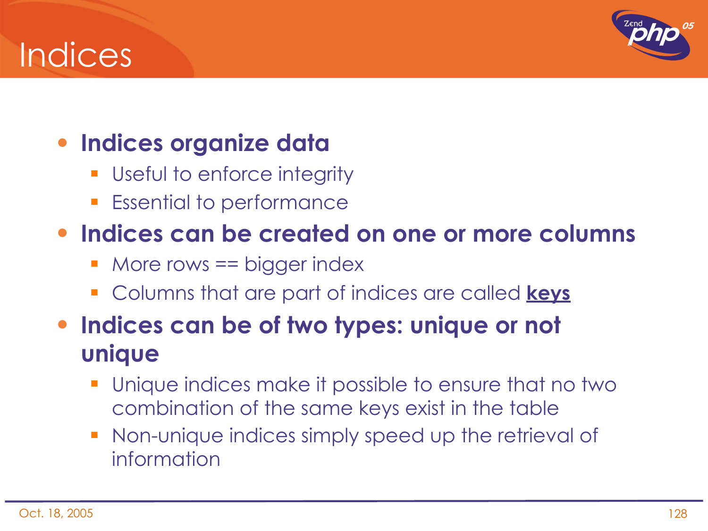## **Indices**



### • **Indices organize data**

- **Useful to enforce integrity**
- **Essential to performance**

#### • **Indices can be created on one or more columns**

- More rows == bigger index
- Columns that are part of indices are called **keys**
- **Indices can be of two types: unique or not unique**
	- Unique indices make it possible to ensure that no two combination of the same keys exist in the table
	- Non-unique indices simply speed up the retrieval of information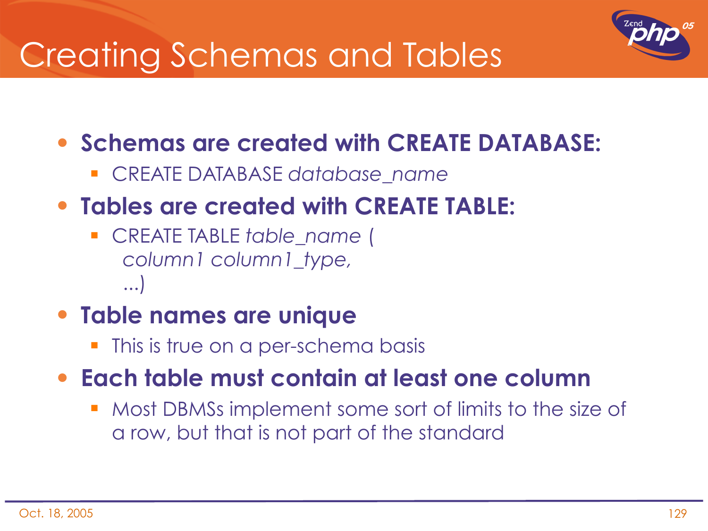

## Creating Schemas and Tables

#### • **Schemas are created with CREATE DATABASE:**

CREATE DATABASE *database\_name*

#### • **Tables are created with CREATE TABLE:**

 CREATE TABLE *table\_name* ( *column1 column1\_type,* ...)

#### • **Table names are unique**

This is true on a per-schema basis

#### • **Each table must contain at least one column**

 Most DBMSs implement some sort of limits to the size of a row, but that is not part of the standard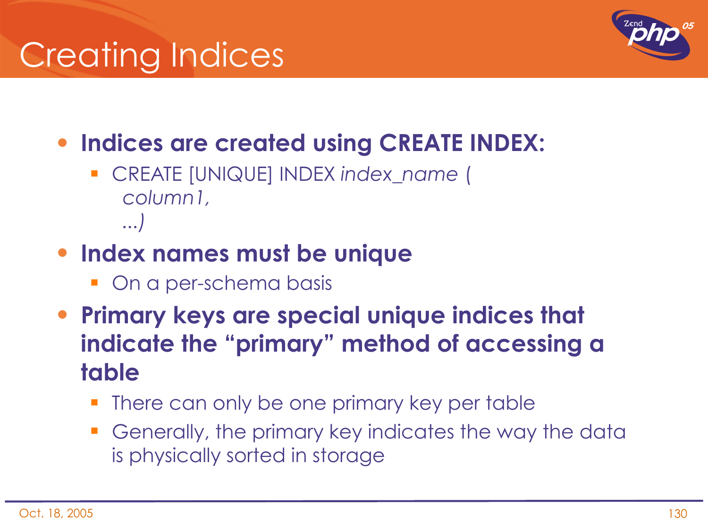# Creating Indices



- **Indices are created using CREATE INDEX:**
	- CREATE [UNIQUE] INDEX *index\_name* ( *column1, ...)*
- **Index names must be unique**
	- **On a per-schema basis**
- **Primary keys are special unique indices that indicate the "primary" method of accessing a table**
	- There can only be one primary key per table
	- Generally, the primary key indicates the way the data is physically sorted in storage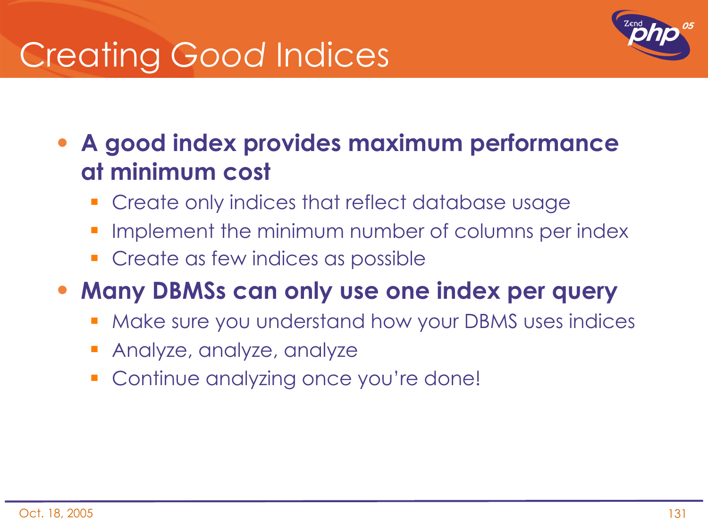# Creating *Good* Indices



• **A good index provides maximum performance at minimum cost**

- **Create only indices that reflect database usage**
- Implement the minimum number of columns per index
- **Create as few indices as possible**

### • **Many DBMSs can only use one index per query**

- **Make sure you understand how your DBMS uses indices**
- Analyze, analyze, analyze
- Continue analyzing once you're done!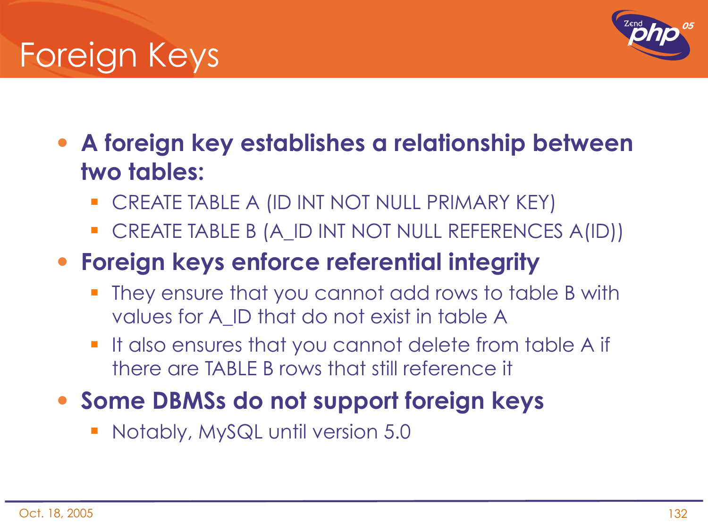



• **A foreign key establishes a relationship between two tables:**

- **CREATE TABLE A (ID INT NOT NULL PRIMARY KEY)**
- CREATE TABLE B (A\_ID INT NOT NULL REFERENCES A(ID))

### • **Foreign keys enforce referential integrity**

- They ensure that you cannot add rows to table B with values for A\_ID that do not exist in table A
- **If also ensures that you cannot delete from table A if** there are TABLE B rows that still reference it

### • **Some DBMSs do not support foreign keys**

Notably, MySQL until version 5.0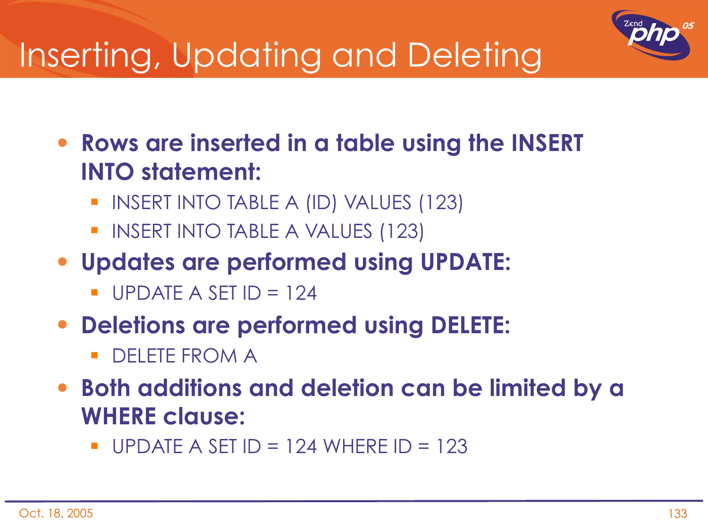

# Inserting, Updating and Deleting

• **Rows are inserted in a table using the INSERT INTO statement:**

- **INSERT INTO TABLE A (ID) VALUES (123)**
- **INSERT INTO TABLE A VALUES (123)**
- **Updates are performed using UPDATE:**
	- $\blacksquare$  UPDATE A SET ID = 124
- **Deletions are performed using DELETE:**
	- DELETE FROM A
- **Both additions and deletion can be limited by a WHERE clause:**
	- UPDATE A SET  $ID = 124$  WHERE  $ID = 123$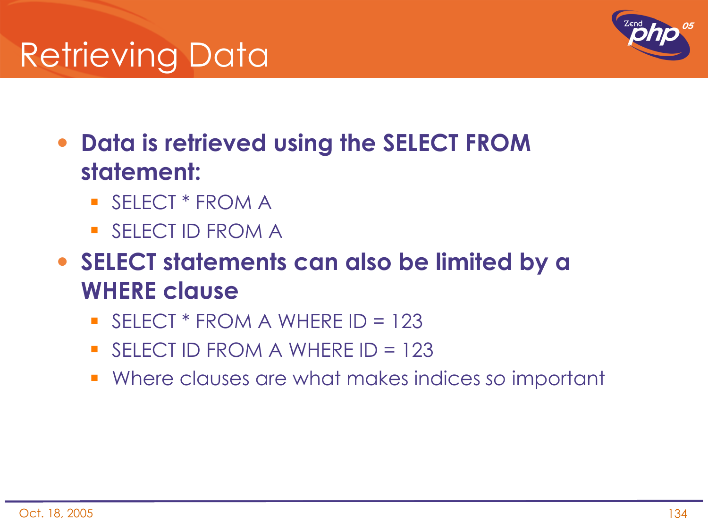# Retrieving Data



- **Data is retrieved using the SELECT FROM statement:**
	- SELECT \* FROM A
	- SELECT ID FROM A
- **SELECT statements can also be limited by a WHERE clause**
	- $\blacksquare$  SELECT \* FROM A WHERE ID = 123
	- $\blacksquare$  SELECT ID FROM A WHERE ID = 123
	- Where clauses are what makes indices *so* important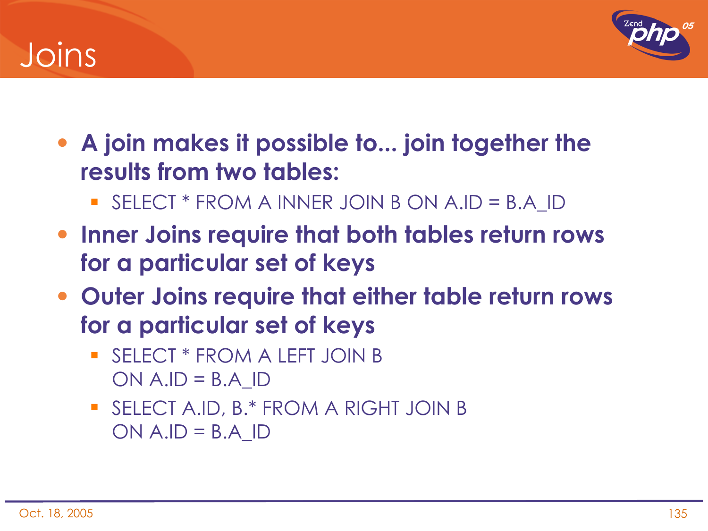## Joins



- **A join makes it possible to... join together the results from two tables:**
	- SELECT \* FROM A INNER JOIN B ON A.ID = B.A\_ID
- **Inner Joins require that both tables return rows for a particular set of keys**
- **Outer Joins require that either table return rows for a particular set of keys**
	- **SELECT \* FROM A LEFT JOIN B**  $ON A.ID = B.A$  ID
	- **SELECT A.ID, B.\* FROM A RIGHT JOIN B**  $ON A.ID = B.A_ID$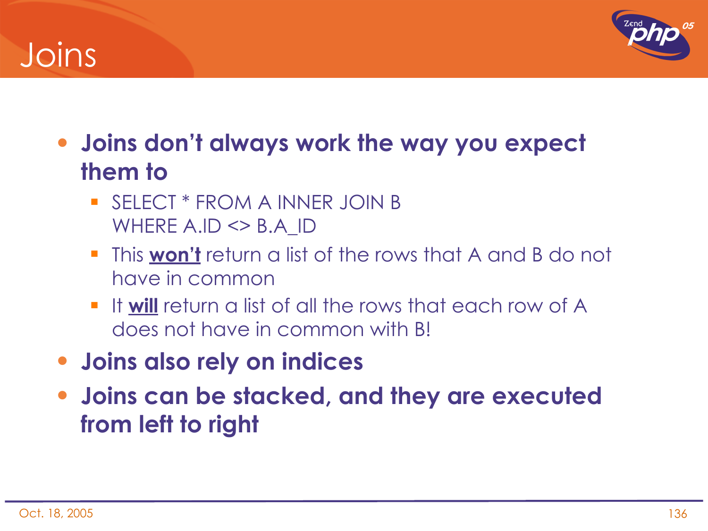## Joins



- **Joins don't always work the way you expect them to**
	- SELECT \* FROM A INNER JOIN B WHERE A.ID <> B.A\_ID
	- This **won't** return a list of the rows that A and B do not have in common
	- **If will** return a list of all the rows that each row of A does not have in common with B!
- **Joins also rely on indices**
- **Joins can be stacked, and they are executed from left to right**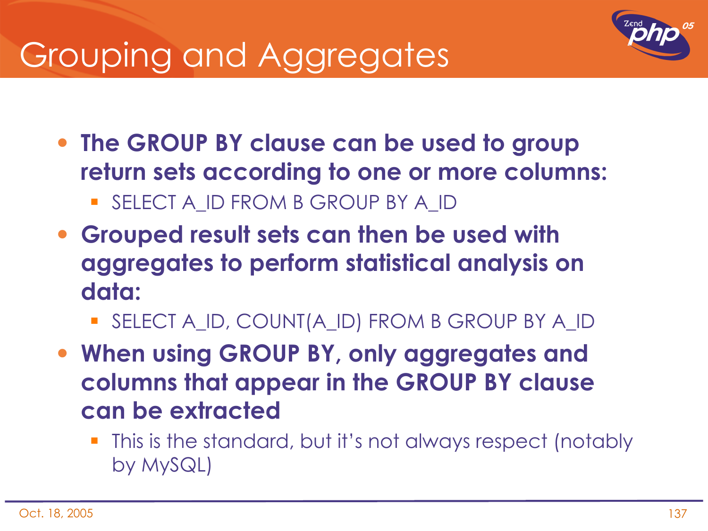# Grouping and Aggregates



- **The GROUP BY clause can be used to group return sets according to one or more columns:** SELECT A ID FROM B GROUP BY A ID
- **Grouped result sets can then be used with aggregates to perform statistical analysis on data:**
	- SELECT A\_ID, COUNT(A\_ID) FROM B GROUP BY A\_ID
- **When using GROUP BY, only aggregates and columns that appear in the GROUP BY clause can be extracted**
	- This is the standard, but it's not always respect (notably by MySQL)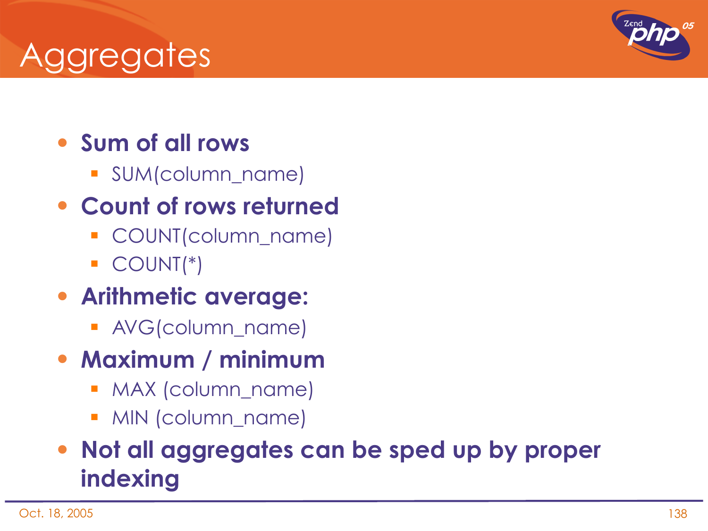## Aggregates

### • **Sum of all rows**

SUM(column\_name)

### • **Count of rows returned**

- COUNT(column\_name)
- COUNT(\*)

### • **Arithmetic average:**

AVG(column\_name)

### • **Maximum / minimum**

- **MAX (column\_name)**
- MIN (column\_name)

### • **Not all aggregates can be sped up by proper indexing**

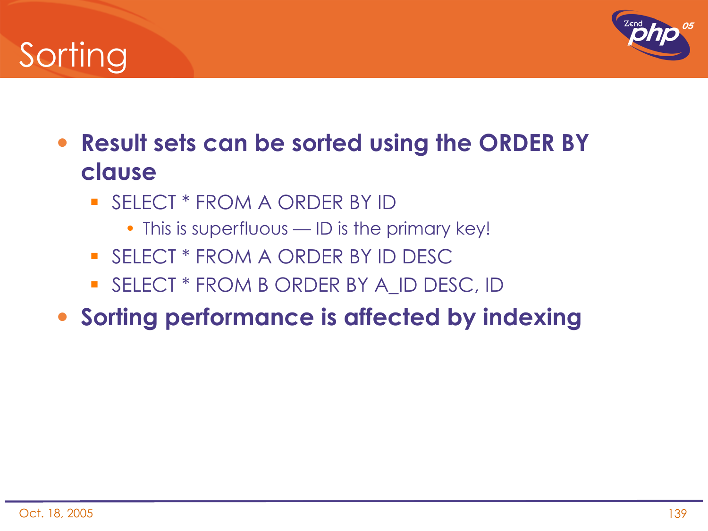# Sorting



- **Result sets can be sorted using the ORDER BY clause**
	- SELECT \* FROM A ORDER BY ID
		- This is superfluous ID is the primary key!
	- **SELECT \* FROM A ORDER BY ID DESC**
	- **SELECT \* FROM B ORDER BY A ID DESC, ID**
- **Sorting performance is affected by indexing**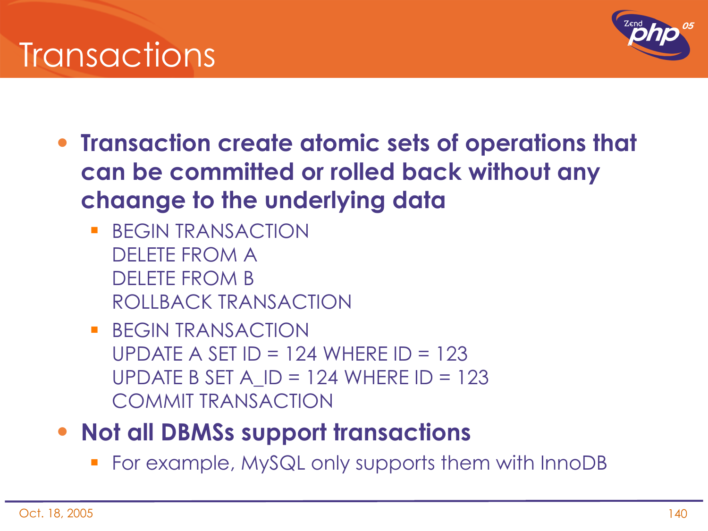## **Transactions**



- **Transaction create atomic sets of operations that can be committed or rolled back without any chaange to the underlying data**
	- **BEGIN TRANSACTION** DELETE FROM A DELETE FROM B ROLLBACK TRANSACTION
	- **BEGIN TRANSACTION** UPDATE A SET ID = 124 WHERE ID = 123 UPDATE B SET A $\Box$ ID = 124 WHERE ID = 123 COMMIT TRANSACTION
- **Not all DBMSs support transactions**
	- For example, MySQL only supports them with InnoDB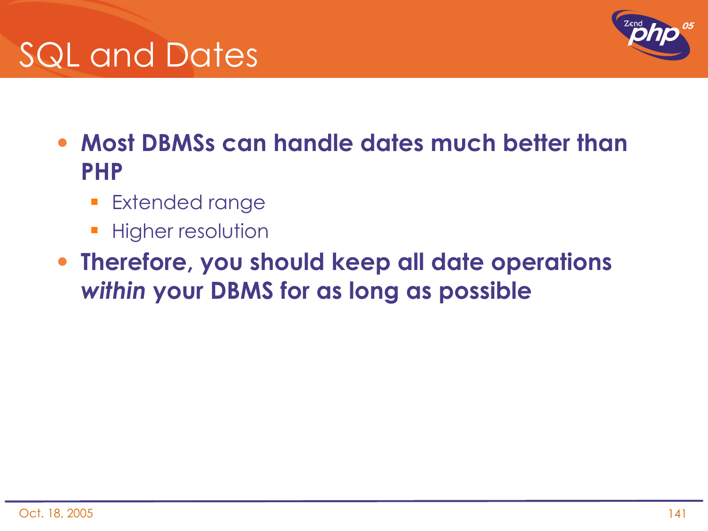



- **Most DBMSs can handle dates much better than PHP**
	- **Extended range**
	- **Higher resolution**
- **Therefore, you should keep all date operations**  *within* **your DBMS for as long as possible**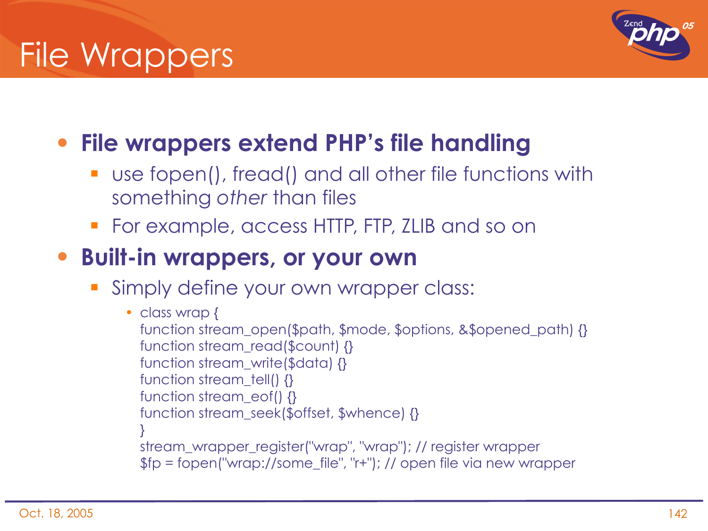

### • **File wrappers extend PHP's file handling**

- use fopen(), fread() and all other file functions with something *other* than files
- For example, access HTTP, FTP, ZLIB and so on

#### • **Built-in wrappers, or your own**

Simply define your own wrapper class:

```
• class wrap {
function stream_open($path, $mode, $options, &$opened_path) {}
function stream_read($count) {} 
function stream_write($data) {} 
function stream tell() {}
function stream_eof() {}
function stream_seek($offset, $whence) {}
}
stream_wrapper_register("wrap", "wrap"); // register wrapper
$fp = fopen("wrap://some_file", "r+"); // open file via new wrapper
```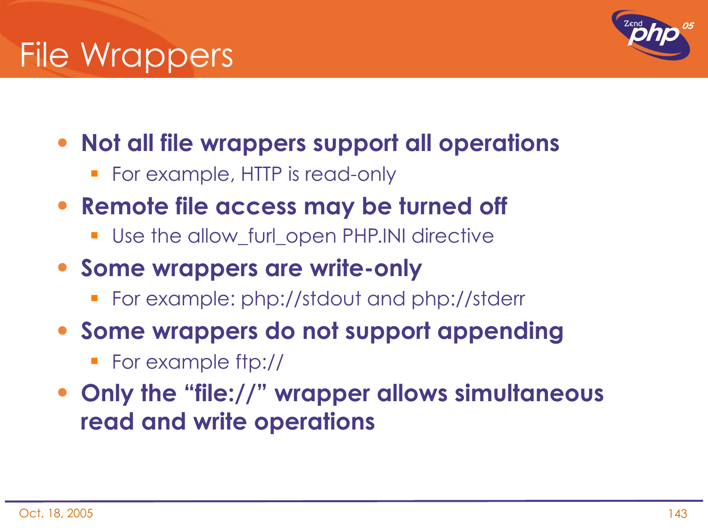

- **Not all file wrappers support all operations**
	- **For example, HTTP is read-only**
- **Remote file access may be turned off**
	- **Use the allow\_furl\_open PHP.INI directive**
- **Some wrappers are write-only**
	- For example: php://stdout and php://stderr
- **Some wrappers do not support appending**
	- For example ftp://
- **Only the "file://" wrapper allows simultaneous read and write operations**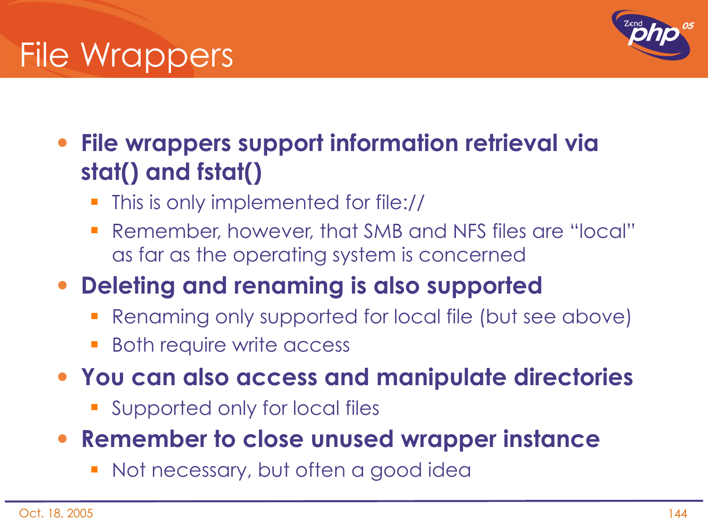## File Wrappers



• **File wrappers support information retrieval via stat() and fstat()**

- This is only implemented for file://
- Remember, however, that SMB and NFS files are "local" as far as the operating system is concerned

### • **Deleting and renaming is also supported**

- Renaming only supported for local file (but see above)
- Both require write access
- **You can also access and manipulate directories**
	- **Supported only for local files**
- **Remember to close unused wrapper instance**
	- **Not necessary, but often a good idea**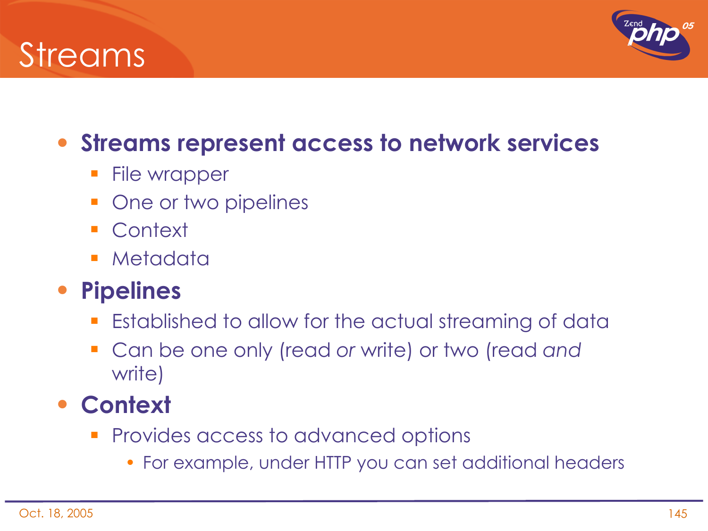## Streams



## • **Streams represent access to network services**

- **File wrapper**
- One or two pipelines
- Context
- **Metadata**

## • **Pipelines**

- **Established to allow for the actual streaming of data**
- Can be one only (read *or* write) or two (read *and* write)

### • **Context**

- **Provides access to advanced options** 
	- For example, under HTTP you can set additional headers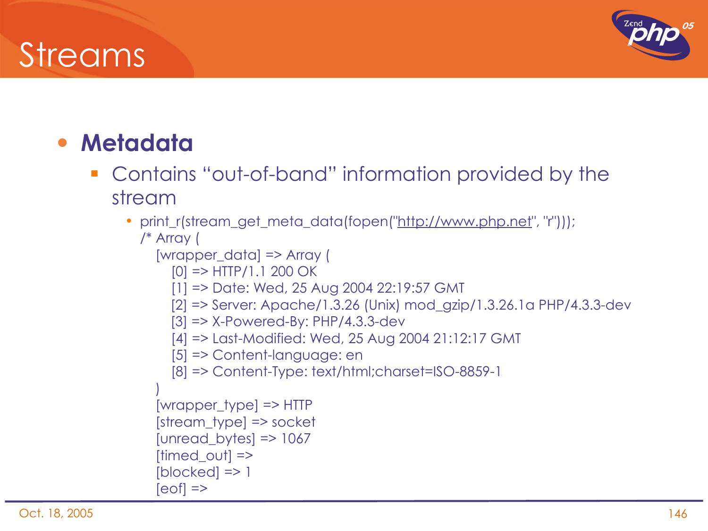## Streams



#### • **Metadata**

- **Contains "out-of-band" information provided by the** stream
	- print\_r(stream\_get\_meta\_data(fopen("http://www.php.net", "r"))); /\* Array (
		- [wrapper\_data] => Array (
			- $[0]$  => HTTP/1.1 200 OK
			- [1] => Date: Wed, 25 Aug 2004 22:19:57 GMT
			- [2] => Server: Apache/1.3.26 (Unix) mod\_gzip/1.3.26.1a PHP/4.3.3-dev
			- [3] => X-Powered-By: PHP/4.3.3-dev
			- [4] => Last-Modified: Wed, 25 Aug 2004 21:12:17 GMT
			- [5] => Content-language: en

```
        [8] => Content-Type: text/html;charset=ISO-8859-1
```

```
\left( \begin{array}{c} \end{array} \right)    [wrapper_type] => HTTP
    [stream_type] => socket
    [unread_bytes] => 1067
[timed out] =>
[blocked] => 1
[eof] =>
```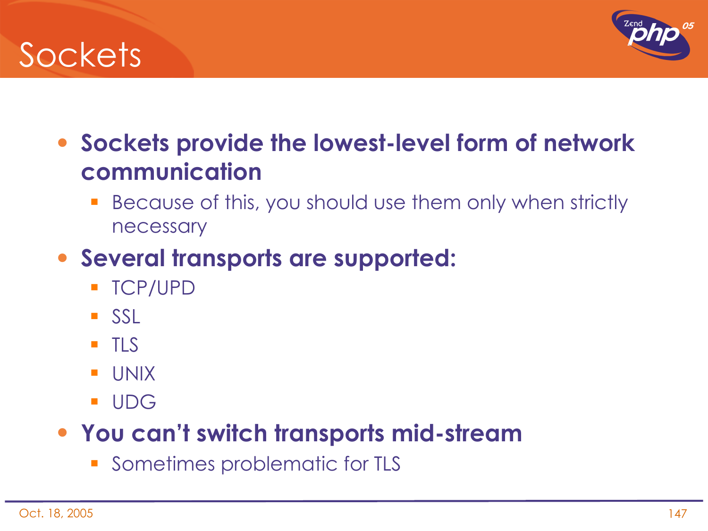## **Sockets**



- **Sockets provide the lowest-level form of network communication**
	- **Because of this, you should use them only when strictly** necessary

## • **Several transports are supported:**

- TCP/UPD
- **SSL**
- $\blacksquare$  TLS
- UNIX
- UDG

#### • **You can't switch transports mid-stream**

Sometimes problematic for TLS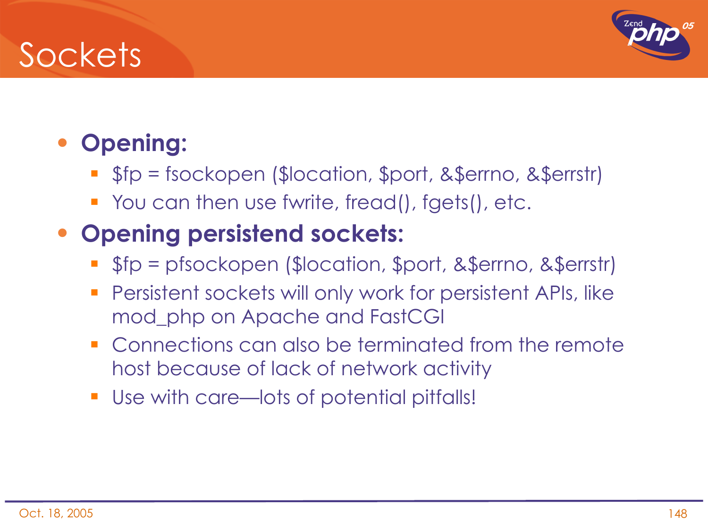## **Sockets**



## • **Opening:**

- \$fp = fsockopen (\$location, \$port, &\$errno, &\$errstr)
- You can then use fwrite, fread(), fgets(), etc.

#### • **Opening persistend sockets:**

- \$fp = pfsockopen (\$location, \$port, &\$errno, &\$errstr)
- Persistent sockets will only work for persistent APIs, like mod\_php on Apache and FastCGI
- **Connections can also be terminated from the remote** host because of lack of network activity
- Use with care—lots of potential pitfalls!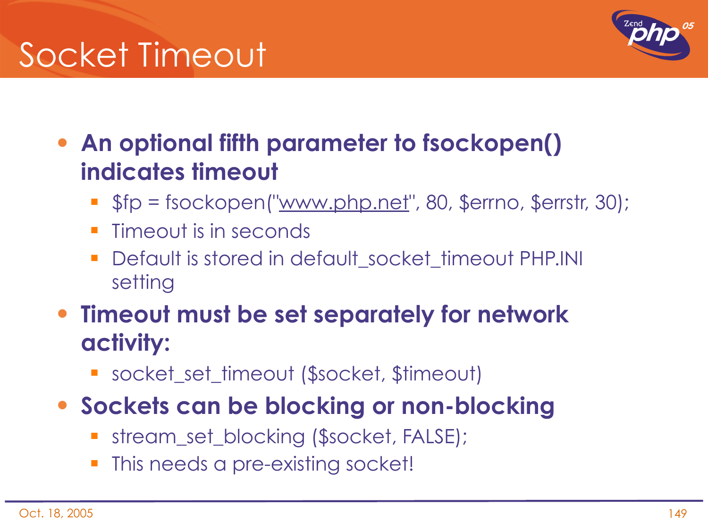# Socket Timeout



• **An optional fifth parameter to fsockopen() indicates timeout**

- \$fp = fsockopen("www.php.net", 80, \$errno, \$errstr, 30);
- Timeout is in seconds
- **-** Default is stored in default socket timeout PHP.INI setting
- **Timeout must be set separately for network activity:**
	- socket\_set\_timeout (\$socket, \$timeout)
- **Sockets can be blocking or non-blocking**
	- stream\_set\_blocking (\$socket, FALSE);
	- This needs a pre-existing socket!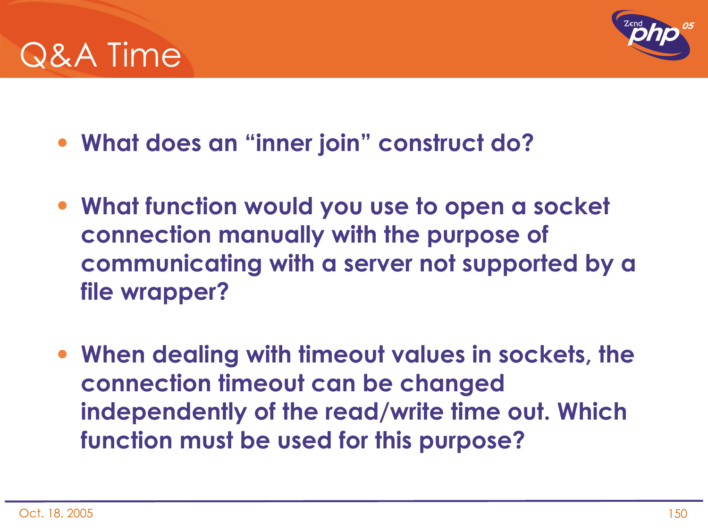



- **What does an "inner join" construct do?**
- **What function would you use to open a socket connection manually with the purpose of communicating with a server not supported by a file wrapper?**
- **When dealing with timeout values in sockets, the connection timeout can be changed independently of the read/write time out. Which function must be used for this purpose?**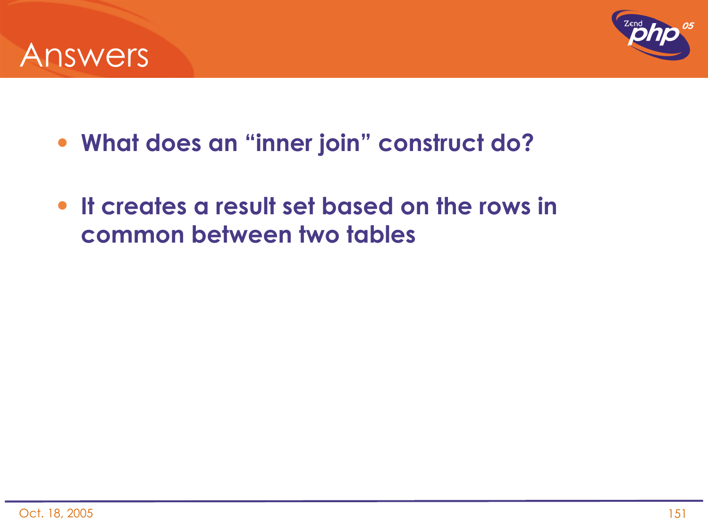



- **What does an "inner join" construct do?**
- **It creates a result set based on the rows in common between two tables**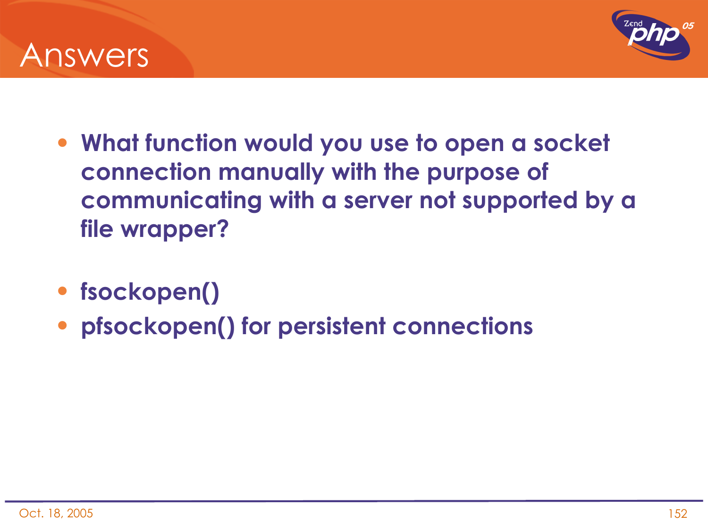



- **What function would you use to open a socket connection manually with the purpose of communicating with a server not supported by a file wrapper?**
- **fsockopen()**
- **pfsockopen() for persistent connections**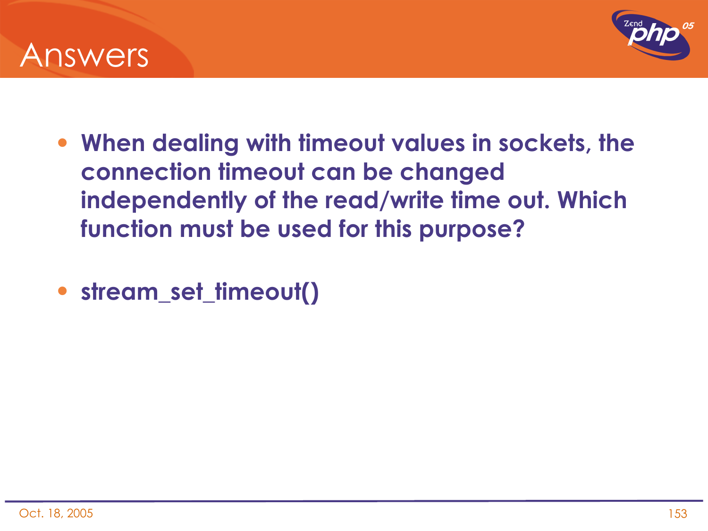



- **When dealing with timeout values in sockets, the connection timeout can be changed independently of the read/write time out. Which function must be used for this purpose?**
- **stream\_set\_timeout()**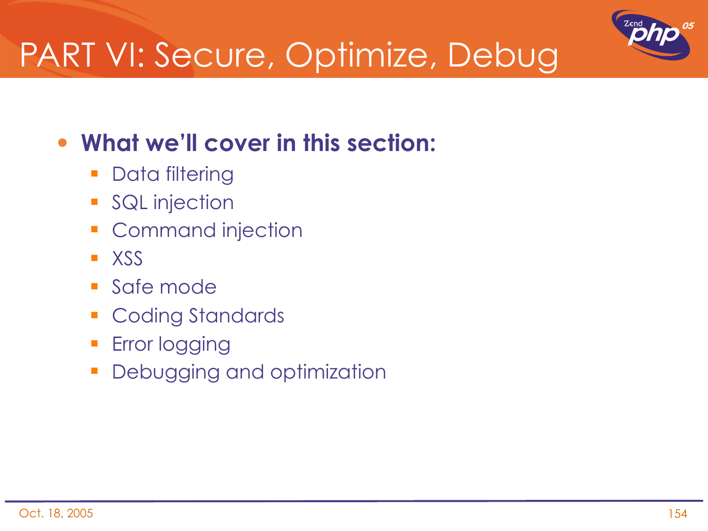

# PART VI: Secure, Optimize, Debug

## • **What we'll cover in this section:**

- **Data filtering**
- **SQL** injection
- **Command injection**
- **XSS**
- **Safe mode**
- **Coding Standards**
- **Error logging**
- **Debugging and optimization**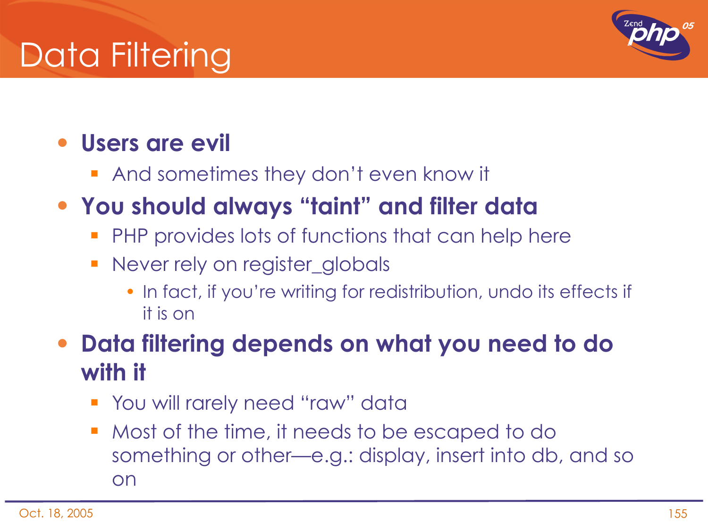# Data Filtering



## • **Users are evil**

**And sometimes they don't even know it** 

## • **You should always "taint" and filter data**

- **PHP provides lots of functions that can help here**
- Never rely on register\_globals
	- In fact, if you're writing for redistribution, undo its effects if it is on

#### • **Data filtering depends on what you need to do with it**

- **The State You will rarely need "raw" data**
- Most of the time, it needs to be escaped to do something or other—e.g.: display, insert into db, and so on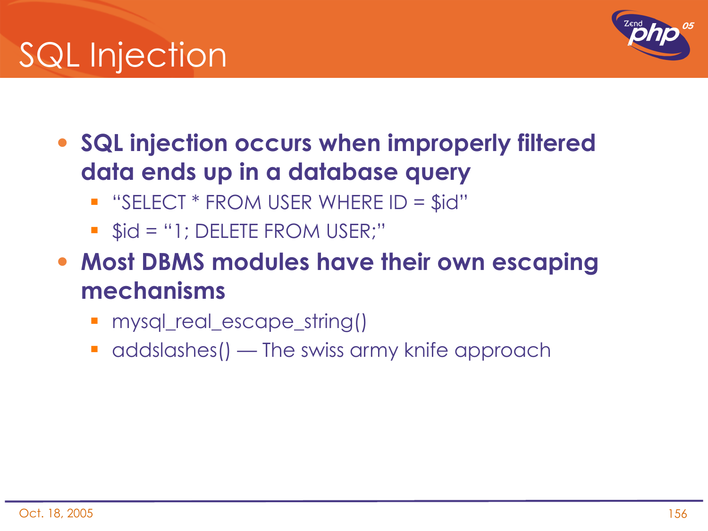# SQL Injection



- **SQL injection occurs when improperly filtered data ends up in a database query**
	- $\blacksquare$  "SELECT \* FROM USER WHERE ID = \$id"
	- $\bullet$  \$id = "1; DELETE FROM USER;"
- **Most DBMS modules have their own escaping mechanisms**
	- **mysql\_real\_escape\_string()**
	- addslashes() The swiss army knife approach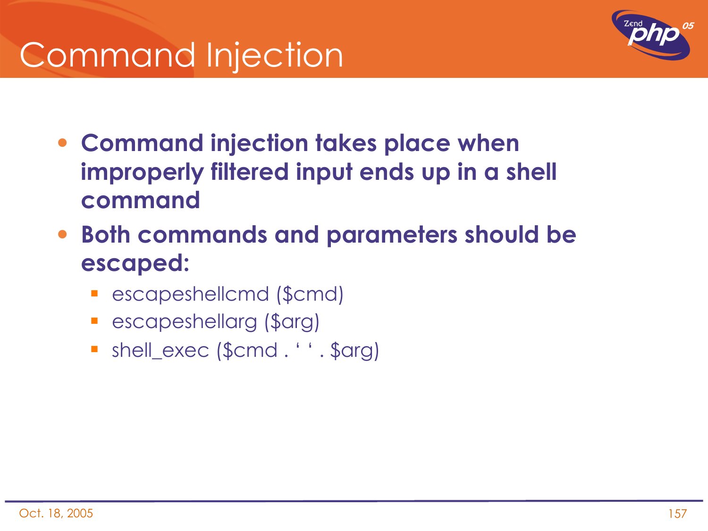# Command Injection



- **Command injection takes place when improperly filtered input ends up in a shell command**
- **Both commands and parameters should be escaped:**
	- escapeshellcmd (\$cmd)
	- escapeshellarg (\$arg)
	- shell\_exec (\$cmd . ' ' . \$arg)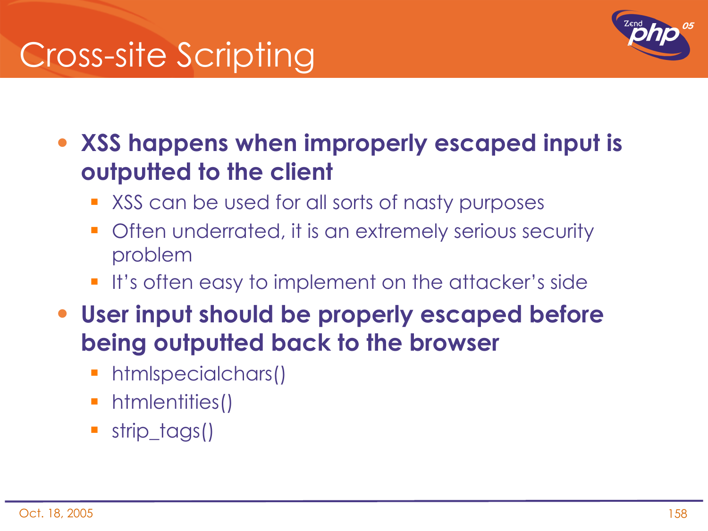# Cross-site Scripting



• **XSS happens when improperly escaped input is outputted to the client**

- **XSS** can be used for all sorts of nasty purposes
- **•** Often underrated, it is an extremely serious security problem
- **If's often easy to implement on the attacker's side**
- **User input should be properly escaped before being outputted back to the browser**
	- htmlspecialchars()
	- **htmlentities()**
	- **strip\_tags()**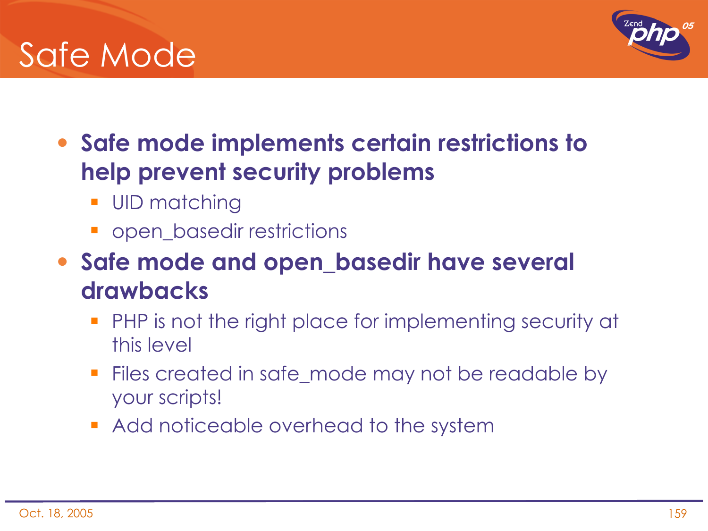## Safe Mode

- **Safe mode implements certain restrictions to help prevent security problems**
	- UID matching
	- **•** open\_basedir restrictions
- **Safe mode and open\_basedir have several drawbacks**
	- **PHP** is not the right place for implementing security at this level
	- **Files created in safe\_mode may not be readable by** your scripts!
	- **Add noticeable overhead to the system**

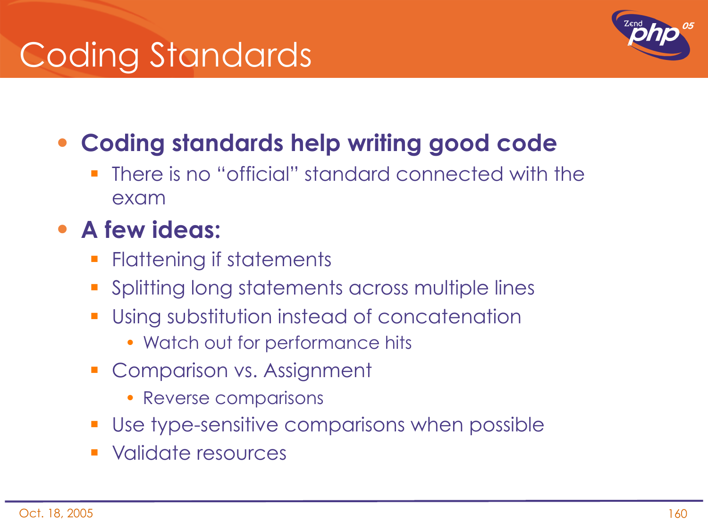# Coding Standards



## • **Coding standards help writing good code**

**There is no "official" standard connected with the** exam

### • **A few ideas:**

- **Flattening if statements**
- **Splitting long statements across multiple lines**
- **Using substitution instead of concatenation** 
	- Watch out for performance hits
- Comparison vs. Assignment
	- Reverse comparisons
- Use type-sensitive comparisons when possible
- Validate resources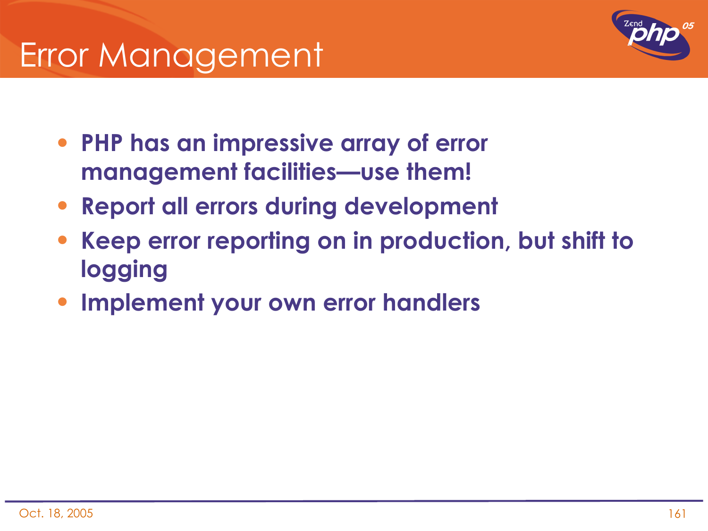

- **PHP has an impressive array of error management facilities—use them!**
- **Report all errors during development**
- **Keep error reporting on in production, but shift to logging**
- **Implement your own error handlers**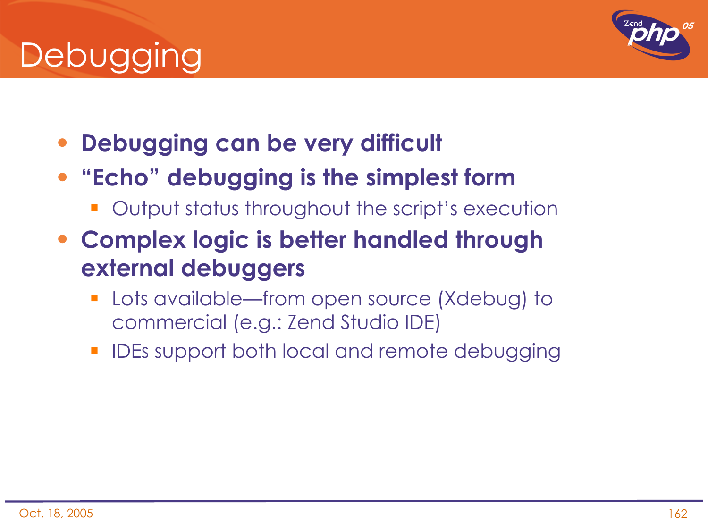# **Debugging**

- **Debugging can be very difficult**
- **"Echo" debugging is the simplest form**
	- **-** Output status throughout the script's execution
- **Complex logic is better handled through external debuggers**
	- Lots available—from open source (Xdebug) to commercial (e.g.: Zend Studio IDE)
	- IDEs support both local and remote debugging

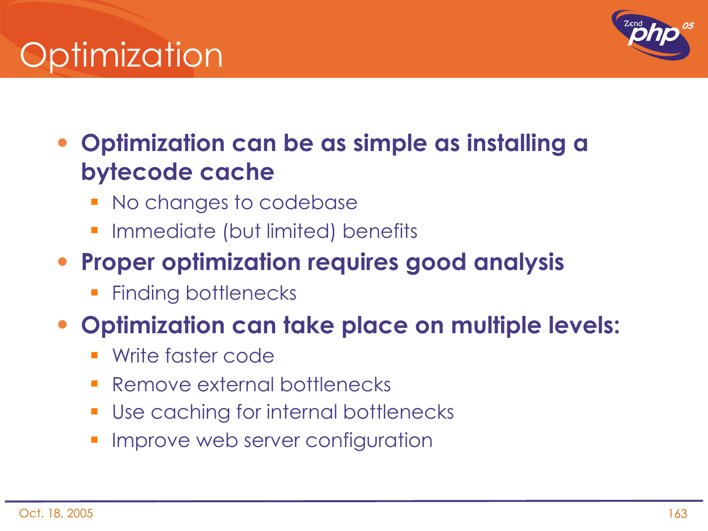# Optimization



## • **Optimization can be as simple as installing a bytecode cache**

- No changes to codebase
- Immediate (but limited) benefits

### • **Proper optimization requires good analysis**

Finding bottlenecks

## • **Optimization can take place on multiple levels:**

- Write faster code
- Remove external bottlenecks
- Use caching for internal bottlenecks
- Improve web server configuration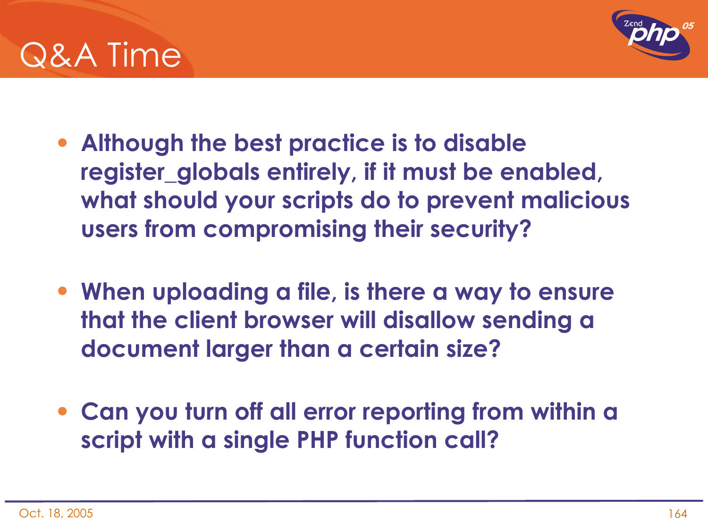



- **Although the best practice is to disable register\_globals entirely, if it must be enabled, what should your scripts do to prevent malicious users from compromising their security?**
- **When uploading a file, is there a way to ensure that the client browser will disallow sending a document larger than a certain size?**
- **Can you turn off all error reporting from within a script with a single PHP function call?**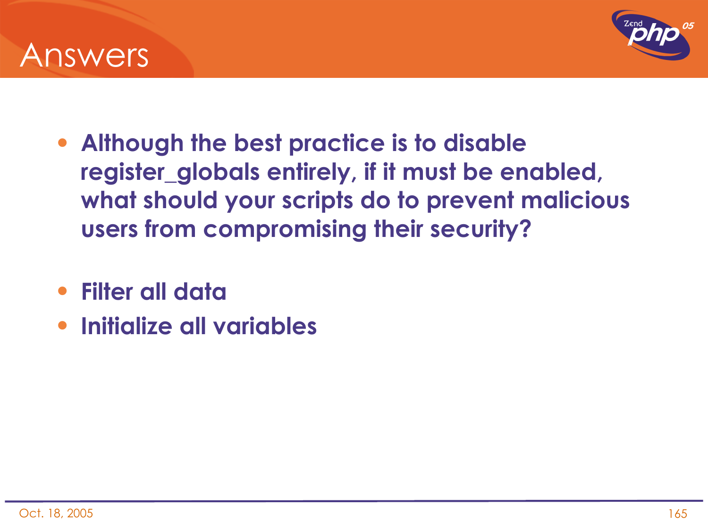



- **Although the best practice is to disable register\_globals entirely, if it must be enabled, what should your scripts do to prevent malicious users from compromising their security?**
- **Filter all data**
- **Initialize all variables**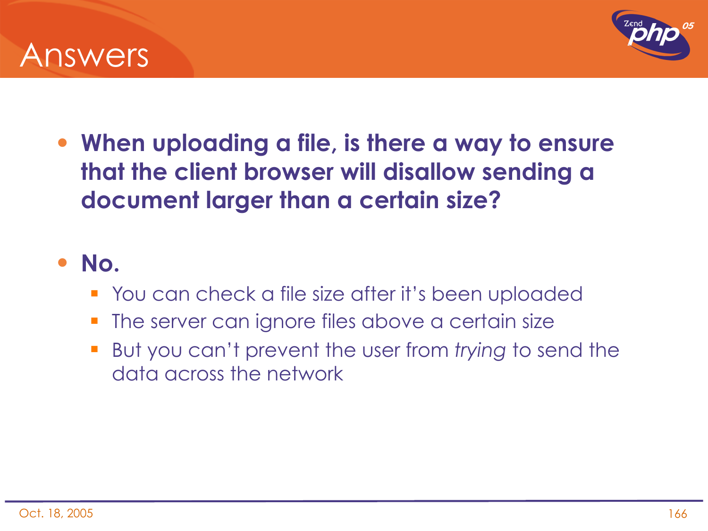



• **When uploading a file, is there a way to ensure that the client browser will disallow sending a document larger than a certain size?**

#### • **No.**

- You can check a file size after it's been uploaded
- **The server can ignore files above a certain size**
- But you can't prevent the user from *trying* to send the data across the network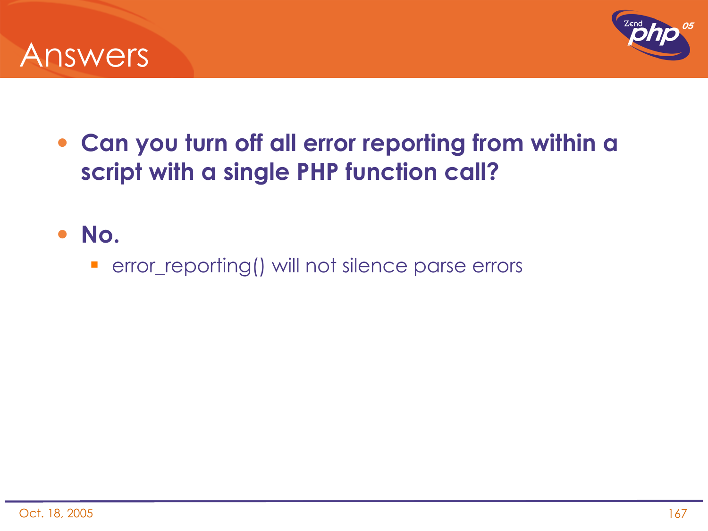



- **Can you turn off all error reporting from within a script with a single PHP function call?**
- **No.**
	- **•** error\_reporting() will not silence parse errors